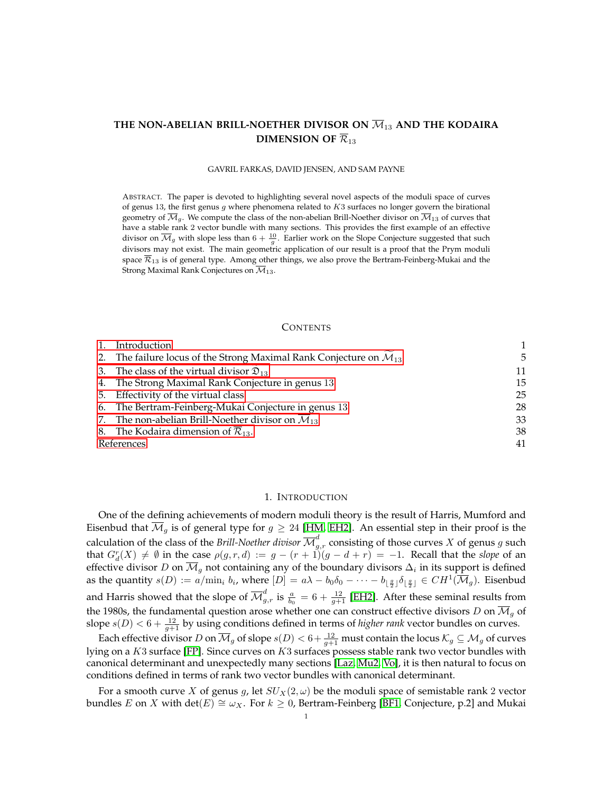# <span id="page-0-1"></span>THE NON-ABELIAN BRILL-NOETHER DIVISOR ON  $\overline{\mathcal{M}}_{13}$  and the kodaira **DIMENSION OF**  $\overline{\mathcal{R}}_{13}$

#### GAVRIL FARKAS, DAVID JENSEN, AND SAM PAYNE

ABSTRACT. The paper is devoted to highlighting several novel aspects of the moduli space of curves of genus 13, the first genus g where phenomena related to K3 surfaces no longer govern the birational geometry of  $\overline{\mathcal{M}}_g$ . We compute the class of the non-abelian Brill-Noether divisor on  $\overline{\mathcal{M}}_{13}$  of curves that have a stable rank 2 vector bundle with many sections. This provides the first example of an effective divisor on  $\overline{\mathcal M}_g$  with slope less than  $6+\frac{10}{g}.$  Earlier work on the Slope Conjecture suggested that such divisors may not exist. The main geometric application of our result is a proof that the Prym moduli space  $\overline{\mathcal{R}}_{13}$  is of general type. Among other things, we also prove the Bertram-Feinberg-Mukai and the Strong Maximal Rank Conjectures on  $\overline{\mathcal{M}}_{13}$ .

### **CONTENTS**

|            | Introduction                                                                     |    |
|------------|----------------------------------------------------------------------------------|----|
|            | 2. The failure locus of the Strong Maximal Rank Conjecture on $\mathcal{M}_{13}$ | 5  |
|            | 3. The class of the virtual divisor $\mathfrak{D}_{13}$                          | 11 |
|            | 4. The Strong Maximal Rank Conjecture in genus 13                                | 15 |
|            | 5. Effectivity of the virtual class                                              | 25 |
|            | 6. The Bertram-Feinberg-Mukai Conjecture in genus 13                             | 28 |
|            | 7. The non-abelian Brill-Noether divisor on $\overline{\mathcal{M}}_{13}$        | 33 |
|            | 8. The Kodaira dimension of $\overline{\mathcal{R}}_{13}$ .                      | 38 |
| References | 41                                                                               |    |
|            |                                                                                  |    |

### 1. INTRODUCTION

<span id="page-0-0"></span>One of the defining achievements of modern moduli theory is the result of Harris, Mumford and Eisenbud that  $\overline{\mathcal{M}}_g$  is of general type for  $g \geq 24$  [\[HM,](#page-41-0) [EH2\]](#page-41-1). An essential step in their proof is the calculation of the class of the *Brill-Noether divisor*  $\overline{\mathcal M}_{g,r}^d$  consisting of those curves  $X$  of genus  $g$  such that  $G_d^r(X) \neq \emptyset$  in the case  $\rho(g, r, d) := g - (r + 1)(g - d + r) = -1$ . Recall that the *slope* of an effective divisor  $D$  on  $\mathcal{M}_g$  not containing any of the boundary divisors  $\Delta_i$  in its support is defined as the quantity  $s(D) := a/\min_i b_i$ , where  $[D] = a\lambda - b_0\delta_0 - \cdots - b_{\lfloor \frac{g}{2} \rfloor}\delta_{\lfloor \frac{g}{2} \rfloor} \in CH^1(\overline{\mathcal{M}}_g)$ . Eisenbud and Harris showed that the slope of  $\overline{\mathcal M}_{g,r}^d$  is  $\frac{a}{b_0}=6+\frac{12}{g+1}$  [\[EH2\]](#page-41-1). After these seminal results from the 1980s, the fundamental question arose whether one can construct effective divisors D on  $\overline{\mathcal{M}}_q$  of slope  $s(D) < 6 + \frac{12}{g+1}$  by using conditions defined in terms of *higher rank* vector bundles on curves.

Each effective divisor  $D$  on  $\overline{\mathcal M}_g$  of slope  $s(D)< 6+\frac{12}{g+1}$  must contain the locus  $\mathcal K_g\subseteq\mathcal M_g$  of curves lying on a  $K3$  surface [\[FP\]](#page-41-2). Since curves on  $K3$  surfaces possess stable rank two vector bundles with canonical determinant and unexpectedly many sections [\[Laz,](#page-41-3) [Mu2,](#page-41-4) [Vo\]](#page-42-0), it is then natural to focus on conditions defined in terms of rank two vector bundles with canonical determinant.

For a smooth curve X of genus g, let  $SU_X(2,\omega)$  be the moduli space of semistable rank 2 vector bundles E on X with  $\det(E) \cong \omega_X$ . For  $k \geq 0$ , Bertram-Feinberg [\[BF1,](#page-41-5) Conjecture, p.2] and Mukai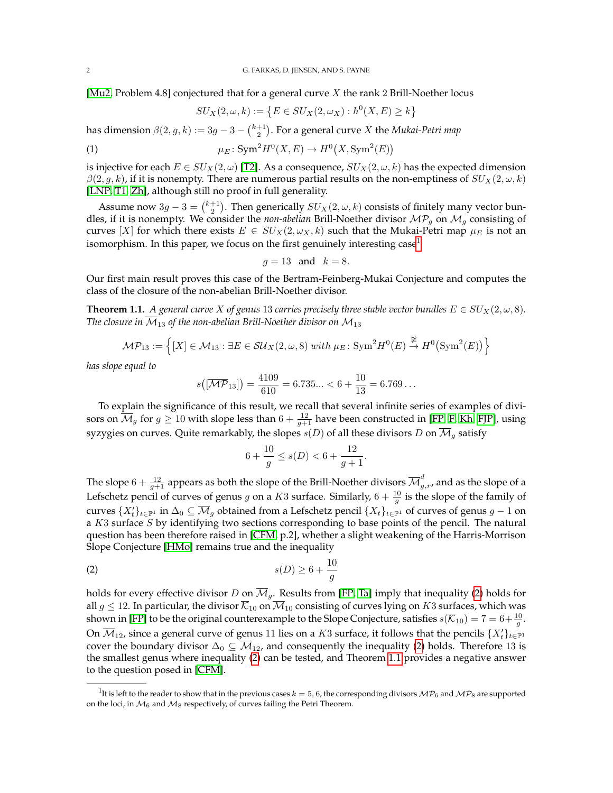[\[Mu2,](#page-41-4) Problem 4.8] conjectured that for a general curve X the rank 2 Brill-Noether locus

<span id="page-1-3"></span>
$$
SU_X(2,\omega,k) := \left\{ E \in SU_X(2,\omega_X) : h^0(X,E) \ge k \right\}
$$

has dimension  $\beta(2,g,k) := 3g - 3 - {k+1 \choose 2}.$  For a general curve  $X$  the *Mukai-Petri map* 

(1) 
$$
\mu_E: \text{Sym}^2 H^0(X, E) \to H^0(X, \text{Sym}^2(E))
$$

is injective for each  $E \in SU_X(2,\omega)$  [\[T2\]](#page-41-6). As a consequence,  $SU_X(2,\omega,k)$  has the expected dimension  $\beta(2,g,k)$ , if it is nonempty. There are numerous partial results on the non-emptiness of  $SU_X(2,\omega,k)$ [\[LNP,](#page-41-7) [T1,](#page-41-8) [Zh\]](#page-42-1), although still no proof in full generality.

Assume now  $3g - 3 = \binom{k+1}{2}$ . Then generically  $SU_X(2, \omega, k)$  consists of finitely many vector bundles, if it is nonempty. We consider the *non-abelian* Brill-Noether divisor  $MP<sub>g</sub>$  on  $M<sub>g</sub>$  consisting of curves [X] for which there exists  $E \in SU_X(2, \omega_X, k)$  such that the Mukai-Petri map  $\mu_E$  is not an isomorphism. In this paper, we focus on the first genuinely interesting  $case<sup>1</sup>$  $case<sup>1</sup>$  $case<sup>1</sup>$ 

$$
g = 13 \quad \text{and} \quad k = 8.
$$

Our first main result proves this case of the Bertram-Feinberg-Mukai Conjecture and computes the class of the closure of the non-abelian Brill-Noether divisor.

<span id="page-1-2"></span>**Theorem 1.1.** *A general curve* X of genus 13 *carries precisely three stable vector bundles*  $E \in SU_X(2, \omega, 8)$ *. The closure in*  $\overline{M}_{13}$  *of the non-abelian Brill-Noether divisor on*  $M_{13}$ 

$$
\mathcal{MP}_{13} := \left\{ [X] \in \mathcal{M}_{13} : \exists E \in \mathcal{SU}_X(2,\omega,8) \text{ with } \mu_E \colon \text{Sym}^2 H^0(E) \xrightarrow{\cong} H^0(\text{Sym}^2(E)) \right\}
$$

*has slope equal to*

$$
s([\overline{\mathcal{MP}}_{13}]) = \frac{4109}{610} = 6.735... < 6 + \frac{10}{13} = 6.769...
$$

To explain the significance of this result, we recall that several infinite series of examples of divisors on  $\overline{\mathcal{M}}_g$  for  $g\geq 10$  with slope less than  $6+\frac{12}{g+1}$  have been constructed in [\[FP,](#page-41-2) [F,](#page-41-9) [Kh,](#page-41-10) [FJP\]](#page-41-11), using syzygies on curves. Quite remarkably, the slopes  $s(D)$  of all these divisors D on  $\overline{\mathcal{M}}_q$  satisfy

<span id="page-1-1"></span>
$$
6 + \frac{10}{g} \le s(D) < 6 + \frac{12}{g+1}.
$$

The slope  $6+\frac{12}{g+1}$  appears as both the slope of the Brill-Noether divisors  $\overline{\cal M}_{g,r}^d$ , and as the slope of a Lefschetz pencil of curves of genus g on a K3 surface. Similarly,  $6 + \frac{10}{g}$  is the slope of the family of curves  $\{X_t'\}_{t\in\mathbb{P}^1}$  in  $\Delta_0\subseteq\overline{\mathcal M}_g$  obtained from a Lefschetz pencil  $\{X_t\}_{t\in\mathbb{P}^1}$  of curves of genus  $g-1$  on a K3 surface S by identifying two sections corresponding to base points of the pencil. The natural question has been therefore raised in [\[CFM,](#page-41-12) p.2], whether a slight weakening of the Harris-Morrison Slope Conjecture [\[HMo\]](#page-41-13) remains true and the inequality

$$
(2) \t s(D) \ge 6 + \frac{10}{g}
$$

holds for every effective divisor D on  $\overline{M}_q$ . Results from [\[FP,](#page-41-2) [Ta\]](#page-41-14) imply that inequality [\(2\)](#page-1-1) holds for all  $g \le 12$ . In particular, the divisor  $\overline{\mathcal{K}}_{10}$  on  $\overline{\mathcal{M}}_{10}$  consisting of curves lying on  $K3$  surfaces, which was shown in [\[FP\]](#page-41-2) to be the original counterexample to the Slope Conjecture, satisfies  $s(\overline{K}_{10}) = 7 = 6 + \frac{10}{g}$ . On  $\overline{\mathcal{M}}_{12}$ , since a general curve of genus 11 lies on a  $K3$  surface, it follows that the pencils  $\{X_t'\}_{t\in\mathbb{P}^1}$ cover the boundary divisor  $\Delta_0 \subseteq \overline{\mathcal{M}}_{12}$ , and consequently the inequality [\(2\)](#page-1-1) holds. Therefore 13 is the smallest genus where inequality [\(2\)](#page-1-1) can be tested, and Theorem [1.1](#page-1-2) provides a negative answer to the question posed in [\[CFM\]](#page-41-12).

<span id="page-1-0"></span> $^1$ It is left to the reader to show that in the previous cases  $k=5,6$ , the corresponding divisors  $\mathcal{MP}_6$  and  $\mathcal{MP}_8$  are supported on the loci, in  $\mathcal{M}_6$  and  $\mathcal{M}_8$  respectively, of curves failing the Petri Theorem.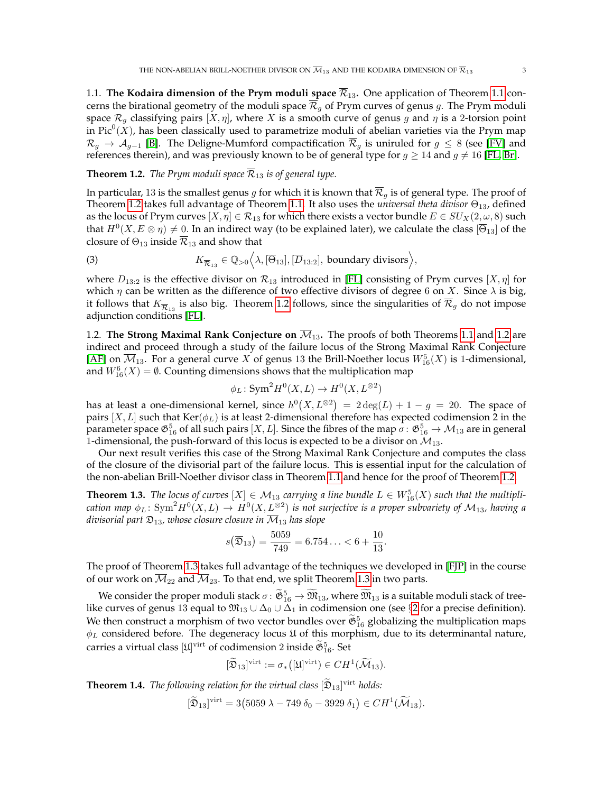1.1. **The Kodaira dimension of the Prym moduli space**  $\overline{\mathcal{R}}_{13}$ . One application of Theorem [1.1](#page-1-2) concerns the birational geometry of the moduli space  $\overline{\mathcal{R}}_q$  of Prym curves of genus g. The Prym moduli space  $\mathcal{R}_q$  classifying pairs  $[X, \eta]$ , where X is a smooth curve of genus g and  $\eta$  is a 2-torsion point in Pic $^{0}(X)$ , has been classically used to parametrize moduli of abelian varieties via the Prym map  $\mathcal{R}_q \to \mathcal{A}_{q-1}$  [\[B\]](#page-41-15). The Deligne-Mumford compactification  $\overline{\mathcal{R}}_q$  is uniruled for  $g \leq 8$  (see [\[FV\]](#page-41-16) and references therein), and was previously known to be of general type for  $g \ge 14$  and  $g \ne 16$  [\[FL,](#page-41-17) [Br\]](#page-41-18).

### <span id="page-2-0"></span>**Theorem 1.2.** *The Prym moduli space*  $\overline{\mathcal{R}}_{13}$  *is of general type.*

In particular, 13 is the smallest genus g for which it is known that  $\overline{\mathcal{R}}_g$  is of general type. The proof of Theorem [1.2](#page-2-0) takes full advantage of Theorem [1.1.](#page-1-2) It also uses the *universal theta divisor* Θ13, defined as the locus of Prym curves  $[X, \eta] \in \mathcal{R}_{13}$  for which there exists a vector bundle  $E \in SU_X(2, \omega, 8)$  such that  $H^0(X, E \otimes \eta) \neq 0$ . In an indirect way (to be explained later), we calculate the class  $[\overline{\Theta}_{13}]$  of the closure of  $\Theta_{13}$  inside  $\overline{\mathcal{R}}_{13}$  and show that

(3) 
$$
K_{\overline{\mathcal{R}}_{13}} \in \mathbb{Q}_{>0} \Big\langle \lambda, [\overline{\Theta}_{13}], [\overline{D}_{13:2}],
$$
 boundary divisors $\Big\rangle$ ,

where  $D_{13:2}$  is the effective divisor on  $\mathcal{R}_{13}$  introduced in [\[FL\]](#page-41-17) consisting of Prym curves  $[X, \eta]$  for which  $\eta$  can be written as the difference of two effective divisors of degree 6 on X. Since  $\lambda$  is big, it follows that  $K_{\overline{\mathcal{R}}_{13}}$  is also big. Theorem [1.2](#page-2-0) follows, since the singularities of  $\overline{\mathcal{R}}_g$  do not impose adjunction conditions [\[FL\]](#page-41-17).

1.2. **The Strong Maximal Rank Conjecture on**  $\overline{\mathcal{M}}_{13}$ . The proofs of both Theorems [1.1](#page-1-2) and [1.2](#page-2-0) are indirect and proceed through a study of the failure locus of the Strong Maximal Rank Conjecture [\[AF\]](#page-41-19) on  $\overline{\mathcal{M}}_{13}$ . For a general curve X of genus 13 the Brill-Noether locus  $W^5_{16}(X)$  is 1-dimensional, and  $W^6_{16}(X) = \emptyset$ . Counting dimensions shows that the multiplication map

$$
\phi_L \colon \text{Sym}^2 H^0(X, L) \to H^0(X, L^{\otimes 2})
$$

has at least a one-dimensional kernel, since  $h^0(X, L^{\otimes 2}) \ = \ 2 \deg(L) + 1 - g \ = \ 20$ . The space of pairs  $[X, L]$  such that  $\text{Ker}(\phi_L)$  is at least 2-dimensional therefore has expected codimension 2 in the parameter space  $\mathfrak{G}^5_{16}$  of all such pairs  $[X,L].$  Since the fibres of the map  $\sigma\colon\mathfrak{G}^5_{16}\to \mathcal{M}_{13}$  are in general 1-dimensional, the push-forward of this locus is expected to be a divisor on  $M_{13}$ .

Our next result verifies this case of the Strong Maximal Rank Conjecture and computes the class of the closure of the divisorial part of the failure locus. This is essential input for the calculation of the non-abelian Brill-Noether divisor class in Theorem [1.1](#page-1-2) and hence for the proof of Theorem [1.2.](#page-2-0)

<span id="page-2-1"></span>**Theorem 1.3.** *The locus of curves*  $[X] \in M_{13}$  *carrying a line bundle*  $L \in W_{16}^5(X)$  *such that the multipli*cation map  $\phi_L \colon \mathrm{Sym}^2 H^0(X, L) \to H^0(X, L^{\otimes 2})$  is not surjective is a proper subvariety of  $\mathcal{M}_{13}$ , having a *divisorial part*  $\mathfrak{D}_{13}$ *, whose closure closure in*  $\overline{\mathcal{M}}_{13}$  *has slope* 

$$
s(\overline{\mathfrak{D}}_{13}) = \frac{5059}{749} = 6.754... < 6 + \frac{10}{13}
$$

.

The proof of Theorem [1.3](#page-2-1) takes full advantage of the techniques we developed in [\[FJP\]](#page-41-11) in the course of our work on  $\overline{\mathcal{M}}_{22}$  and  $\overline{\mathcal{M}}_{23}$ . To that end, we split Theorem [1.3](#page-2-1) in two parts.

We consider the proper moduli stack  $\sigma \colon \widetilde{\mathfrak{G}}_{16}^5 \to \mathfrak{M}_{13}$ , where  $\mathfrak{M}_{13}$  is a suitable moduli stack of treelike curves of genus 13 equal to  $\mathfrak{M}_{13} \cup \Delta_0 \cup \Delta_1$  in codimension one (see §[2](#page-4-0) for a precise definition). We then construct a morphism of two vector bundles over  $\tilde{\mathfrak{G}}_{16}^5$  globalizing the multiplication maps  $\phi_L$  considered before. The degeneracy locus  $\mathfrak U$  of this morphism, due to its determinantal nature, carries a virtual class  $[\mathfrak{U}]^\text{virt}$  of codimension  $2$  inside  $\tilde{\mathfrak{G}}_{16}^5$ . Set

$$
[\widetilde{\mathfrak{D}}_{13}]^{\text{virt}} := \sigma_*([\mathfrak{U}]^{\text{virt}}) \in CH^1(\widetilde{\mathcal{M}}_{13}).
$$

<span id="page-2-2"></span>**Theorem 1.4.** *The following relation for the virtual class*  $[\mathfrak{D}_{13}]$ <sup>virt</sup> *holds:* 

$$
[\widetilde{\mathfrak{D}}_{13}]^{\text{virt}} = 3(5059 \lambda - 749 \delta_0 - 3929 \delta_1) \in CH^1(\widetilde{\mathcal{M}}_{13}).
$$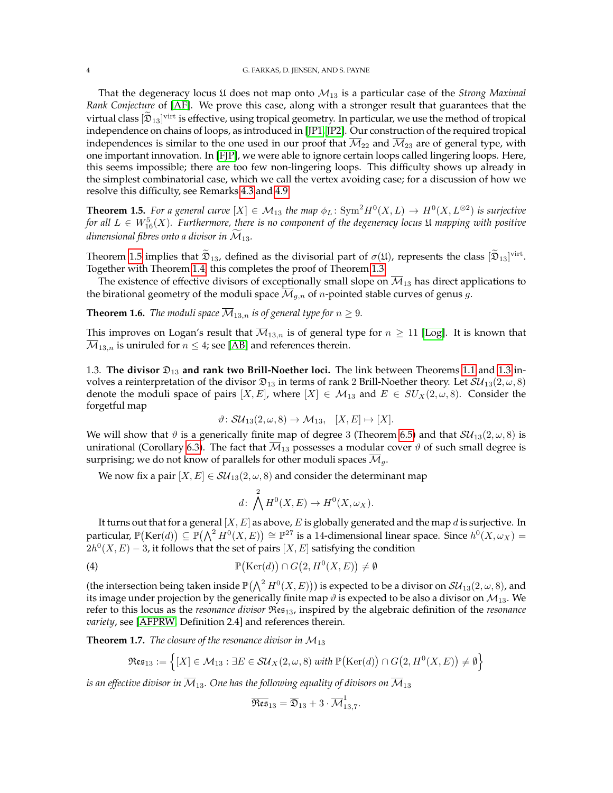That the degeneracy locus  $\mathfrak U$  does not map onto  $\mathcal M_{13}$  is a particular case of the *Strong Maximal Rank Conjecture* of [\[AF\]](#page-41-19). We prove this case, along with a stronger result that guarantees that the virtual class  $[\mathfrak{D}_{13}]$ <sup>virt</sup> is effective, using tropical geometry. In particular, we use the method of tropical independence on chains of loops, as introduced in [\[JP1,](#page-41-20) [JP2\]](#page-41-21). Our construction of the required tropical independences is similar to the one used in our proof that  $\overline{M}_{22}$  and  $\overline{M}_{23}$  are of general type, with one important innovation. In [\[FJP\]](#page-41-11), we were able to ignore certain loops called lingering loops. Here, this seems impossible; there are too few non-lingering loops. This difficulty shows up already in the simplest combinatorial case, which we call the vertex avoiding case; for a discussion of how we resolve this difficulty, see Remarks [4.3](#page-16-0) and [4.9.](#page-18-0)

<span id="page-3-0"></span>**Theorem 1.5.** For a general curve  $[X] \in M_{13}$  the map  $\phi_L$ : Sym<sup>2</sup> $H^0(X, L) \to H^0(X, L^{\otimes 2})$  is surjective for all  $L \in W^5_{16}(X)$ . Furthermore, there is no component of the degeneracy locus  $\mathfrak U$  mapping with positive *dimensional fibres onto a divisor in*  $\widetilde{M}_{13}$ *.* 

Theorem [1.5](#page-3-0) implies that  $\mathfrak{D}_{13}$ , defined as the divisorial part of  $\sigma(\mathfrak{U})$ , represents the class  $[\mathfrak{D}_{13}]^{\text{virt}}$ . Together with Theorem [1.4,](#page-2-2) this completes the proof of Theorem [1.3.](#page-2-1)

The existence of effective divisors of exceptionally small slope on  $\overline{\mathcal{M}}_{13}$  has direct applications to the birational geometry of the moduli space  $\overline{\mathcal{M}}_{g,n}$  of *n*-pointed stable curves of genus g.

<span id="page-3-2"></span>**Theorem 1.6.** *The moduli space*  $\overline{M}_{13,n}$  *is of general type for*  $n \geq 9$ *.* 

This improves on Logan's result that  $\overline{M}_{13,n}$  is of general type for  $n \geq 11$  [\[Log\]](#page-41-22). It is known that  $\overline{\mathcal{M}}_{13,n}$  is uniruled for  $n \leq 4$ ; see [\[AB\]](#page-41-23) and references therein.

1.3. **The divisor** D<sup>13</sup> **and rank two Brill-Noether loci.** The link between Theorems [1.1](#page-1-2) and [1.3](#page-2-1) involves a reinterpretation of the divisor  $\mathfrak{D}_{13}$  in terms of rank 2 Brill-Noether theory. Let  $\mathcal{SU}_{13}(2,\omega,8)$ denote the moduli space of pairs  $[X, E]$ , where  $[X] \in \mathcal{M}_{13}$  and  $E \in SU_X(2, \omega, 8)$ . Consider the forgetful map

$$
\vartheta \colon \mathcal{SU}_{13}(2,\omega,8) \to \mathcal{M}_{13}, \quad [X,E] \mapsto [X].
$$

We will show that  $\vartheta$  is a generically finite map of degree 3 (Theorem [6.5\)](#page-32-0) and that  $SU_{13}(2,\omega,8)$  is unirational (Corollary [6.3\)](#page-30-0). The fact that  $\overline{\mathcal{M}}_{13}$  possesses a modular cover  $\vartheta$  of such small degree is surprising; we do not know of parallels for other moduli spaces  $\mathcal{M}_g$ .

We now fix a pair  $[X, E] \in SU_{13}(2, \omega, 8)$  and consider the determinant map

$$
d\colon \bigwedge^2 H^0(X,E) \to H^0(X,\omega_X).
$$

It turns out that for a general  $[X, E]$  as above, E is globally generated and the map d is surjective. In particular,  $\mathbb{P}(\text{Ker}(d)) \subseteq \mathbb{P}(\bigwedge^2 H^0(X, E)) \cong \mathbb{P}^{27}$  is a 14-dimensional linear space. Since  $h^0(X, \omega_X) =$  $2h^0(X, E) - 3$ , it follows that the set of pairs  $[X, E]$  satisfying the condition

(4) 
$$
\mathbb{P}(\text{Ker}(d)) \cap G(2, H^0(X, E)) \neq \emptyset
$$

(the intersection being taken inside  $\mathbb{P}(\bigwedge^2H^0(X,E)))$  is expected to be a divisor on  ${\cal S}{\cal U}_{13}(2,\omega,8)$ , and its image under projection by the generically finite map  $\vartheta$  is expected to be also a divisor on  $\mathcal{M}_{13}$ . We refer to this locus as the *resonance divisor* Res13, inspired by the algebraic definition of the *resonance variety*, see [\[AFPRW,](#page-41-24) Definition 2.4] and references therein.

<span id="page-3-1"></span>**Theorem 1.7.** *The closure of the resonance divisor in*  $M_{13}$ 

$$
\mathfrak{Res}_{13} := \left\{ [X] \in \mathcal{M}_{13} : \exists E \in \mathcal{SU}_X(2,\omega,8) \text{ with } \mathbb{P}(\text{Ker}(d)) \cap G(2,H^0(X,E)) \neq \emptyset \right\}
$$

*is an effective divisor in*  $\overline{\mathcal{M}}_{13}$ . One has the following equality of divisors on  $\overline{\mathcal{M}}_{13}$ 

$$
\overline{\mathfrak{Res}}_{13}=\overline{\mathfrak{D}}_{13}+3\cdot\overline{\mathcal{M}}_{13,7}^1.
$$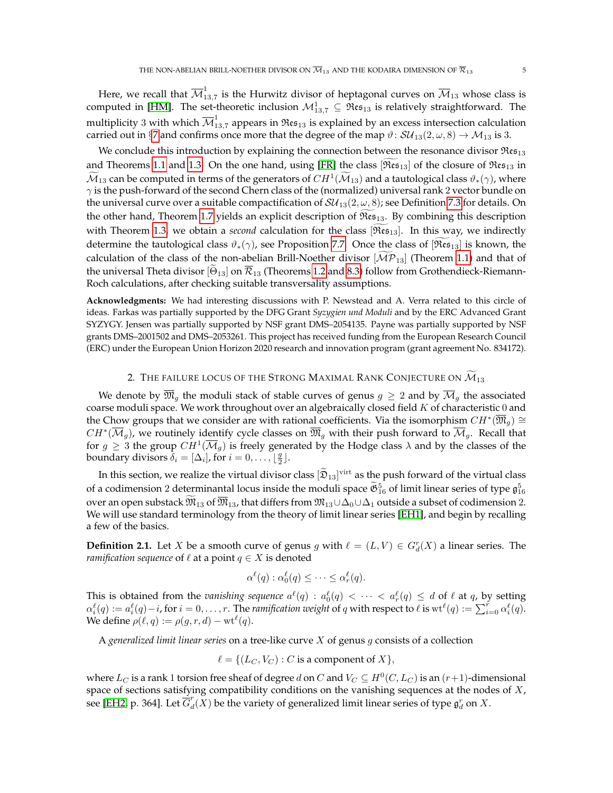Here, we recall that  $\overline{\mathcal{M}}_{1}^{1}$  $\frac{1}{13,7}$  is the Hurwitz divisor of heptagonal curves on  $\mathcal{M}_{13}$  whose class is computed in [\[HM\]](#page-41-0). The set-theoretic inclusion  $\mathcal{M}^1_{13,7} \subseteq \mathfrak{Res}_{13}$  is relatively straightforward. The multiplicity 3 with which  $\overline{\mathcal{M}}^1_{13,7}$  appears in  $\mathfrak{Res}_{13}$  is explained by an excess intersection calculation carried out in §[7](#page-33-0) and confirms once more that the degree of the map  $\vartheta$ :  $SU_{13}(2,\omega,8) \rightarrow \mathcal{M}_{13}$  is 3.

We conclude this introduction by explaining the connection between the resonance divisor  $\Re \epsilon_{13}$ and Theorems [1.1](#page-1-2) and [1.3.](#page-2-1) On the one hand, using [\[FR\]](#page-41-25) the class [ $\Re \epsilon_{13}$ ] of the closure of  $\Re \epsilon_{13}$  in  $\widetilde{M}_{13}$  can be computed in terms of the generators of  $CH^1(\widetilde{M}_{13})$  and a tautological class  $\vartheta_*(\gamma)$ , where  $\gamma$  is the push-forward of the second Chern class of the (normalized) universal rank 2 vector bundle on the universal curve over a suitable compactification of  $SU_{13}(2,\omega,8)$ ; see Definition [7.3](#page-34-0) for details. On the other hand, Theorem [1.7](#page-3-1) yields an explicit description of  $\Re \epsilon_{13}$ . By combining this description with Theorem [1.3,](#page-2-1) we obtain a *second* calculation for the class [ $\Rees_{13}$ ]. In this way, we indirectly determine the tautological class  $\vartheta_*(\gamma)$ , see Proposition [7.7.](#page-36-0) Once the class of  $[\Re \epsilon_{13}]$  is known, the calculation of the class of the non-abelian Brill-Noether divisor  $[\mathcal{MP}_{13}]$  (Theorem [1.1\)](#page-1-2) and that of the universal Theta divisor  $[\Theta_{13}]$  on  $\mathcal{R}_{13}$  (Theorems [1.2](#page-2-0) and [8.3\)](#page-39-0) follow from Grothendieck-Riemann-Roch calculations, after checking suitable transversality assumptions.

**Acknowledgments:** We had interesting discussions with P. Newstead and A. Verra related to this circle of ideas. Farkas was partially supported by the DFG Grant *Syzygien und Moduli* and by the ERC Advanced Grant SYZYGY. Jensen was partially supported by NSF grant DMS–2054135. Payne was partially supported by NSF grants DMS–2001502 and DMS–2053261. This project has received funding from the European Research Council (ERC) under the European Union Horizon 2020 research and innovation program (grant agreement No. 834172).

# 2. THE FAILURE LOCUS OF THE STRONG MAXIMAL RANK CONJECTURE ON  $\widetilde{\mathcal{M}}_{13}$

<span id="page-4-0"></span>We denote by  $\overline{\mathfrak{M}}_g$  the moduli stack of stable curves of genus  $g \geq 2$  and by  $\overline{\mathcal{M}}_g$  the associated coarse moduli space. We work throughout over an algebraically closed field  $K$  of characteristic  $0$  and the Chow groups that we consider are with rational coefficients. Via the isomorphism  $CH^*(\overline{\mathfrak{M}}_g) \cong$  $CH^*(\overline{\mathcal M}_g)$ , we routinely identify cycle classes on  $\overline{\mathfrak M}_g$  with their push forward to  $\overline{\mathcal M}_g.$  Recall that for  $g\geq 3$  the group  $CH^1(\overline{\mathcal M}_g)$  is freely generated by the Hodge class  $\lambda$  and by the classes of the boundary divisors  $\tilde{\delta}_i = [\Delta_i]$ , for  $i = 0, \ldots, \lfloor \frac{g}{2} \rfloor$ .

In this section, we realize the virtual divisor class  $[\mathfrak{D}_{13}]$ <sup>virt</sup> as the push forward of the virtual class of a codimension 2 determinantal locus inside the moduli space  $\tilde{\mathfrak{G}}_{16}^5$  of limit linear series of type  $\mathfrak{g}_{16}^5$ over an open substack  $\overline{\mathfrak{M}}_{13}$  of  $\overline{\mathfrak{M}}_{13}$ , that differs from  $\mathfrak{M}_{13}\cup \Delta_0\cup \Delta_1$  outside a subset of codimension 2. We will use standard terminology from the theory of limit linear series [\[EH1\]](#page-41-26), and begin by recalling a few of the basics.

**Definition 2.1.** Let X be a smooth curve of genus g with  $\ell = (L, V) \in G_d^r(X)$  a linear series. The *ramification sequence* of  $\ell$  at a point  $q \in X$  is denoted

$$
\alpha^{\ell}(q) : \alpha_0^{\ell}(q) \leq \cdots \leq \alpha_r^{\ell}(q).
$$

This is obtained from the *vanishing sequence*  $a^{\ell}(q)$  :  $a^{\ell}_0(q)$  <  $\cdots$  <  $a^{\ell}_r(q) \leq d$  of  $\ell$  at  $q$ , by setting  $\alpha_i^\ell(q):=a_i^\ell(q)-i$ , for  $i=0,\ldots,r.$  The *ramification weight* of  $q$  with respect to  $\ell$  is  $\mathrm{wt}^\ell(q):=\sum_{i=0}^r\alpha_i^\ell(q).$ We define  $\rho(\ell, q) := \rho(g, r, d) - \text{wt}^{\ell}(q)$ .

A *generalized limit linear series* on a tree-like curve X of genus g consists of a collection

$$
\ell = \{ (L_C, V_C) : C \text{ is a component of } X \},
$$

where  $L_C$  is a rank 1 torsion free sheaf of degree d on  $C$  and  $V_C \subseteq H^0(C, L_C)$  is an  $(r+1)$ -dimensional space of sections satisfying compatibility conditions on the vanishing sequences at the nodes of  $X$ , see [\[EH2,](#page-41-1) p. 364]. Let  $\overline{\vec{G}}^r_d$  $d(X)$  be the variety of generalized limit linear series of type  $\mathfrak{g}^r_d$  on  $X.$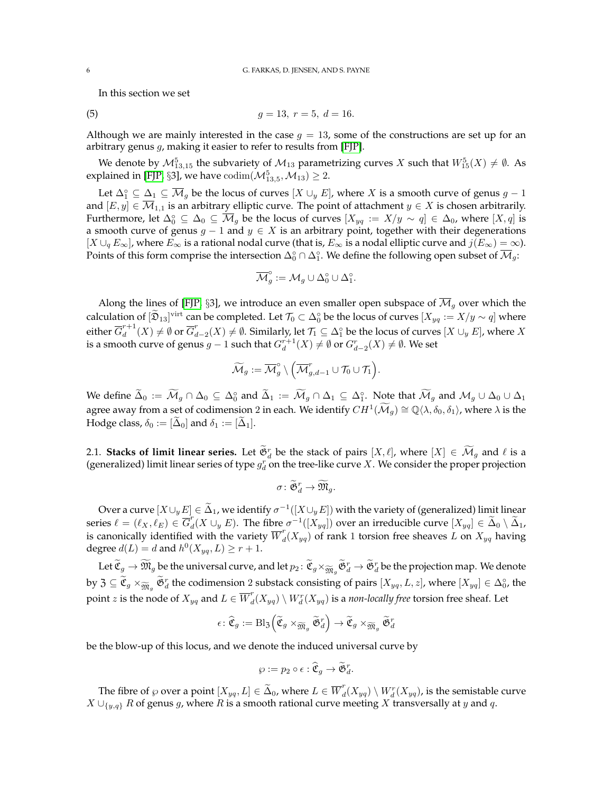In this section we set

(5) 
$$
g = 13, r = 5, d = 16.
$$

Although we are mainly interested in the case  $g = 13$ , some of the constructions are set up for an arbitrary genus  $g$ , making it easier to refer to results from [\[FJP\]](#page-41-11).

We denote by  $\mathcal{M}^5_{13,15}$  the subvariety of  $\mathcal{M}_{13}$  parametrizing curves  $X$  such that  $W^5_{15}(X) \neq \emptyset$ . As explained in [\[FJP,](#page-41-11) §3], we have  $\mathrm{codim}(\mathcal{M}_{13,5}^5,\mathcal{M}_{13})\geq 2$ .

Let  $\Delta_1^{\circ} \subseteq \Delta_1 \subseteq \overline{\mathcal{M}}_g$  be the locus of curves  $[X \cup_y E]$ , where  $X$  is a smooth curve of genus  $g-1$ and  $[E, y] \in \overline{\mathcal{M}}_{1,1}$  is an arbitrary elliptic curve. The point of attachment  $y \in X$  is chosen arbitrarily. Furthermore, let  $\Delta_0^\circ\subseteq\Delta_0\subseteq\overline{\mathcal M}_g$  be the locus of curves  $[X_{yq}:=X/y\sim q]\in\Delta_0$ , where  $[X,q]$  is a smooth curve of genus  $g - 1$  and  $y \in X$  is an arbitrary point, together with their degenerations  $[X \cup_q E_\infty]$ , where  $E_\infty$  is a rational nodal curve (that is,  $E_\infty$  is a nodal elliptic curve and  $j(E_\infty) = \infty$ ). Points of this form comprise the intersection  $\Delta_0^\circ \cap \Delta_1^\circ.$  We define the following open subset of  $\overline{\mathcal M}_g$ :

$$
\overline{\mathcal{M}}_g^\circ := \mathcal{M}_g \cup \Delta_0^\circ \cup \Delta_1^\circ.
$$

Along the lines of [\[FJP,](#page-41-11) §3], we introduce an even smaller open subspace of  $\overline{\mathcal{M}}_q$  over which the calculation of  $[\mathfrak{D}_{13}]^{\text{virt}}$  can be completed. Let  $\mathcal{T}_0 \subset \Delta_0^{\circ}$  be the locus of curves  $[X_{yq} := X/y \sim q]$  where either  $\overline{G}^{r+1}_d$  $\int_{d}^{r+1}(X)\neq\emptyset$  or  $\overline{G}_{d}^{r}$  $d_{d-2}^r(X) \neq \emptyset$ . Similarly, let  $\mathcal{T}_1 \subseteq \Delta_1^\circ$  be the locus of curves  $[X \cup_y E]$ , where  $X$ is a smooth curve of genus  $g-1$  such that  $G_d^{r+1}(X) \neq \emptyset$  or  $G_{d-2}^r(X) \neq \emptyset$ . We set

$$
\widetilde{\mathcal{M}}_g := \overline{\mathcal{M}}_g^{\circ} \setminus \Big( \overline{\mathcal{M}}_{g, d-1}^r \cup \mathcal{T}_0 \cup \mathcal{T}_1 \Big).
$$

We define  $\tilde{\Delta}_0 := \tilde{M}_g \cap \Delta_0 \subseteq \Delta_0^\circ$  and  $\tilde{\Delta}_1 := \tilde{M}_g \cap \Delta_1 \subseteq \Delta_1^\circ$ . Note that  $\tilde{M}_g$  and  $M_g \cup \Delta_0 \cup \Delta_1$ agree away from a set of codimension 2 in each. We identify  $CH^1(\widetilde{\mathcal{M}}_g) \cong \mathbb{Q}\langle \lambda, \delta_0, \delta_1 \rangle$ , where  $\lambda$  is the Hodge class,  $\delta_0 := [\Delta_0]$  and  $\delta_1 := [\Delta_1]$ .

2.1. **Stacks of limit linear series.** Let  $\mathfrak{S}_d^r$  be the stack of pairs  $[X, \ell]$ , where  $[X] \in \mathcal{M}_g$  and  $\ell$  is a (generalized) limit linear series of type  $g_d^r$  on the tree-like curve X. We consider the proper projection

$$
\sigma\colon \widetilde{\mathfrak G}^r_d\to \widetilde{\mathfrak M}_g.
$$

Over a curve  $[X\cup_y E]\in \tilde{\Delta}_1$ , we identify  $\sigma^{-1}([X\cup_y E])$  with the variety of (generalized) limit linear series  $\ell = (\ell_X, \ell_E) \in \overline{G}_d^r$  $d_d^T(X \cup_y E)$ . The fibre  $\sigma^{-1}([X_{yq}])$  over an irreducible curve  $[X_{yq}] \in \tilde{\Delta}_0 \setminus \tilde{\Delta}_1$ , is canonically identified with the variety  $\overline{W}_d^r$  $d_{d}(X_{yq})$  of rank 1 torsion free sheaves L on  $X_{yq}$  having degree  $d(L) = d$  and  $h^0(X_{yq}, L) \ge r + 1$ .

Let  $\widetilde{\mathfrak{C}}_g \to \widetilde{\mathfrak{M}}_g$  be the universal curve, and let  $p_2 \colon \widetilde{\mathfrak{C}}_g \times_{\widetilde{\mathfrak{M}}_g} \widetilde{\mathfrak{G}}_d^r \to \widetilde{\mathfrak{G}}_d^r$  be the projection map. We denote by  $\mathfrak{Z} \subseteq \widetilde{\mathfrak{C}}_g \times_{\widetilde{\mathfrak{M}}_g} \widetilde{\mathfrak{G}}_d^r$  the codimension 2 substack consisting of pairs  $[X_{yq}, L, z]$ , where  $[X_{yq}] \in \Delta_0^{\circ}$ , the point *z* is the node of  $X_{yq}$  and  $L \in \overline{W}_d^r$  $d^r_d(X_{yq})\setminus W^r_d(X_{yq})$  is a *non-locally free* torsion free sheaf. Let

$$
\epsilon\colon\widehat{\mathfrak{C}}_g:=\operatorname{Bl}_{\mathfrak{Z}}\!\left(\widetilde{\mathfrak{C}}_g\times_{\widetilde{\mathfrak{M}}_g}\widetilde{\mathfrak{G}}_d^r\right)\to \widetilde{\mathfrak{C}}_g\times_{\widetilde{\mathfrak{M}}_g}\widetilde{\mathfrak{G}}_d^r
$$

be the blow-up of this locus, and we denote the induced universal curve by

$$
\wp:=p_2\circ\epsilon:\widehat{\mathfrak{C}}_g\rightarrow\widetilde{\mathfrak{G}}^r_d.
$$

The fibre of  $\wp$  over a point  $[X_{yq}, L] \in \widetilde{\Delta}_0$ , where  $L \in \overline{W}^r_d$  $d^r_d(X_{yq})\setminus W^r_d(X_{yq})$ , is the semistable curve  $X \cup_{\{y,q\}} R$  of genus g, where R is a smooth rational curve meeting X transversally at y and q.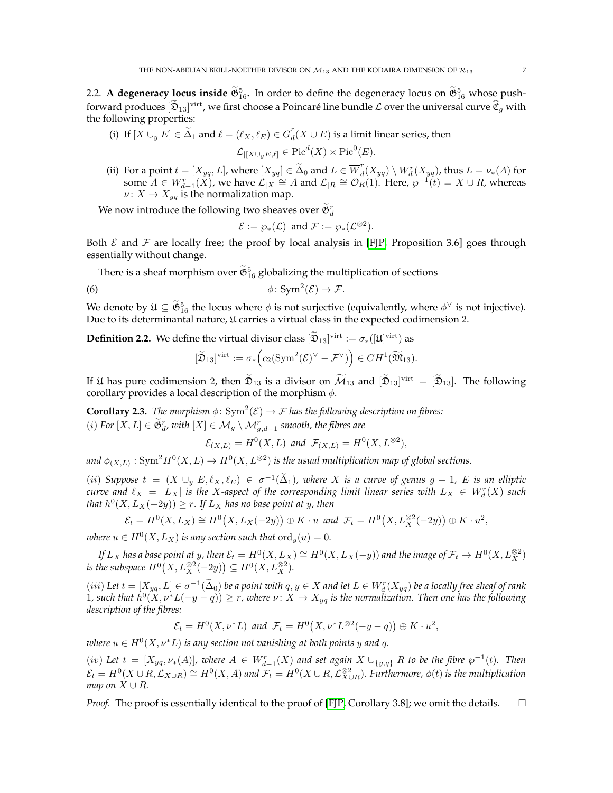2.2. **A degeneracy locus inside**  $\tilde{\mathfrak{G}}_{16}^5$ . In order to define the degeneracy locus on  $\tilde{\mathfrak{G}}_{16}^5$  whose pushforward produces  $[\mathfrak{D}_{13}]^{\text{virt}}$ , we first choose a Poincaré line bundle  $\mathcal L$  over the universal curve  $\mathfrak{C}_g$  with the following properties:

(i) If  $[X \cup_y E] \in \widetilde{\Delta}_1$  and  $\ell = (\ell_X, \ell_E) \in \overline{G}_d^r$  $d_{d}(X \cup E)$  is a limit linear series, then  $\mathcal{L}_{|[X\cup_y E,\ell]} \in \text{Pic}^d(X) \times \text{Pic}^0(E).$ 

(ii) For a point 
$$
t = [X_{yq}, L]
$$
, where  $[X_{yq}] \in \tilde{\Delta}_0$  and  $L \in \overline{W}_d^r(X_{yq}) \setminus W_d^r(X_{yq})$ , thus  $L = \nu_*(A)$  for some  $A \in W_{d-1}^r(X)$ , we have  $\mathcal{L}_{|X} \cong A$  and  $\mathcal{L}_{|R} \cong \mathcal{O}_R(1)$ . Here,  $\wp^{-1}(t) = X \cup R$ , whereas  $\nu: X \to X_{yq}$  is the normalization map.

We now introduce the following two sheaves over  $\tilde{\mathfrak{G}}^r_d$ 

$$
\mathcal{E} := \wp_*(\mathcal{L}) \text{ and } \mathcal{F} := \wp_*(\mathcal{L}^{\otimes 2}).
$$

Both  $\mathcal E$  and  $\mathcal F$  are locally free; the proof by local analysis in [\[FJP,](#page-41-11) Proposition 3.6] goes through essentially without change.

There is a sheaf morphism over  $\mathfrak{G}^5_{16}$  globalizing the multiplication of sections

(6) 
$$
\phi\colon \mathrm{Sym}^2(\mathcal{E})\to \mathcal{F}.
$$

We denote by  $\mathfrak{U} \subseteq \mathfrak{G}_{16}^5$  the locus where  $\phi$  is not surjective (equivalently, where  $\phi^\vee$  is not injective). Due to its determinantal nature,  $\mathfrak U$  carries a virtual class in the expected codimension 2.

<span id="page-6-0"></span>**Definition 2.2.** We define the virtual divisor class  $[\tilde{\mathfrak{D}}_{13}]^{\text{virt}} := \sigma_*([\mathfrak{U}]^{\text{virt}})$  as

$$
[\widetilde{\mathfrak{D}}_{13}]^{\text{virt}} := \sigma_* \Big( c_2(\text{Sym}^2(\mathcal{E})^{\vee} - \mathcal{F}^{\vee}) \Big) \in CH^1(\widetilde{\mathfrak{M}}_{13}).
$$

If  $\mathfrak U$  has pure codimension 2, then  $\mathfrak{D}_{13}$  is a divisor on  $\mathcal M_{13}$  and  $[\mathfrak{D}_{13}]$ <sup>virt</sup> =  $[\mathfrak{D}_{13}]$ . The following corollary provides a local description of the morphism  $\phi$ .

**Corollary 2.3.** *The morphism*  $\phi$ :  $\text{Sym}^2(\mathcal{E}) \to \mathcal{F}$  *has the following description on fibres:*  $(i)$  *For*  $[X, L]$  ∈  $\mathfrak{S}_{d}^{r}$ , with  $[X]$  ∈  $\mathcal{M}_g \setminus \mathcal{M}_{g,d-1}^{r}$  smooth, the fibres are

 $\mathcal{E}_{(X,L)} = H^0(X,L)$  and  $\mathcal{F}_{(X,L)} = H^0(X,L^{\otimes 2}),$ 

and  $\phi_{(X,L)}: \mathrm{Sym}^2 H^0(X,L) \to H^0(X,L^{\otimes 2})$  is the usual multiplication map of global sections.

(*ii*) *Suppose*  $t = (X \cup_y E, \ell_X, \ell_E) \in \sigma^{-1}(\tilde{\Delta}_1)$ , where X is a curve of genus  $g - 1$ , E is an elliptic *curve and*  $\ell_X = |L_X|$  *is the X-aspect of the corresponding limit linear series with*  $L_X \in W_d^r(X)$  *such that*  $h^0(X, L_X(-2y)) \ge r$ . If  $L_X$  has no base point at y, then

$$
\mathcal{E}_t = H^0(X, L_X) \cong H^0(X, L_X(-2y)) \oplus K \cdot u \text{ and } \mathcal{F}_t = H^0(X, L_X^{\otimes 2}(-2y)) \oplus K \cdot u^2,
$$

*where*  $u \in H^0(X, L_X)$  *is any section such that*  $\text{ord}_y(u) = 0$ *.* 

*If*  $L_X$  *has a base point at y, then*  $\mathcal{E}_t=H^0(X,L_X)\cong H^0(X,L_X(-y))$  *and the image of*  $\mathcal{F}_t\to H^0(X,L_X^{\otimes 2})$ *is the subspace*  $H^0(X, L_X^{\otimes 2}(-2y)) \subseteq H^0(X, L_X^{\otimes 2})$ *.* 

(*iii*) Let  $t = [X_{yq}, L] \in \sigma^{-1}(\tilde{\Delta}_0)$  be a point with  $q, y \in X$  and let  $L \in W_d^r(X_{yq})$  be a locally free sheaf of rank (*tu*) Let  $t = [A_{yq}, B] \in \mathcal{O}$  ( $\Delta_0$ ) be a point with  $q, y \in X$  and let  $L \in W_d(A_{yq})$  be a locally free sheaf of rank<br>1, such that  $h^0(X, \nu^*L(-y - q)) \ge r$ , where  $\nu: X \to X_{yq}$  is the normalization. Then one has the followin *description of the fibres:*

$$
\mathcal{E}_t = H^0(X, \nu^*L) \text{ and } \mathcal{F}_t = H^0(X, \nu^*L^{\otimes 2}(-y-q)) \oplus K \cdot u^2,
$$

 $\omega$ here  $u \in H^0(X, \nu^*L)$  is any section not vanishing at both points  $y$  and  $q$ .

 $(iv)$  *Let*  $t = [X_{yq}, \nu_*(A)]$ , where  $A \in W^r_{d-1}(X)$  and set again  $X \cup_{\{y,q\}} R$  to be the fibre  $\wp^{-1}(t)$ . Then  $\mathcal{E}_t = H^0(X \cup R, \mathcal{L}_{X \cup R}) \cong H^0(X, A)$  and  $\mathcal{F}_t = H^0(X \cup R, \mathcal{L}_{X \cup R}^{\otimes 2})$ . Furthermore,  $\phi(t)$  is the multiplication *map on*  $X \cup R$ *.* 

*Proof.* The proof is essentially identical to the proof of [\[FJP,](#page-41-11) Corollary 3.8]; we omit the details.  $\square$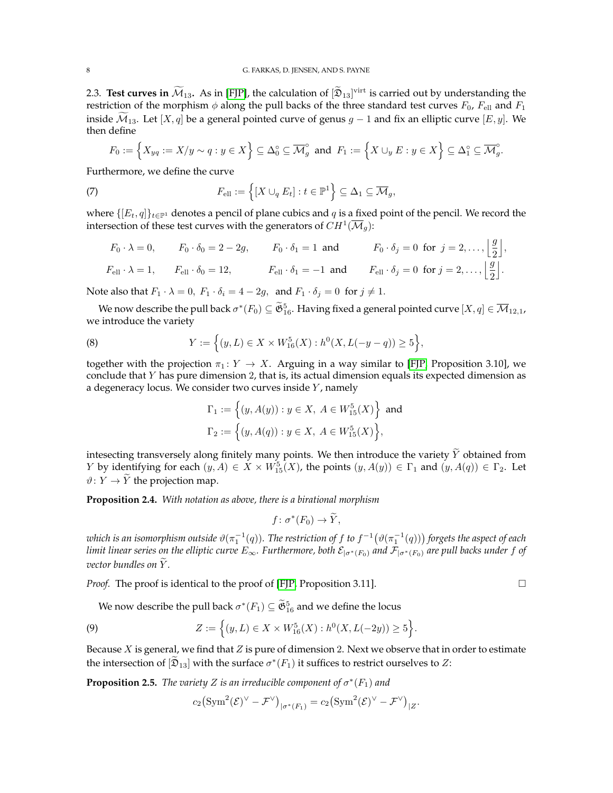2.3. **Test curves in**  $\mathcal{M}_{13}$ . As in [\[FJP\]](#page-41-11), the calculation of  $[\mathfrak{D}_{13}]$ <sup>virt</sup> is carried out by understanding the restriction of the morphism  $\phi$  along the pull backs of the three standard test curves  $F_0$ ,  $F_{\text{ell}}$  and  $F_1$ inside  $\mathcal{M}_{13}$ . Let [X, q] be a general pointed curve of genus g – 1 and fix an elliptic curve [E, y]. We then define

<span id="page-7-4"></span>
$$
F_0:=\Big\{X_{yq}:=X/y\sim q:y\in X\Big\}\subseteq \Delta_0^\circ\subseteq \overline{\mathcal{M}}_g^\circ\ \text{ and }\ F_1:=\Big\{X\cup_y E:y\in X\Big\}\subseteq \Delta_1^\circ\subseteq \overline{\mathcal{M}}_g^\circ.
$$

Furthermore, we define the curve

(7) 
$$
F_{\text{ell}} := \left\{ [X \cup_q E_t] : t \in \mathbb{P}^1 \right\} \subseteq \Delta_1 \subseteq \overline{\mathcal{M}}_g,
$$

where  $\{[E_t, q]\}_{t\in\mathbb{P}^1}$  denotes a pencil of plane cubics and q is a fixed point of the pencil. We record the intersection of these test curves with the generators of  $CH^1(\overline{\mathcal M}_g)$ :

$$
F_0 \cdot \lambda = 0, \qquad F_0 \cdot \delta_0 = 2 - 2g, \qquad F_0 \cdot \delta_1 = 1 \text{ and } \qquad F_0 \cdot \delta_j = 0 \text{ for } j = 2, \dots, \left\lfloor \frac{g}{2} \right\rfloor,
$$
  

$$
F_{\text{ell}} \cdot \lambda = 1, \qquad F_{\text{ell}} \cdot \delta_0 = 12, \qquad F_{\text{ell}} \cdot \delta_1 = -1 \text{ and } \qquad F_{\text{ell}} \cdot \delta_j = 0 \text{ for } j = 2, \dots, \left\lfloor \frac{g}{2} \right\rfloor.
$$

Note also that  $F_1 \cdot \lambda = 0$ ,  $F_1 \cdot \delta_i = 4 - 2g$ , and  $F_1 \cdot \delta_j = 0$  for  $j \neq 1$ .

We now describe the pull back  $\sigma^*(F_0) \subseteq \widetilde{\mathfrak{G}}_{16}^5$ . Having fixed a general pointed curve  $[X, q] \in \overline{\mathcal{M}}_{12,1}$ , we introduce the variety

(8) 
$$
Y := \left\{ (y, L) \in X \times W_{16}^5(X) : h^0(X, L(-y - q)) \ge 5 \right\},\
$$

together with the projection  $\pi_1 : Y \to X$ . Arguing in a way similar to [\[FJP,](#page-41-11) Proposition 3.10], we conclude that  $Y$  has pure dimension  $2$ , that is, its actual dimension equals its expected dimension as a degeneracy locus. We consider two curves inside  $Y$ , namely

<span id="page-7-1"></span>
$$
\Gamma_1 := \left\{ (y, A(y)) : y \in X, \ A \in W_{15}^5(X) \right\} \text{ and}
$$
  
\n
$$
\Gamma_2 := \left\{ (y, A(q)) : y \in X, \ A \in W_{15}^5(X) \right\},
$$

intesecting transversely along finitely many points. We then introduce the variety  $\widetilde{Y}$  obtained from *Y* by identifying for each  $(y, A) \in X \times W^5_{15}(X)$ , the points  $(y, A(y)) \in \Gamma_1$  and  $(y, A(q)) \in \Gamma_2$ . Let  $\vartheta: Y \to \widetilde{Y}$  the projection map.

<span id="page-7-3"></span>**Proposition 2.4.** *With notation as above, there is a birational morphism*

$$
f\colon \sigma^*(F_0)\to \widetilde{Y},
$$

which is an isomorphism outside  $\vartheta(\pi_1^{-1}(q))$ . The restriction of  $f$  to  $f^{-1}\big(\vartheta(\pi_1^{-1}(q))\big)$  forgets the aspect of each *limit linear series on the elliptic curve*  $E_\infty$ . Furthermore, both  $\mathcal{E}_{|\sigma^*(F_0)}$  *and*  $\mathcal{F}_{|\sigma^*(F_0)}$  *are pull backs under* f of *vector bundles on Y.* 

*Proof.* The proof is identical to the proof of [\[FJP,](#page-41-11) Proposition 3.11]. □

We now describe the pull back  $\sigma^*(F_1) \subseteq \widetilde{\mathfrak{G}}_{16}^5$  and we define the locus

(9) 
$$
Z := \left\{ (y, L) \in X \times W_{16}^5(X) : h^0(X, L(-2y)) \ge 5 \right\}.
$$

Because  $X$  is general, we find that  $Z$  is pure of dimension 2. Next we observe that in order to estimate the intersection of  $[\mathfrak{D}_{13}]$  with the surface  $\sigma^*(F_1)$  it suffices to restrict ourselves to Z:

<span id="page-7-2"></span>**Proposition 2.5.** *The variety Z is an irreducible component of*  $\sigma^*(F_1)$  *and* 

<span id="page-7-0"></span>
$$
c_2\left(\operatorname{Sym}^2(\mathcal{E})^\vee-\mathcal{F}^\vee\right)_{|\sigma^*(F_1)}=c_2\left(\operatorname{Sym}^2(\mathcal{E})^\vee-\mathcal{F}^\vee\right)_{|Z}.
$$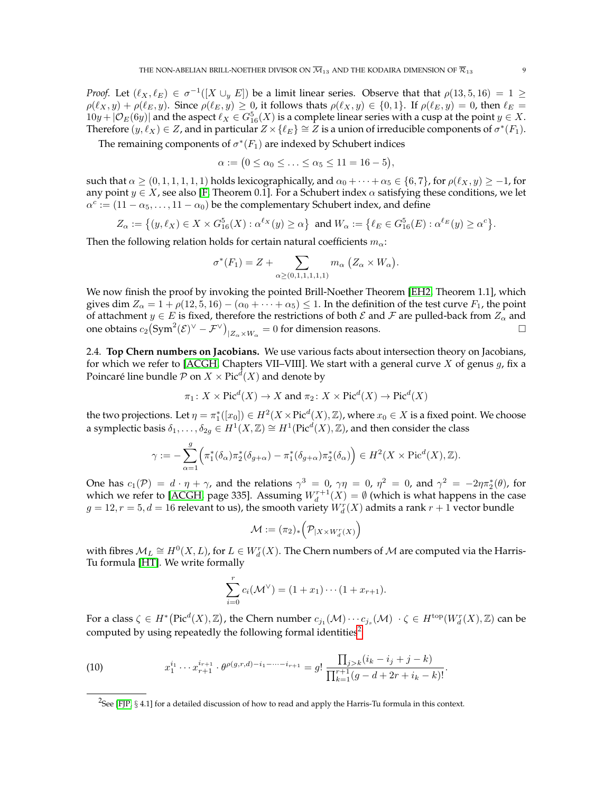*Proof.* Let  $(\ell_X, \ell_E) \in \sigma^{-1}([X \cup_y E])$  be a limit linear series. Observe that that  $\rho(13, 5, 16) = 1 \geq 1$  $\rho(\ell_X, y) + \rho(\ell_E, y)$ . Since  $\rho(\ell_E, y) \ge 0$ , it follows thats  $\rho(\ell_X, y) \in \{0, 1\}$ . If  $\rho(\ell_E, y) = 0$ , then  $\ell_E =$  $10y + |\mathcal{O}_E(6y)|$  and the aspect  $\ell_X \in G_{16}^5(X)$  is a complete linear series with a cusp at the point  $y \in X$ . Therefore  $(y, \ell_X) \in Z$ , and in particular  $Z \times {\ell_E} \cong Z$  is a union of irreducible components of  $\sigma^*(F_1)$ .

The remaining components of  $\sigma^*(F_1)$  are indexed by Schubert indices

$$
\alpha := \big(0 \leq \alpha_0 \leq \ldots \leq \alpha_5 \leq 11 = 16 - 5\big),
$$

such that  $\alpha \geq (0, 1, 1, 1, 1, 1)$  holds lexicographically, and  $\alpha_0 + \cdots + \alpha_5 \in \{6, 7\}$ , for  $\rho(\ell_X, y) \geq -1$ , for any point  $y \in X$ , see also [\[F,](#page-41-9) Theorem 0.1]. For a Schubert index  $\alpha$  satisfying these conditions, we let  $\alpha^c := (11 - \alpha_5, \dots, 11 - \alpha_0)$  be the complementary Schubert index, and define

$$
Z_\alpha:=\big\{(y,\ell_X)\in X\times G^5_{16}(X): \alpha^{\ell_X}(y)\geq \alpha\big\}\ \text{ and } W_\alpha:=\big\{\ell_E\in G^5_{16}(E): \alpha^{\ell_E}(y)\geq \alpha^c\big\}.
$$

Then the following relation holds for certain natural coefficients  $m_{\alpha}$ :

$$
\sigma^*(F_1) = Z + \sum_{\alpha \ge (0,1,1,1,1,1)} m_\alpha \left(Z_\alpha \times W_\alpha\right).
$$

We now finish the proof by invoking the pointed Brill-Noether Theorem [\[EH2,](#page-41-1) Theorem 1.1], which gives dim  $Z_\alpha = 1 + \rho(12, 5, 16) - (\alpha_0 + \cdots + \alpha_5) \leq 1$ . In the definition of the test curve  $F_1$ , the point of attachment  $y \in E$  is fixed, therefore the restrictions of both  $\mathcal E$  and  $\mathcal F$  are pulled-back from  $Z_\alpha$  and one obtains  $c_2 \left(\text{Sym}^2(\mathcal{E})^{\vee} - \mathcal{F}^{\vee}\right)_{|Z_{\alpha} \times W_{\alpha}} = 0$  for dimension reasons.

2.4. **Top Chern numbers on Jacobians.** We use various facts about intersection theory on Jacobians, for which we refer to [\[ACGH,](#page-41-27) Chapters VII-VIII]. We start with a general curve  $X$  of genus  $g$ , fix a Poincaré line bundle  ${\mathcal P}$  on  $X\times {\rm Pic}^d(X)$  and denote by

$$
\pi_1
$$
:  $X \times Pic^d(X) \to X$  and  $\pi_2$ :  $X \times Pic^d(X) \to Pic^d(X)$ 

the two projections. Let  $\eta=\pi_1^*([x_0])\in H^2(X\times \mathrm{Pic}^d(X),\mathbb{Z})$ , where  $x_0\in X$  is a fixed point. We choose a symplectic basis  $\delta_1,\ldots,\delta_{2g}\in H^1(X,\mathbb{Z})\cong H^1(\mathrm{Pic}^d(X),\mathbb{Z})$ , and then consider the class

$$
\gamma := -\sum_{\alpha=1}^g \Bigl(\pi_1^*(\delta_\alpha)\pi_2^*(\delta_{g+\alpha}) - \pi_1^*(\delta_{g+\alpha})\pi_2^*(\delta_\alpha)\Bigr) \in H^2(X \times \mathrm{Pic}^d(X), \mathbb{Z}).
$$

One has  $c_1(\mathcal{P}) = d \cdot \eta + \gamma$ , and the relations  $\gamma^3 = 0$ ,  $\gamma \eta = 0$ ,  $\eta^2 = 0$ , and  $\gamma^2 = -2\eta \pi_2^*(\theta)$ , for which we refer to [\[ACGH,](#page-41-27) page 335]. Assuming  $W_d^{r+1}(X) = \emptyset$  (which is what happens in the case  $g = 12, r = 5, d = 16$  relevant to us), the smooth variety  $W_d^r(X)$  admits a rank  $r + 1$  vector bundle

$$
\mathcal{M}:=(\pi_2)_*\Big(\mathcal{P}_{|X\times W^r_d(X)}\Big)
$$

with fibres  $\mathcal{M}_L \cong H^0(X, L)$ , for  $L \in W^r_d(X)$ . The Chern numbers of  $\mathcal M$  are computed via the Harris-Tu formula [\[HT\]](#page-41-28). We write formally

$$
\sum_{i=0}^{r} c_i(\mathcal{M}^{\vee}) = (1 + x_1) \cdots (1 + x_{r+1}).
$$

For a class  $\zeta \in H^* \big(\text{Pic}^d(X), \mathbb{Z} \big)$ , the Chern number  $c_{j_1}(\mathcal{M}) \cdots c_{j_s}(\mathcal{M}) \; \cdot \zeta \in H^{\text{top}} (W^r_d(X), \mathbb{Z})$  can be computed by using repeatedly the following formal identities<sup>[2](#page-8-0)</sup>:

<span id="page-8-1"></span>(10) 
$$
x_1^{i_1} \cdots x_{r+1}^{i_{r+1}} \cdot \theta^{\rho(g,r,d)-i_1-\cdots-i_{r+1}} = g! \frac{\prod_{j>k} (i_k - i_j + j - k)}{\prod_{k=1}^{r+1} (g - d + 2r + i_k - k)!}.
$$

<span id="page-8-0"></span> $^2$ See [\[FJP,](#page-41-11)  $\S~4.1$ ] for a detailed discussion of how to read and apply the Harris-Tu formula in this context.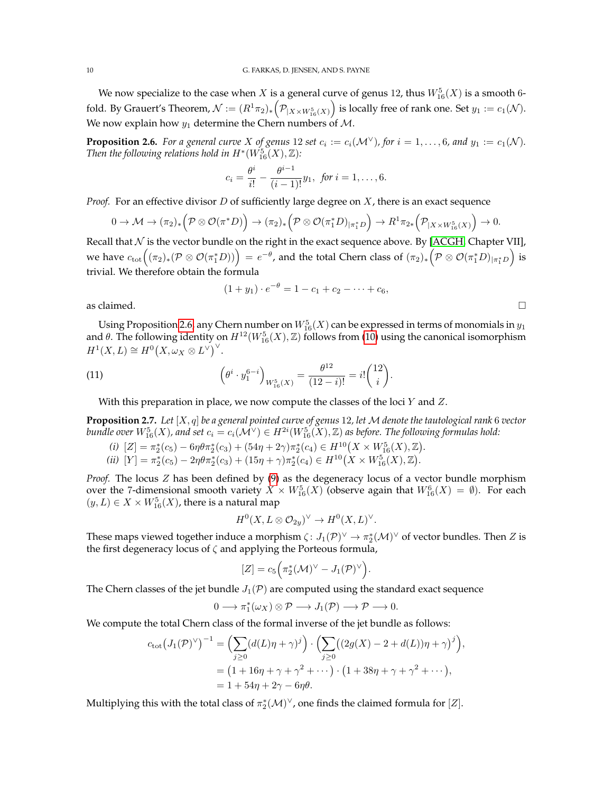We now specialize to the case when  $X$  is a general curve of genus 12, thus  $W^5_{16}(X)$  is a smooth 6fold. By Grauert's Theorem,  $\mathcal{N}:=(R^1\pi_2)_*\Big(\mathcal{P}_{|X\times W^5_{16}(X)}\Big)$  is locally free of rank one. Set  $y_1:=c_1(\mathcal{N}).$ We now explain how  $y_1$  determine the Chern numbers of M.

<span id="page-9-0"></span>**Proposition 2.6.** For a general curve X of genus 12 set  $c_i := c_i(\mathcal{M}^{\vee})$ , for  $i = 1, ..., 6$ , and  $y_1 := c_1(\mathcal{N})$ . *Then the following relations hold in*  $H^*(W_{16}^{5}(X),\mathbb{Z})$ :

$$
c_i = \frac{\theta^i}{i!} - \frac{\theta^{i-1}}{(i-1)!}y_1, \text{ for } i = 1, \dots, 6.
$$

*Proof.* For an effective divisor D of sufficiently large degree on  $X$ , there is an exact sequence

$$
0 \to \mathcal{M} \to (\pi_2)_* \left(\mathcal{P} \otimes \mathcal{O}(\pi^* D)\right) \to (\pi_2)_* \left(\mathcal{P} \otimes \mathcal{O}(\pi_1^* D)_{|\pi_1^* D}\right) \to R^1 \pi_{2*} \left(\mathcal{P}_{|X \times W_{16}^5(X)}\right) \to 0.
$$

Recall that  $N$  is the vector bundle on the right in the exact sequence above. By [\[ACGH,](#page-41-27) Chapter VII], we have  $c_\text{tot}\Big((\pi_2)_*(\mathcal P\otimes \mathcal O(\pi_1^*D))\Big)\,=\,e^{-\theta}$ , and the total Chern class of  $(\pi_2)_*\Big(\mathcal P\otimes \mathcal O(\pi_1^*D)_{|\pi_1^*D}\Big)$  is trivial. We therefore obtain the formula

<span id="page-9-2"></span>
$$
(1 + y1) \cdot e^{-\theta} = 1 - c_1 + c_2 - \dots + c_6,
$$

as claimed.  $\Box$ 

Using Proposition [2.6,](#page-9-0) any Chern number on  $W^5_{16}(X)$  can be expressed in terms of monomials in  $y_1$ and  $\theta$ . The following identity on  $H^{12}(W^5_{16}(X),\mathbb{Z})$  follows from [\(10\)](#page-8-1) using the canonical isomorphism  $H^1(X, L) \cong H^0(X, \omega_X \otimes L^{\vee})^{\vee}.$ 

(11) 
$$
\left(\theta^{i} \cdot y_{1}^{6-i}\right)_{W_{16}^{5}(X)} = \frac{\theta^{12}}{(12-i)!} = i! \binom{12}{i}.
$$

With this preparation in place, we now compute the classes of the loci  $Y$  and  $Z$ .

<span id="page-9-1"></span>**Proposition 2.7.** *Let* [X, q] *be a general pointed curve of genus* 12*, let* M *denote the tautological rank* 6 *vector*  $b$ undle over  $W^5_{16}(X)$ , and set  $c_i=c_i(\mathcal{M}^\vee)\in H^{2i}(W^5_{16}(X),\mathbb{Z})$  as before. The following formulas hold:

- *(i)*  $[Z] = \pi_2^*(c_5) 6\eta\theta\pi_2^*(c_3) + (54\eta + 2\gamma)\pi_2^*(c_4) \in H^{10}(X \times W_{16}^5(X), \mathbb{Z}).$
- (*ii*)  $[Y] = \pi_2^*(c_5) 2\eta\theta\pi_2^*(c_3) + (15\eta + \gamma)\pi_2^*(c_4) \in H^{10}(X \times W_{16}^5(X), \mathbb{Z}).$

*Proof.* The locus Z has been defined by [\(9\)](#page-7-0) as the degeneracy locus of a vector bundle morphism over the 7-dimensional smooth variety  $X \times W_{16}^5(X)$  (observe again that  $W_{16}^6(X) = \emptyset$ ). For each  $(y, L) \in X \times W^5_{16}(X)$ , there is a natural map

$$
H^0(X, L \otimes \mathcal{O}_{2y})^{\vee} \to H^0(X, L)^{\vee}.
$$

These maps viewed together induce a morphism  $\zeta\colon J_1(\mathcal{P})^\vee\to\pi_2^*(\mathcal{M})^\vee$  of vector bundles. Then  $Z$  is the first degeneracy locus of  $\zeta$  and applying the Porteous formula,

$$
[Z] = c_5 \Big( \pi_2^*(\mathcal{M})^{\vee} - J_1(\mathcal{P})^{\vee} \Big).
$$

The Chern classes of the jet bundle  $J_1(\mathcal{P})$  are computed using the standard exact sequence

$$
0 \longrightarrow \pi_1^*(\omega_X) \otimes \mathcal{P} \longrightarrow J_1(\mathcal{P}) \longrightarrow \mathcal{P} \longrightarrow 0.
$$

We compute the total Chern class of the formal inverse of the jet bundle as follows:

$$
c_{\text{tot}}(J_1(\mathcal{P})^{\vee})^{-1} = \left(\sum_{j\geq 0} (d(L)\eta + \gamma)^j\right) \cdot \left(\sum_{j\geq 0} \left((2g(X) - 2 + d(L))\eta + \gamma\right)^j\right),
$$
  
=  $\left(1 + 16\eta + \gamma + \gamma^2 + \cdots\right) \cdot \left(1 + 38\eta + \gamma + \gamma^2 + \cdots\right),$   
=  $1 + 54\eta + 2\gamma - 6\eta\theta.$ 

Multiplying this with the total class of  $\pi_2^*(\mathcal{M})^{\vee}$ , one finds the claimed formula for  $[Z].$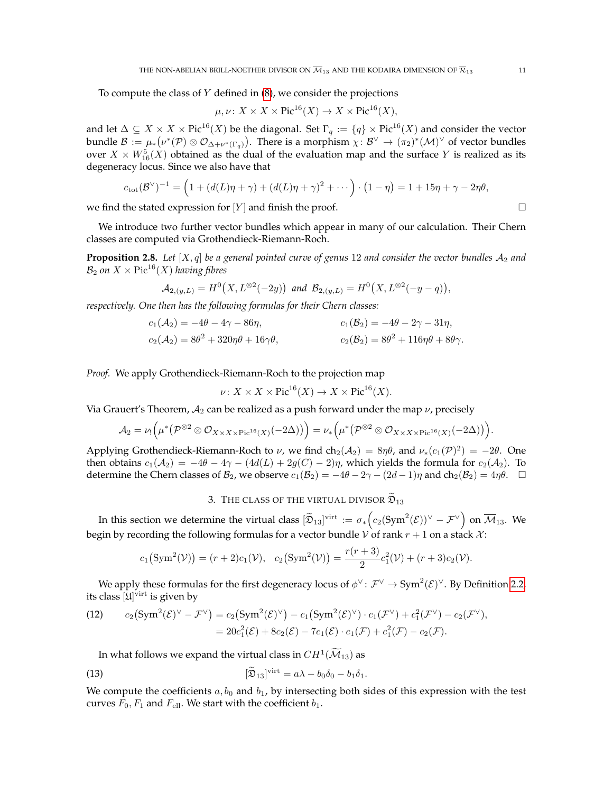To compute the class of  $Y$  defined in  $(8)$ , we consider the projections

$$
\mu, \nu \colon X \times X \times \text{Pic}^{16}(X) \to X \times \text{Pic}^{16}(X),
$$

and let  $\Delta\subseteq X\times X\times \mathrm{Pic}^{16}(X)$  be the diagonal. Set  $\Gamma_q:=\{q\}\times \mathrm{Pic}^{16}(X)$  and consider the vector bundle  $\mathcal{B} := \mu_*(\nu^*(\mathcal{P}) \otimes \mathcal{O}_{\Delta+\nu^*(\Gamma_q)})$ . There is a morphism  $\chi \colon \mathcal{B}^\vee \to (\pi_2)^*(\mathcal{M})^\vee$  of vector bundles over  $X \times W^5_{16}(X)$  obtained as the dual of the evaluation map and the surface  $Y$  is realized as its degeneracy locus. Since we also have that

$$
c_{\text{tot}}(\mathcal{B}^{\vee})^{-1} = (1 + (d(L)\eta + \gamma) + (d(L)\eta + \gamma)^2 + \cdots) \cdot (1 - \eta) = 1 + 15\eta + \gamma - 2\eta\theta,
$$

we find the stated expression for  $[Y]$  and finish the proof.

We introduce two further vector bundles which appear in many of our calculation. Their Chern classes are computed via Grothendieck-Riemann-Roch.

<span id="page-10-3"></span>**Proposition 2.8.** Let  $[X, q]$  be a general pointed curve of genus 12 and consider the vector bundles  $A_2$  and  $B_2$  *on*  $X \times Pic^{16}(X)$  *having fibres* 

$$
\mathcal{A}_{2,(y,L)}=H^0(X,L^{\otimes 2}(-2y)) \text{ and } \mathcal{B}_{2,(y,L)}=H^0(X,L^{\otimes 2}(-y-q)),
$$

*respectively. One then has the following formulas for their Chern classes:*

$$
c_1(A_2) = -4\theta - 4\gamma - 86\eta, \n c_2(A_2) = 8\theta^2 + 320\eta\theta + 16\gamma\theta, \n c_2(B_2) = 8\theta^2 + 116\eta\theta + 8\theta\gamma.
$$

*Proof.* We apply Grothendieck-Riemann-Roch to the projection map

$$
\nu \colon X \times X \times \text{Pic}^{16}(X) \to X \times \text{Pic}^{16}(X).
$$

Via Grauert's Theorem,  $A_2$  can be realized as a push forward under the map  $\nu$ , precisely

$$
A_2 = \nu_! \left( \mu^* \left( \mathcal{P}^{\otimes 2} \otimes \mathcal{O}_{X \times X \times \mathrm{Pic}^{16}(X)}(-2\Delta) \right) \right) = \nu_* \left( \mu^* \left( \mathcal{P}^{\otimes 2} \otimes \mathcal{O}_{X \times X \times \mathrm{Pic}^{16}(X)}(-2\Delta) \right) \right).
$$

Applying Grothendieck-Riemann-Roch to  $\nu$ , we find ch<sub>2</sub>( $A_2$ ) =  $8\eta\theta$ , and  $\nu_*(c_1(\mathcal{P})^2)$  =  $-2\theta$ . One then obtains  $c_1(A_2) = -4\theta - 4\gamma - (4d(L) + 2g(C) - 2)\eta$ , which yields the formula for  $c_2(A_2)$ . To determine the Chern classes of  $\mathcal{B}_2$ , we observe  $c_1(\mathcal{B}_2) = -4\theta - 2\gamma - (2d - 1)\eta$  and  $ch_2(\mathcal{B}_2) = 4\eta\theta$ .

## 3. THE CLASS OF THE VIRTUAL DIVISOR  $\widetilde{\mathfrak{D}}_{13}$

<span id="page-10-0"></span>In this section we determine the virtual class  $[\widetilde{\mathfrak{D}}_{13}]^{\text{virt}}\,:=\,\sigma_*\Big(c_2(\text{Sym}^2(\mathcal{E}))^\vee-\mathcal{F}^\vee\Big)$  on  $\overline{\mathcal{M}}_{13}.$  We begin by recording the following formulas for a vector bundle V of rank  $r + 1$  on a stack X:

$$
c_1(Sym^2(\mathcal{V})) = (r+2)c_1(\mathcal{V}), c_2(Sym^2(\mathcal{V})) = \frac{r(r+3)}{2}c_1^2(\mathcal{V}) + (r+3)c_2(\mathcal{V}).
$$

We apply these formulas for the first degeneracy locus of  $\phi^{\vee} \colon \mathcal{F}^{\vee} \to \text{Sym}^2(\mathcal{E})^{\vee}$ . By Definition [2.2,](#page-6-0) its class  $[\mathfrak{U}]^\mathrm{virt}$  is given by

<span id="page-10-2"></span>(12) 
$$
c_2(Sym^2(\mathcal{E})^{\vee} - \mathcal{F}^{\vee}) = c_2(Sym^2(\mathcal{E})^{\vee}) - c_1(Sym^2(\mathcal{E})^{\vee}) \cdot c_1(\mathcal{F}^{\vee}) + c_1^2(\mathcal{F}^{\vee}) - c_2(\mathcal{F}^{\vee}),
$$
  
=  $20c_1^2(\mathcal{E}) + 8c_2(\mathcal{E}) - 7c_1(\mathcal{E}) \cdot c_1(\mathcal{F}) + c_1^2(\mathcal{F}) - c_2(\mathcal{F}).$ 

<span id="page-10-1"></span>In what follows we expand the virtual class in  $CH^1(\widetilde{\mathcal{M}}_{13})$  as

(13) 
$$
[\widetilde{\mathfrak{D}}_{13}]^{\text{virt}} = a\lambda - b_0\delta_0 - b_1\delta_1.
$$

We compute the coefficients  $a, b_0$  and  $b_1$ , by intersecting both sides of this expression with the test curves  $F_0, F_1$  and  $F_{\text{ell}}$ . We start with the coefficient  $b_1$ .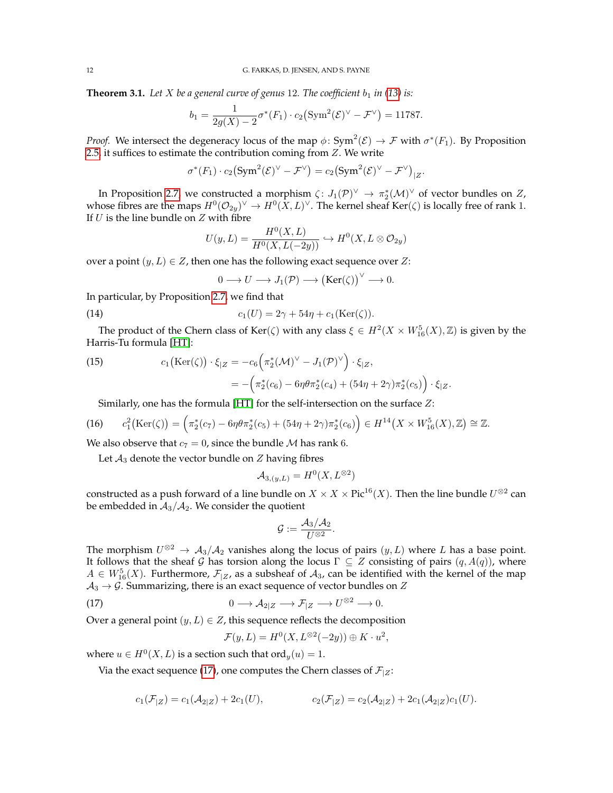<span id="page-11-4"></span>**Theorem 3.1.** Let *X* be a general curve of genus 12. The coefficient  $b_1$  in [\(13\)](#page-10-1) is:

$$
b_1 = \frac{1}{2g(X) - 2} \sigma^*(F_1) \cdot c_2 \left( \text{Sym}^2(\mathcal{E})^{\vee} - \mathcal{F}^{\vee} \right) = 11787.
$$

*Proof.* We intersect the degeneracy locus of the map  $\phi$ : Sym<sup>2</sup>( $\mathcal{E}$ )  $\to \mathcal{F}$  with  $\sigma^*(F_1)$ . By Proposition [2.5,](#page-7-2) it suffices to estimate the contribution coming from  $Z$ . We write

$$
\sigma^*(F_1)\cdot c_2(\mathrm{Sym}^2(\mathcal{E})^{\vee}-\mathcal{F}^{\vee})=c_2(\mathrm{Sym}^2(\mathcal{E})^{\vee}-\mathcal{F}^{\vee})_{|Z}.
$$

In Proposition [2.7,](#page-9-1) we constructed a morphism  $\zeta: J_1(\mathcal{P})^{\vee} \to \pi_2^*(\mathcal{M})^{\vee}$  of vector bundles on  $Z$ , whose fibres are the maps  $H^0(\mathcal{O}_{2y})^\vee \to H^0(\bar{X}, L)^\vee$ . The kernel sheaf Ker $(\zeta)$  is locally free of rank 1. If  $U$  is the line bundle on  $Z$  with fibre

$$
U(y, L) = \frac{H^0(X, L)}{H^0(X, L(-2y))} \hookrightarrow H^0(X, L \otimes \mathcal{O}_{2y})
$$

over a point  $(y, L) \in \mathbb{Z}$ , then one has the following exact sequence over  $\mathbb{Z}$ :

<span id="page-11-1"></span>
$$
0 \longrightarrow U \longrightarrow J_1(\mathcal{P}) \longrightarrow (\text{Ker}(\zeta))^{\vee} \longrightarrow 0.
$$

In particular, by Proposition [2.7,](#page-9-1) we find that

(14) 
$$
c_1(U) = 2\gamma + 54\eta + c_1(\text{Ker}(\zeta)).
$$

The product of the Chern class of Ker( $\zeta$ ) with any class  $\xi \in H^2(X \times W_{16}^5(X), \mathbb{Z})$  is given by the Harris-Tu formula [\[HT\]](#page-41-28):

<span id="page-11-2"></span>(15) 
$$
c_1(\text{Ker}(\zeta)) \cdot \xi_{|Z} = -c_6 \left( \pi_2^*(\mathcal{M})^{\vee} - J_1(\mathcal{P})^{\vee} \right) \cdot \xi_{|Z},
$$

$$
= -\left( \pi_2^*(c_6) - 6\eta \theta \pi_2^*(c_4) + (54\eta + 2\gamma) \pi_2^*(c_5) \right) \cdot \xi_{|Z}.
$$

<span id="page-11-3"></span>Similarly, one has the formula [\[HT\]](#page-41-28) for the self-intersection on the surface Z:

$$
(16) \qquad c_1^2\big(\text{Ker}(\zeta)\big) = \Big(\pi_2^*(c_7) - 6\eta\theta\pi_2^*(c_5) + (54\eta + 2\gamma)\pi_2^*(c_6)\Big) \in H^{14}\big(X \times W_{16}^5(X), \mathbb{Z}\big) \cong \mathbb{Z}.
$$

We also observe that  $c_7 = 0$ , since the bundle M has rank 6.

Let  $A_3$  denote the vector bundle on  $Z$  having fibres

$$
\mathcal{A}_{3,(y,L)} = H^0(X, L^{\otimes 2})
$$

constructed as a push forward of a line bundle on  $X\times X\times \mathrm{Pic}^{16}(X).$  Then the line bundle  $U^{\otimes 2}$  can be embedded in  $A_3/A_2$ . We consider the quotient

$$
\mathcal{G}:=\frac{\mathcal{A}_3/\mathcal{A}_2}{U^{\otimes 2}}.
$$

The morphism  $U^{\otimes 2} \to A_3/A_2$  vanishes along the locus of pairs  $(y, L)$  where L has a base point. It follows that the sheaf G has torsion along the locus  $\Gamma \subseteq Z$  consisting of pairs  $(q, A(q))$ , where  $A \in W_{16}^5(X)$ . Furthermore,  $\mathcal{F}_{|Z}$ , as a subsheaf of  $\mathcal{A}_3$ , can be identified with the kernel of the map  $A_3 \rightarrow \mathcal{G}$ . Summarizing, there is an exact sequence of vector bundles on Z

(17) 
$$
0 \longrightarrow \mathcal{A}_{2|Z} \longrightarrow \mathcal{F}_{|Z} \longrightarrow U^{\otimes 2} \longrightarrow 0.
$$

Over a general point  $(y, L) \in Z$ , this sequence reflects the decomposition

<span id="page-11-0"></span>
$$
\mathcal{F}(y, L) = H^0(X, L^{\otimes 2}(-2y)) \oplus K \cdot u^2,
$$

where  $u \in H^0(X, L)$  is a section such that  $\text{ord}_y(u) = 1$ .

Via the exact sequence [\(17\)](#page-11-0), one computes the Chern classes of  $\mathcal{F}_{|Z}$ :

$$
c_1(\mathcal{F}_{|Z}) = c_1(\mathcal{A}_{2|Z}) + 2c_1(U), \qquad c_2(\mathcal{F}_{|Z}) = c_2(\mathcal{A}_{2|Z}) + 2c_1(\mathcal{A}_{2|Z})c_1(U).
$$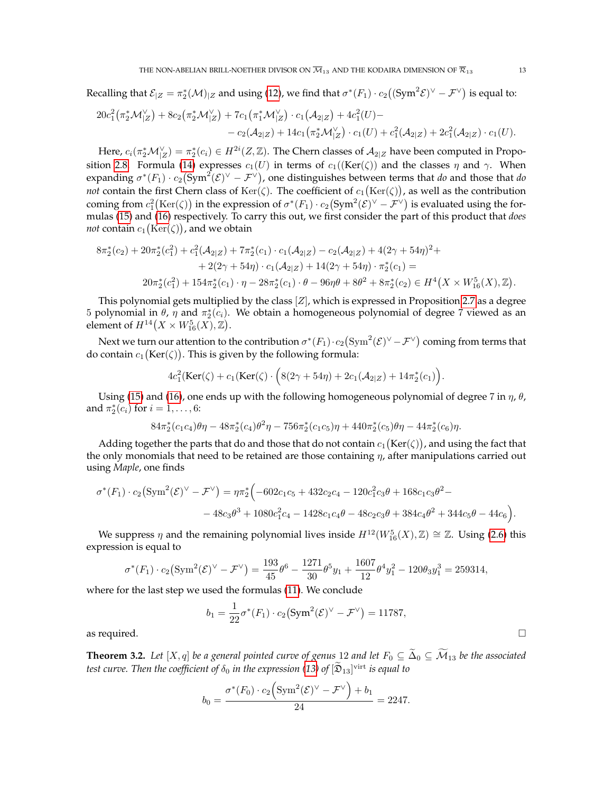Recalling that  $\mathcal{E}_{|Z}=\pi_2^*(\mathcal{M})_{|Z}$  and using [\(12\)](#page-10-2), we find that  $\sigma^*(F_1)\cdot c_2((\text{Sym}^2 \mathcal{E})^{\vee}-\mathcal{F}^{\vee})$  is equal to:

$$
20c_1^2(\pi_2^*\mathcal{M}|_Z^{\vee}) + 8c_2(\pi_2^*\mathcal{M}|_Z^{\vee}) + 7c_1(\pi_1^*\mathcal{M}|_Z^{\vee}) \cdot c_1(\mathcal{A}_{2|Z}) + 4c_1^2(U) -- c_2(\mathcal{A}_{2|Z}) + 14c_1(\pi_2^*\mathcal{M}|_Z^{\vee}) \cdot c_1(U) + c_1^2(\mathcal{A}_{2|Z}) + 2c_1^2(\mathcal{A}_{2|Z}) \cdot c_1(U).
$$

Here,  $c_i(\pi_2^*\mathcal{M}_{|Z}^\vee)=\pi_2^*(c_i)\in H^{2i}(Z,\mathbb{Z}).$  The Chern classes of  $\mathcal{A}_{2|Z}$  have been computed in Propo-sition [2.8.](#page-10-3) Formula [\(14\)](#page-11-1) expresses  $c_1(U)$  in terms of  $c_1((\text{Ker}(\zeta))$  and the classes  $\eta$  and  $\gamma$ . When expanding  $\sigma^*(F_1)\cdot c_2(\mathrm{Sym}^2(\mathcal{E})^{\vee}-\mathcal{F}^{\vee})$ , one distinguishes between terms that *do* and those that *do not* contain the first Chern class of  $\text{Ker}(\zeta)$ . The coefficient of  $c_1(\text{Ker}(\zeta))$ , as well as the contribution coming from  $c_1^2(\text{Ker}(\zeta))$  in the expression of  $\sigma^*(F_1)\cdot c_2(\text{Sym}^2(\mathcal{E})^{\vee}-\mathcal{F}^{\vee})$  is evaluated using the formulas [\(15\)](#page-11-2) and [\(16\)](#page-11-3) respectively. To carry this out, we first consider the part of this product that *does not* contain  $c_1\big(\text{Ker}(\zeta)\big)$ , and we obtain

$$
8\pi_2^*(c_2) + 20\pi_2^*(c_1^2) + c_1^2(\mathcal{A}_{2|Z}) + 7\pi_2^*(c_1) \cdot c_1(\mathcal{A}_{2|Z}) - c_2(\mathcal{A}_{2|Z}) + 4(2\gamma + 54\eta)^2 +
$$
  
+ 2(2\gamma + 54\eta) \cdot c\_1(\mathcal{A}\_{2|Z}) + 14(2\gamma + 54\eta) \cdot \pi\_2^\*(c\_1) =  
20\pi\_2^\*(c\_1^2) + 154\pi\_2^\*(c\_1) \cdot \eta - 28\pi\_2^\*(c\_1) \cdot \theta - 96\eta\theta + 8\theta^2 + 8\pi\_2^\*(c\_2) \in H^4(X \times W\_{16}^5(X), \mathbb{Z}).

This polynomial gets multiplied by the class  $[Z]$ , which is expressed in Proposition [2.7](#page-9-1) as a degree 5 polynomial in  $\theta$ ,  $\eta$  and  $\pi_2^*(c_i)$ . We obtain a homogeneous polynomial of degree 7 viewed as an element of  $H^{14}\big(X \times W^5_{16}(X), \mathbb{Z}\big).$ 

Next we turn our attention to the contribution  $\sigma^*(F_1)\cdot c_2\big(\mathrm{Sym}^2(\mathcal{E})^{\vee}-\mathcal{F}^{\vee}\big)$  coming from terms that do contain  $c_1(\mathrm{Ker}(\zeta))$ . This is given by the following formula:

$$
4c_1^2(\text{Ker}(\zeta) + c_1(\text{Ker}(\zeta) \cdot \Big(8(2\gamma + 54\eta) + 2c_1(\mathcal{A}_{2|Z}) + 14\pi_2^*(c_1)\Big).
$$

Using [\(15\)](#page-11-2) and [\(16\)](#page-11-3), one ends up with the following homogeneous polynomial of degree 7 in  $\eta$ ,  $\theta$ , and  $\pi_2^*(c_i)$  for  $i = 1, ..., 6$ :

$$
84\pi_2^*(c_1c_4)\theta\eta - 48\pi_2^*(c_4)\theta^2\eta - 756\pi_2^*(c_1c_5)\eta + 440\pi_2^*(c_5)\theta\eta - 44\pi_2^*(c_6)\eta.
$$

Adding together the parts that do and those that do not contain  $c_1(\text{Ker}(\zeta))$  , and using the fact that the only monomials that need to be retained are those containing  $\eta$ , after manipulations carried out using *Maple*, one finds

$$
\sigma^*(F_1) \cdot c_2 \left( \text{Sym}^2(\mathcal{E})^{\vee} - \mathcal{F}^{\vee} \right) = \eta \pi_2^* \left( -602c_1c_5 + 432c_2c_4 - 120c_1^2c_3\theta + 168c_1c_3\theta^2 - 48c_3\theta^3 + 1080c_1^2c_4 - 1428c_1c_4\theta - 48c_2c_3\theta + 384c_4\theta^2 + 344c_5\theta - 44c_6 \right).
$$

We suppress  $\eta$  and the remaining polynomial lives inside  $H^{12}(W^5_{16}(X),\mathbb{Z}) \cong \mathbb{Z}$ . Using [\(2.6\)](#page-9-0) this expression is equal to

$$
\sigma^*(F_1) \cdot c_2 \left(\text{Sym}^2(\mathcal{E})^{\vee} - \mathcal{F}^{\vee}\right) = \frac{193}{45} \theta^6 - \frac{1271}{30} \theta^5 y_1 + \frac{1607}{12} \theta^4 y_1^2 - 120 \theta_3 y_1^3 = 259314,
$$

where for the last step we used the formulas [\(11\)](#page-9-2). We conclude

$$
b_1 = \frac{1}{22} \sigma^*(F_1) \cdot c_2 \left( \text{Sym}^2(\mathcal{E})^{\vee} - \mathcal{F}^{\vee} \right) = 11787,
$$

as required.  $\Box$ 

<span id="page-12-0"></span>**Theorem 3.2.** Let  $[X, q]$  be a general pointed curve of genus 12 and let  $F_0 \subseteq \widetilde{\Delta}_0 \subseteq \widetilde{\mathcal{M}}_{13}$  be the associated  $t$ est curve. Then the coefficient of  $\delta_0$  in the expression [\(13\)](#page-10-1) of  $[\tilde{\mathfrak{D}}_{13}]^{\text{virt}}$  is equal to

$$
b_0 = \frac{\sigma^*(F_0) \cdot c_2 \left( \text{Sym}^2(\mathcal{E})^{\vee} - \mathcal{F}^{\vee} \right) + b_1}{24} = 2247.
$$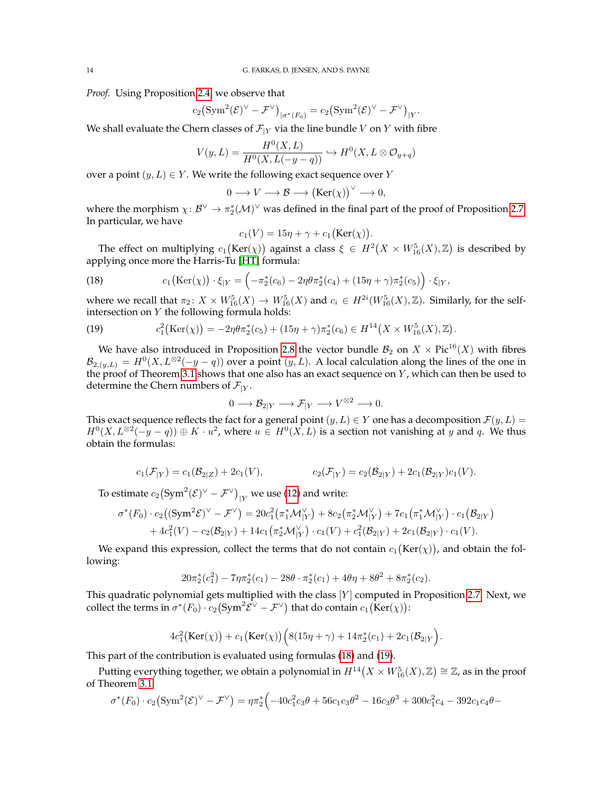*Proof.* Using Proposition [2.4,](#page-7-3) we observe that

$$
c_2\left(\operatorname{Sym}^2(\mathcal{E})^{\vee}-\mathcal{F}^{\vee}\right)_{|\sigma^*(F_0)}=c_2\left(\operatorname{Sym}^2(\mathcal{E})^{\vee}-\mathcal{F}^{\vee}\right)_{|Y}.
$$

We shall evaluate the Chern classes of  $\mathcal{F}_{|Y}$  via the line bundle V on Y with fibre

$$
V(y, L) = \frac{H^0(X, L)}{H^0(X, L(-y - q))} \hookrightarrow H^0(X, L \otimes \mathcal{O}_{y + q})
$$

over a point  $(y, L) \in Y$ . We write the following exact sequence over Y

$$
0 \longrightarrow V \longrightarrow \mathcal{B} \longrightarrow (\text{Ker}(\chi))^{\vee} \longrightarrow 0,
$$

where the morphism  $\chi: \mathcal{B}^{\vee} \to \pi_2^*(\mathcal{M})^{\vee}$  was defined in the final part of the proof of Proposition [2.7.](#page-9-1) In particular, we have

$$
c_1(V) = 15\eta + \gamma + c_1(\text{Ker}(\chi)).
$$

The effect on multiplying  $c_1\big(\text{Ker}(\chi)\big)$  against a class  $\xi\,\in\, H^2\big(X\,\times\,W^5_{16}(X),\mathbb{Z}\big)$  is described by applying once more the Harris-Tu [\[HT\]](#page-41-28) formula:

<span id="page-13-0"></span>(18) 
$$
c_1\big(\text{Ker}(\chi)\big)\cdot \xi_{|Y} = \left(-\pi_2^*(c_6) - 2\eta\theta\pi_2^*(c_4) + (15\eta + \gamma)\pi_2^*(c_5)\right)\cdot \xi_{|Y},
$$

where we recall that  $\pi_2 \colon X \times W^5_{16}(X) \to W^5_{16}(X)$  and  $c_i \in H^{2i}(W^5_{16}(X), \mathbb{Z})$ . Similarly, for the selfintersection on Y the following formula holds:

<span id="page-13-1"></span>(19) 
$$
c_1^2(\text{Ker}(\chi)) = -2\eta\theta\pi_2^*(c_5) + (15\eta + \gamma)\pi_2^*(c_6) \in H^{14}(X \times W_{16}^5(X), \mathbb{Z}).
$$

We have also introduced in Proposition [2.8](#page-10-3) the vector bundle  $B_2$  on  $X \times Pic^{16}(X)$  with fibres  $\mathcal{B}_{2,(y,L)} = H^0(X, L^{\otimes 2}(-y-q))$  over a point  $(y, L)$ . A local calculation along the lines of the one in the proof of Theorem [3.1](#page-11-4) shows that one also has an exact sequence on  $Y$ , which can then be used to determine the Chern numbers of  $\mathcal{F}_{|Y}$ .

$$
0 \longrightarrow \mathcal{B}_{2|Y} \longrightarrow \mathcal{F}_{|Y} \longrightarrow V^{\otimes 2} \longrightarrow 0.
$$

This exact sequence reflects the fact for a general point  $(y, L) \in Y$  one has a decomposition  $\mathcal{F}(y, L) =$  $H^0(X, L^{\otimes 2}(-y-q)) \oplus K \cdot u^2$ , where  $u \in H^0(X, L)$  is a section not vanishing at y and q. We thus obtain the formulas:

$$
c_1(\mathcal{F}_{|Y}) = c_1(\mathcal{B}_{2|Z}) + 2c_1(V), \qquad c_2(\mathcal{F}_{|Y}) = c_2(\mathcal{B}_{2|Y}) + 2c_1(\mathcal{B}_{2|Y})c_1(V).
$$

To estimate  $c_2 \bigl({\rm Sym}^2(\mathcal{E})^{\vee} - \mathcal{F}^{\vee}\bigr)_{|Y}$  we use [\(12\)](#page-10-2) and write:

$$
\sigma^*(F_0) \cdot c_2((\text{Sym}^2 \mathcal{E})^{\vee} - \mathcal{F}^{\vee}) = 20c_1^2(\pi_1^* \mathcal{M}_{|Y}^{\vee}) + 8c_2(\pi_2^* \mathcal{M}_{|Y}^{\vee}) + 7c_1(\pi_1^* \mathcal{M}_{|Y}^{\vee}) \cdot c_1(\mathcal{B}_{2|Y}) + 4c_1^2(V) - c_2(\mathcal{B}_{2|Y}) + 14c_1(\pi_2^* \mathcal{M}_{|Y}^{\vee}) \cdot c_1(V) + c_1^2(\mathcal{B}_{2|Y}) + 2c_1(\mathcal{B}_{2|Y}) \cdot c_1(V).
$$

We expand this expression, collect the terms that do not contain  $c_1(\text{Ker}(\chi))$ , and obtain the following:

$$
20\pi_2^*(c_1^2) - 7\eta\pi_2^*(c_1) - 28\theta \cdot \pi_2^*(c_1) + 4\theta\eta + 8\theta^2 + 8\pi_2^*(c_2).
$$

This quadratic polynomial gets multiplied with the class  $[Y]$  computed in Proposition [2.7.](#page-9-1) Next, we collect the terms in  $\sigma^*(F_0) \cdot c_2(\text{Sym}^2 \mathcal{E}^{\vee} - \mathcal{F}^{\vee})$  that do contain  $c_1(\text{Ker}(\chi))$ :

$$
4c_1^2\big(\text{Ker}(\chi)\big)+c_1\big(\text{Ker}(\chi)\big)\Big(8(15\eta+\gamma)+14\pi_2^*(c_1)+2c_1(\mathcal{B}_{2|Y}\Big).
$$

This part of the contribution is evaluated using formulas [\(18\)](#page-13-0) and [\(19\)](#page-13-1).

Putting everything together, we obtain a polynomial in  $H^{14}\big(X\times W^5_{16}(X),\mathbb{Z}\big)\cong \mathbb{Z}$ , as in the proof of Theorem [3.1:](#page-11-4)

$$
\sigma^*(F_0) \cdot c_2 \left(\text{Sym}^2(\mathcal{E})^{\vee} - \mathcal{F}^{\vee}\right) = \eta \pi_2^* \left(-40c_1^2 c_3 \theta + 56c_1 c_3 \theta^2 - 16c_3 \theta^3 + 300c_1^2 c_4 - 392c_1 c_4 \theta - \right)
$$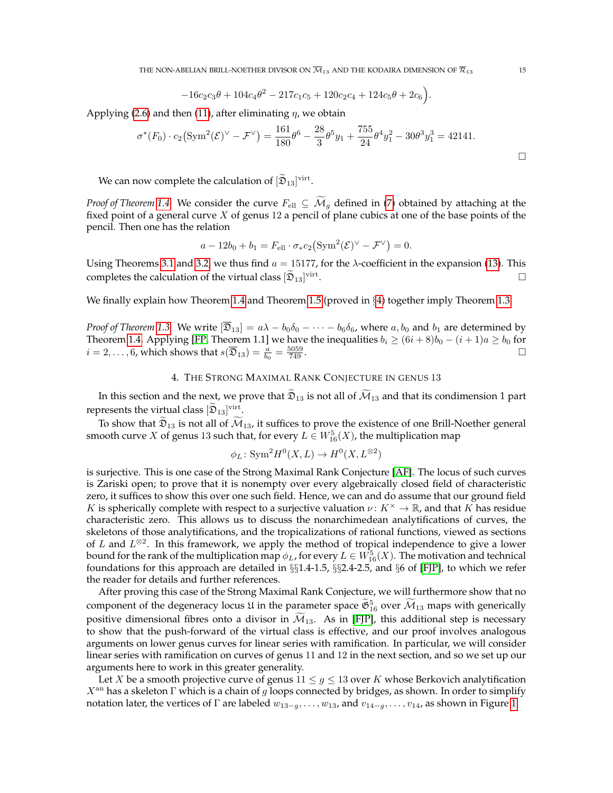THE NON-ABELIAN BRILL-NOETHER DIVISOR ON  $\overline{\mathcal{M}}_{13}$  and the kodaira dimension of  $\overline{\mathcal{R}}_{13}$  15

$$
-16c_2c_3\theta + 104c_4\theta^2 - 217c_1c_5 + 120c_2c_4 + 124c_5\theta + 2c_6.
$$

Applying [\(2.6\)](#page-9-0) and then [\(11\)](#page-9-2), after eliminating  $\eta$ , we obtain

$$
\sigma^*(F_0) \cdot c_2 \left( \text{Sym}^2(\mathcal{E})^{\vee} - \mathcal{F}^{\vee} \right) = \frac{161}{180} \theta^6 - \frac{28}{3} \theta^5 y_1 + \frac{755}{24} \theta^4 y_1^2 - 30 \theta^3 y_1^3 = 42141.
$$

We can now complete the calculation of  $[\mathfrak{D}_{13}]^\text{virt}$ .

*Proof of Theorem* [1.4.](#page-2-2) We consider the curve  $F_{\text{ell}} \subseteq \overline{\mathcal{M}}_q$  defined in [\(7\)](#page-7-4) obtained by attaching at the fixed point of a general curve  $X$  of genus 12 a pencil of plane cubics at one of the base points of the pencil. Then one has the relation

$$
a - 12b_0 + b_1 = F_{\text{ell}} \cdot \sigma_* c_2 \left( \text{Sym}^2(\mathcal{E})^{\vee} - \mathcal{F}^{\vee} \right) = 0.
$$

Using Theorems [3.1](#page-11-4) and [3.2,](#page-12-0) we thus find  $a = 15177$ , for the  $\lambda$ -coefficient in the expansion [\(13\)](#page-10-1). This completes the calculation of the virtual class  $[\mathfrak{D}_{13}]^{\text{virt}}$ . В последните поставите на селото на селото на селото на селото на селото на селото на селото на селото на се<br>Селото на селото на селото на селото на селото на селото на селото на селото на селото на селото на селото на

We finally explain how Theorem [1.4](#page-2-2) and Theorem [1.5](#page-3-0) (proved in §[4\)](#page-14-0) together imply Theorem [1.3.](#page-2-1)

*Proof of Theorem* [1.3.](#page-2-1) We write  $[\overline{\mathfrak{D}}_{13}] = a\lambda - b_0\delta_0 - \cdots - b_6\delta_6$ , where  $a, b_0$  and  $b_1$  are determined by Theorem [1.4.](#page-2-2) Applying [\[FP,](#page-41-2) Theorem 1.1] we have the inequalities  $b_i \ge (6i+8)b_0 - (i+1)a \ge b_0$  for  $i=2,\ldots,6$ , which shows that  $s(\overline{\mathfrak{D}}_{13})=\frac{a}{b_0}=\frac{5059}{749}$  $\frac{5059}{749}$ .

### 4. THE STRONG MAXIMAL RANK CONJECTURE IN GENUS 13

<span id="page-14-0"></span>In this section and the next, we prove that  $\tilde{\mathfrak{D}}_{13}$  is not all of  $\widetilde{\mathcal{M}}_{13}$  and that its condimension 1 part represents the virtual class  $[\mathfrak{D}_{13}]^{\text{virt}}$ .

To show that  $\mathfrak{D}_{13}$  is not all of  $\mathcal{M}_{13}$ , it suffices to prove the existence of one Brill-Noether general smooth curve  $X$  of genus 13 such that, for every  $L\in W^5_{16}(X)$ , the multiplication map

$$
\phi_L \colon \mathrm{Sym}^2 H^0(X, L) \to H^0(X, L^{\otimes 2})
$$

is surjective. This is one case of the Strong Maximal Rank Conjecture [\[AF\]](#page-41-19). The locus of such curves is Zariski open; to prove that it is nonempty over every algebraically closed field of characteristic zero, it suffices to show this over one such field. Hence, we can and do assume that our ground field K is spherically complete with respect to a surjective valuation  $\nu: K^{\times} \to \mathbb{R}$ , and that K has residue characteristic zero. This allows us to discuss the nonarchimedean analytifications of curves, the skeletons of those analytifications, and the tropicalizations of rational functions, viewed as sections of L and  $L^{\otimes 2}$ . In this framework, we apply the method of tropical independence to give a lower bound for the rank of the multiplication map  $\phi_L$ , for every  $L\in W^5_{16}(X).$  The motivation and technical foundations for this approach are detailed in §§1.4-1.5, §§2.4-2.5, and §6 of [\[FJP\]](#page-41-11), to which we refer the reader for details and further references.

After proving this case of the Strong Maximal Rank Conjecture, we will furthermore show that no component of the degeneracy locus  $\mathfrak U$  in the parameter space  $\mathfrak{G}^5_{16}$  over  $\mathcal M_{13}$  maps with generically positive dimensional fibres onto a divisor in  $\mathcal{M}_{13}$ . As in [\[FJP\]](#page-41-11), this additional step is necessary to show that the push-forward of the virtual class is effective, and our proof involves analogous arguments on lower genus curves for linear series with ramification. In particular, we will consider linear series with ramification on curves of genus 11 and 12 in the next section, and so we set up our arguments here to work in this greater generality.

Let X be a smooth projective curve of genus  $11 \leq g \leq 13$  over K whose Berkovich analytification  $X<sup>an</sup>$  has a skeleton Γ which is a chain of g loops connected by bridges, as shown. In order to simplify notation later, the vertices of  $\Gamma$  are labeled  $w_{13-g}, \ldots, w_{13}$ , and  $v_{14-g}, \ldots, v_{14}$ , as shown in Figure [1.](#page-15-0)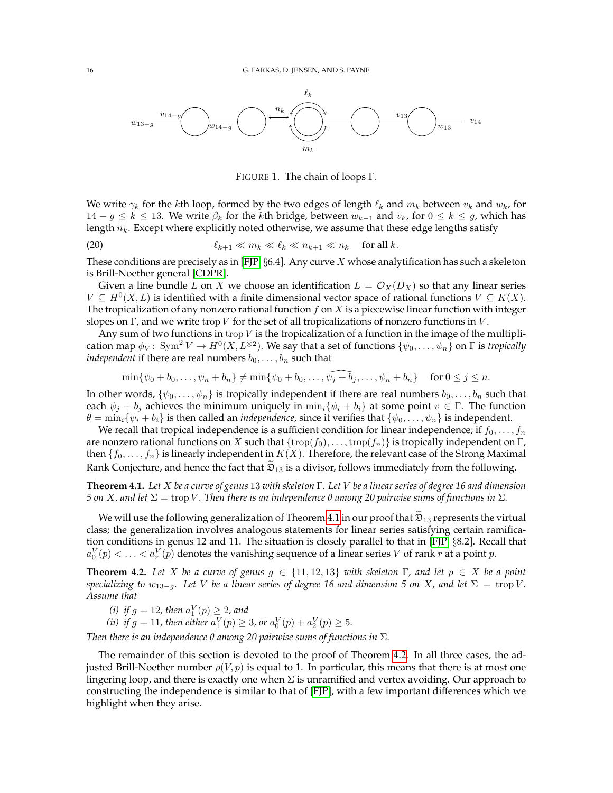

<span id="page-15-3"></span><span id="page-15-0"></span>FIGURE 1. The chain of loops Γ.

We write  $\gamma_k$  for the kth loop, formed by the two edges of length  $\ell_k$  and  $m_k$  between  $v_k$  and  $w_k$ , for  $14 - g \le k \le 13$ . We write  $\beta_k$  for the kth bridge, between  $w_{k-1}$  and  $v_k$ , for  $0 \le k \le g$ , which has length  $n_k$ . Except where explicitly noted otherwise, we assume that these edge lengths satisfy

(20) 
$$
\ell_{k+1} \ll m_k \ll \ell_k \ll n_{k+1} \ll n_k \quad \text{for all } k.
$$

These conditions are precisely as in [\[FJP,](#page-41-11)  $\S 6.4$ ]. Any curve  $X$  whose analytification has such a skeleton is Brill-Noether general [\[CDPR\]](#page-41-29).

Given a line bundle L on X we choose an identification  $L = \mathcal{O}_X(D_X)$  so that any linear series  $V \subseteq H^0(X, L)$  is identified with a finite dimensional vector space of rational functions  $V \subseteq K(X)$ . The tropicalization of any nonzero rational function  $f$  on  $X$  is a piecewise linear function with integer slopes on Γ, and we write trop V for the set of all tropicalizations of nonzero functions in V.

Any sum of two functions in trop  $V$  is the tropicalization of a function in the image of the multiplication map  $\phi_V\colon\thinspace\mathrm{Sym}^2\mathit{V}\to H^0(X,L^{\otimes2}).$  We say that a set of functions  $\{\psi_0,\ldots,\psi_n\}$  on  $\Gamma$  is *tropically independent* if there are real numbers  $b_0, \ldots, b_n$  such that

$$
\min\{\psi_0+b_0,\ldots,\psi_n+b_n\}\neq\min\{\psi_0+b_0,\ldots,\widehat{\psi_j+b_j},\ldots,\psi_n+b_n\}\quad\text{ for }0\leq j\leq n.
$$

In other words,  $\{\psi_0, \ldots, \psi_n\}$  is tropically independent if there are real numbers  $b_0, \ldots, b_n$  such that each  $\psi_i + b_j$  achieves the minimum uniquely in  $\min_i {\psi_i + b_i}$  at some point  $v \in \Gamma$ . The function  $\theta = \min_i {\psi_i + b_i}$  is then called an *independence*, since it verifies that  ${\psi_0, \dots, \psi_n}$  is independent.

We recall that tropical independence is a sufficient condition for linear independence; if  $f_0, \ldots, f_n$ are nonzero rational functions on X such that  $\{trop(f_0), \ldots, trop(f_n)\}$  is tropically independent on  $\Gamma$ , then  $\{f_0, \ldots, f_n\}$  is linearly independent in  $K(X)$ . Therefore, the relevant case of the Strong Maximal Rank Conjecture, and hence the fact that  $\mathfrak{D}_{13}$  is a divisor, follows immediately from the following.

<span id="page-15-1"></span>**Theorem 4.1.** *Let* X *be a curve of genus* 13 *with skeleton* Γ*. Let* V *be a linear series of degree 16 and dimension 5* on *X*, and let  $\Sigma$  = trop *V*. Then there is an independence θ among 20 pairwise sums of functions in  $\Sigma$ .

We will use the following generalization of Theorem [4.1](#page-15-1) in our proof that  $\mathfrak{D}_{13}$  represents the virtual class; the generalization involves analogous statements for linear series satisfying certain ramification conditions in genus 12 and 11. The situation is closely parallel to that in [\[FJP,](#page-41-11) §8.2]. Recall that  $a_0^V(p) < \ldots < a_r^V(p)$  denotes the vanishing sequence of a linear series  $V$  of rank  $r$  at a point  $p$ .

<span id="page-15-2"></span>**Theorem 4.2.** Let X be a curve of genus  $g \in \{11, 12, 13\}$  with skeleton  $\Gamma$ , and let  $p \in X$  be a point *specializing to*  $w_{13-q}$ *. Let V be a linear series of degree 16 and dimension 5 on X, and let*  $\Sigma = \text{trop } V$ *. Assume that*

(*i*) if  $g = 12$ , then  $a_1^V(p) \geq 2$ , and

(*ii*) *if*  $g = 11$ *, then either*  $a_1^V(p) \ge 3$ *, or*  $a_0^V(p) + a_2^V(p) \ge 5$ *.* 

*Then there is an independence* θ *among 20 pairwise sums of functions in* Σ*.*

The remainder of this section is devoted to the proof of Theorem [4.2.](#page-15-2) In all three cases, the adjusted Brill-Noether number  $\rho(V, p)$  is equal to 1. In particular, this means that there is at most one lingering loop, and there is exactly one when  $\Sigma$  is unramified and vertex avoiding. Our approach to constructing the independence is similar to that of [\[FJP\]](#page-41-11), with a few important differences which we highlight when they arise.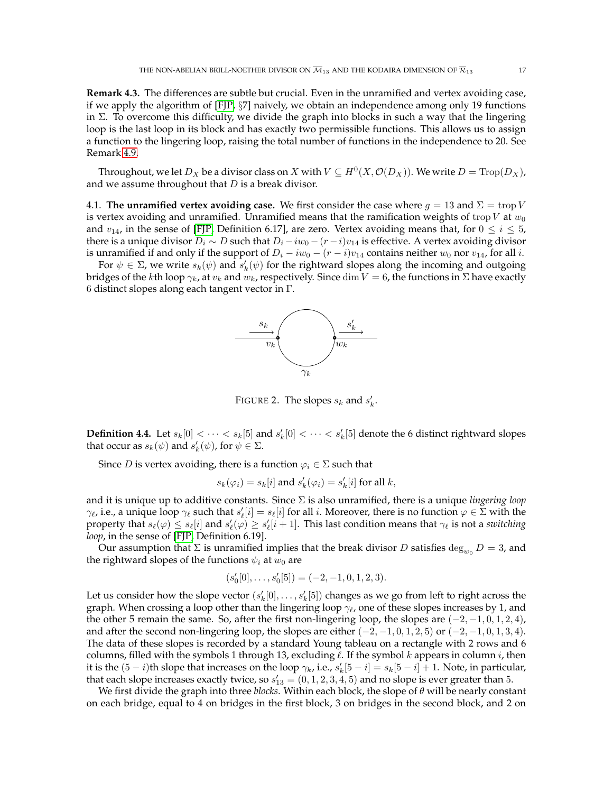<span id="page-16-0"></span>**Remark 4.3.** The differences are subtle but crucial. Even in the unramified and vertex avoiding case, if we apply the algorithm of [\[FJP,](#page-41-11) §7] naively, we obtain an independence among only 19 functions in  $\Sigma$ . To overcome this difficulty, we divide the graph into blocks in such a way that the lingering loop is the last loop in its block and has exactly two permissible functions. This allows us to assign a function to the lingering loop, raising the total number of functions in the independence to 20. See Remark [4.9.](#page-18-0)

Throughout, we let  $D_X$  be a divisor class on  $X$  with  $V \subseteq H^0(X, \mathcal{O}(D_X))$ . We write  $D = \text{Trop}(D_X)$ , and we assume throughout that  $D$  is a break divisor.

4.1. **The unramified vertex avoiding case.** We first consider the case where  $g = 13$  and  $\Sigma = \text{trop } V$ is vertex avoiding and unramified. Unramified means that the ramification weights of trop  $V$  at  $w_0$ and  $v_{14}$ , in the sense of [\[FJP,](#page-41-11) Definition 6.17], are zero. Vertex avoiding means that, for  $0 \le i \le 5$ , there is a unique divisor  $D_i \sim D$  such that  $D_i - iw_0 - (r - i)v_{14}$  is effective. A vertex avoiding divisor is unramified if and only if the support of  $D_i - iw_0 - (r - i)v_{14}$  contains neither  $w_0$  nor  $v_{14}$ , for all i.

For  $\psi \in \Sigma$ , we write  $s_k(\psi)$  and  $s'_k(\psi)$  for the rightward slopes along the incoming and outgoing bridges of the kth loop  $\gamma_k$ , at  $v_k$  and  $w_k$ , respectively. Since dim  $V = 6$ , the functions in  $\Sigma$  have exactly 6 distinct slopes along each tangent vector in Γ.



FIGURE 2. The slopes  $s_k$  and  $s'_k$ .

**Definition 4.4.** Let  $s_k[0] < \cdots < s_k[5]$  and  $s'_k[0] < \cdots < s'_k[5]$  denote the 6 distinct rightward slopes that occur as  $s_k(\psi)$  and  $s'_k(\psi)$ , for  $\psi \in \Sigma$ .

Since *D* is vertex avoiding, there is a function  $\varphi_i \in \Sigma$  such that

$$
s_k(\varphi_i) = s_k[i] \text{ and } s'_k(\varphi_i) = s'_k[i] \text{ for all } k,
$$

and it is unique up to additive constants. Since Σ is also unramified, there is a unique *lingering loop*  $\gamma_\ell$ , i.e., a unique loop  $\gamma_\ell$  such that  $s'_\ell[i] = s_\ell[i]$  for all  $i$ . Moreover, there is no function  $\varphi \in \Sigma$  with the property that  $s_\ell(\varphi) \leq s_\ell[i]$  and  $s'_\ell(\varphi) \geq s'_\ell[i+1]$ . This last condition means that  $\gamma_\ell$  is not a *switching loop*, in the sense of [\[FJP,](#page-41-11) Definition 6.19].

Our assumption that  $\Sigma$  is unramified implies that the break divisor D satisfies  $\deg_{w_0} D = 3$ , and the rightward slopes of the functions  $\psi_i$  at  $w_0$  are

$$
(s'_0[0], \ldots, s'_0[5]) = (-2, -1, 0, 1, 2, 3).
$$

Let us consider how the slope vector  $(s'_k[0], \ldots, s'_k[5])$  changes as we go from left to right across the graph. When crossing a loop other than the lingering loop  $\gamma_{\ell}$ , one of these slopes increases by 1, and the other 5 remain the same. So, after the first non-lingering loop, the slopes are  $(-2, -1, 0, 1, 2, 4)$ , and after the second non-lingering loop, the slopes are either  $(-2, -1, 0, 1, 2, 5)$  or  $(-2, -1, 0, 1, 3, 4)$ . The data of these slopes is recorded by a standard Young tableau on a rectangle with 2 rows and 6 columns, filled with the symbols 1 through 13, excluding  $\ell$ . If the symbol k appears in column i, then it is the  $(5-i)$ th slope that increases on the loop  $\gamma_k$ , i.e.,  $s'_k[5-i] = s_k[5-i] + 1$ . Note, in particular, that each slope increases exactly twice, so  $s'_{13} = (0, 1, 2, 3, 4, 5)$  and no slope is ever greater than 5.

We first divide the graph into three *blocks*. Within each block, the slope of θ will be nearly constant on each bridge, equal to 4 on bridges in the first block, 3 on bridges in the second block, and 2 on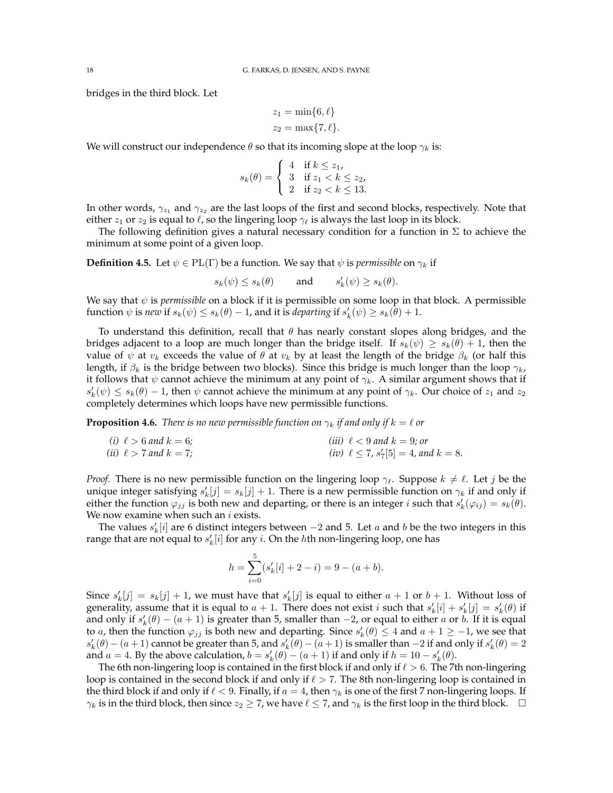bridges in the third block. Let

$$
z_1 = \min\{6, \ell\}
$$

$$
z_2 = \max\{7, \ell\}.
$$

We will construct our independence  $\theta$  so that its incoming slope at the loop  $\gamma_k$  is:

$$
s_k(\theta) = \begin{cases} 4 & \text{if } k \le z_1, \\ 3 & \text{if } z_1 < k \le z_2, \\ 2 & \text{if } z_2 < k \le 13. \end{cases}
$$

In other words,  $\gamma_{z_1}$  and  $\gamma_{z_2}$  are the last loops of the first and second blocks, respectively. Note that either  $z_1$  or  $z_2$  is equal to  $\ell$ , so the lingering loop  $\gamma_{\ell}$  is always the last loop in its block.

The following definition gives a natural necessary condition for a function in  $\Sigma$  to achieve the minimum at some point of a given loop.

**Definition 4.5.** Let  $\psi \in PL(\Gamma)$  be a function. We say that  $\psi$  is *permissible* on  $\gamma_k$  if

$$
s_k(\psi) \leq s_k(\theta) \qquad \text{and} \qquad s_k'(\psi) \geq s_k(\theta).
$$

We say that  $\psi$  is *permissible* on a block if it is permissible on some loop in that block. A permissible function  $\psi$  is *new* if  $s_k(\psi) \leq s_k(\theta) - 1$ , and it is *departing* if  $s'_k(\psi) \geq s_k(\theta) + 1$ .

To understand this definition, recall that  $\theta$  has nearly constant slopes along bridges, and the bridges adjacent to a loop are much longer than the bridge itself. If  $s_k(\psi) \geq s_k(\theta) + 1$ , then the value of  $\psi$  at  $v_k$  exceeds the value of  $\theta$  at  $v_k$  by at least the length of the bridge  $\beta_k$  (or half this length, if  $\beta_k$  is the bridge between two blocks). Since this bridge is much longer than the loop  $\gamma_k$ , it follows that  $\psi$  cannot achieve the minimum at any point of  $\gamma_k$ . A similar argument shows that if  $s'_k(\psi) \leq s_k(\theta) - 1$ , then  $\psi$  cannot achieve the minimum at any point of  $\gamma_k$ . Our choice of  $z_1$  and  $z_2$ completely determines which loops have new permissible functions.

<span id="page-17-0"></span>**Proposition 4.6.** *There is no new permissible function on*  $\gamma_k$  *if and only if*  $k = \ell$  *or* 

(i) 
$$
\ell > 6
$$
 and  $k = 6$ ;  
\n(ii)  $\ell > 7$  and  $k = 7$ ;  
\n(iii)  $\ell > 7$  and  $k = 7$ ;  
\n(iv)  $\ell \le 7$ ,  $s'_7[5] = 4$ , and  $k = 8$ .

*Proof.* There is no new permissible function on the lingering loop  $\gamma_{\ell}$ . Suppose  $k \neq \ell$ . Let j be the unique integer satisfying  $s'_k[j] = s_k[j] + 1$ . There is a new permissible function on  $\gamma_k$  if and only if either the function  $\varphi_{jj}$  is both new and departing, or there is an integer *i* such that  $s'_k(\varphi_{ij}) = s_k(\theta)$ . We now examine when such an  $i$  exists.

The values  $s'_k[i]$  are 6 distinct integers between  $-2$  and 5. Let  $a$  and  $b$  be the two integers in this range that are not equal to  $s'_k[i]$  for any i. On the hth non-lingering loop, one has

$$
h = \sum_{i=0}^{5} (s'_k[i] + 2 - i) = 9 - (a + b).
$$

Since  $s'_k[j] = s_k[j] + 1$ , we must have that  $s'_k[j]$  is equal to either  $a + 1$  or  $b + 1$ . Without loss of generality, assume that it is equal to  $a + 1$ . There does not exist i such that  $s'_k[i] + s'_k[j] = s'_k(\theta)$  if and only if  $s'_k(\theta) - (a+1)$  is greater than 5, smaller than  $-2$ , or equal to either a or b. If it is equal to *a*, then the function  $\varphi_{jj}$  is both new and departing. Since  $s'_k(\theta) \leq 4$  and  $a + 1 \geq -1$ , we see that  $s'_k(\theta) - (a+1)$  cannot be greater than 5, and  $s'_k(\theta) - (a+1)$  is smaller than  $-2$  if and only if  $s'_k(\theta) = 2$ and  $a = 4$ . By the above calculation,  $b = s'_k(\theta) - (a+1)$  if and only if  $h = 10 - s'_k(\theta)$ .

The 6th non-lingering loop is contained in the first block if and only if  $\ell > 6$ . The 7th non-lingering loop is contained in the second block if and only if  $\ell > 7$ . The 8th non-lingering loop is contained in the third block if and only if  $\ell < 9$ . Finally, if  $a = 4$ , then  $\gamma_k$  is one of the first 7 non-lingering loops. If  $\gamma_k$  is in the third block, then since  $z_2 \ge 7$ , we have  $\ell \le 7$ , and  $\gamma_k$  is the first loop in the third block.  $\Box$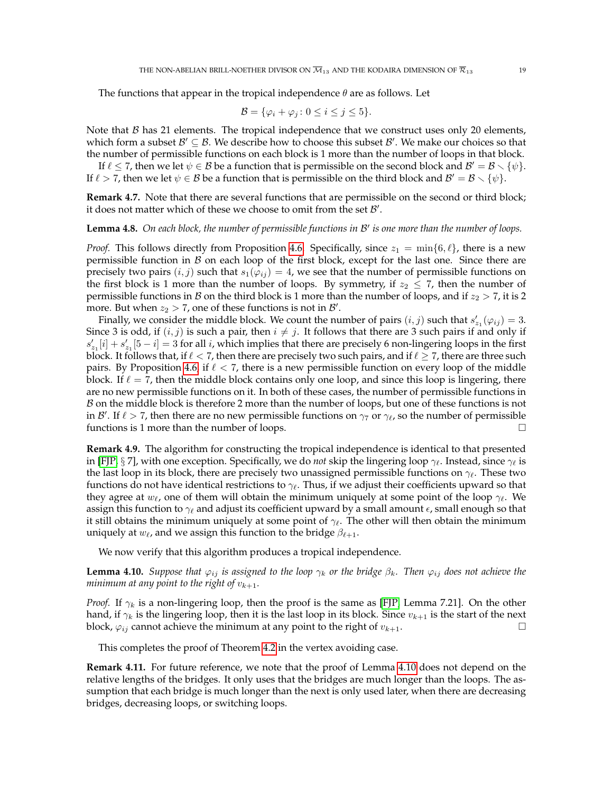The functions that appear in the tropical independence  $\theta$  are as follows. Let

$$
\mathcal{B} = \{ \varphi_i + \varphi_j \colon 0 \le i \le j \le 5 \}.
$$

Note that  $\beta$  has 21 elements. The tropical independence that we construct uses only 20 elements, which form a subset  $\mathcal{B}' \subseteq \mathcal{B}$ . We describe how to choose this subset  $\mathcal{B}'$ . We make our choices so that the number of permissible functions on each block is 1 more than the number of loops in that block.

If  $\ell \leq 7$ , then we let  $\psi \in \mathcal{B}$  be a function that is permissible on the second block and  $\mathcal{B}' = \mathcal{B} \setminus \{\psi\}.$ If  $\ell > 7$ , then we let  $\psi \in \mathcal{B}$  be a function that is permissible on the third block and  $\mathcal{B}' = \mathcal{B} \setminus \{\psi\}.$ 

**Remark 4.7.** Note that there are several functions that are permissible on the second or third block; it does not matter which of these we choose to omit from the set  $\mathcal{B}'$ .

# **Lemma 4.8.** *On each block, the number of permissible functions in* B 0 *is one more than the number of loops.*

*Proof.* This follows directly from Proposition [4.6.](#page-17-0) Specifically, since  $z_1 = \min\{6, \ell\}$ , there is a new permissible function in  $\beta$  on each loop of the first block, except for the last one. Since there are precisely two pairs  $(i, j)$  such that  $s_1(\varphi_{ij}) = 4$ , we see that the number of permissible functions on the first block is 1 more than the number of loops. By symmetry, if  $z_2 \leq 7$ , then the number of permissible functions in B on the third block is 1 more than the number of loops, and if  $z_2 > 7$ , it is 2 more. But when  $z_2 > 7$ , one of these functions is not in  $\mathcal{B}'$ .

Finally, we consider the middle block. We count the number of pairs  $(i, j)$  such that  $s'_{z_1}(\varphi_{ij}) = 3$ . Since 3 is odd, if  $(i, j)$  is such a pair, then  $i \neq j$ . It follows that there are 3 such pairs if and only if  $s'_{z_1}[i] + s'_{z_1}[5 - i] = 3$  for all i, which implies that there are precisely 6 non-lingering loops in the first block. It follows that, if  $\ell < 7$ , then there are precisely two such pairs, and if  $\ell \ge 7$ , there are three such pairs. By Proposition [4.6,](#page-17-0) if  $\ell < 7$ , there is a new permissible function on every loop of the middle block. If  $\ell = 7$ , then the middle block contains only one loop, and since this loop is lingering, there are no new permissible functions on it. In both of these cases, the number of permissible functions in  $\beta$  on the middle block is therefore 2 more than the number of loops, but one of these functions is not in B'. If  $\ell > 7$ , then there are no new permissible functions on  $\gamma_7$  or  $\gamma_\ell$ , so the number of permissible functions is 1 more than the number of loops.

<span id="page-18-0"></span>**Remark 4.9.** The algorithm for constructing the tropical independence is identical to that presented in [\[FJP,](#page-41-11) § 7], with one exception. Specifically, we do *not* skip the lingering loop  $\gamma_{\ell}$ . Instead, since  $\gamma_{\ell}$  is the last loop in its block, there are precisely two unassigned permissible functions on  $\gamma_{\ell}$ . These two functions do not have identical restrictions to  $\gamma_{\ell}$ . Thus, if we adjust their coefficients upward so that they agree at  $w_\ell$ , one of them will obtain the minimum uniquely at some point of the loop  $\gamma_\ell$ . We assign this function to  $\gamma_{\ell}$  and adjust its coefficient upward by a small amount  $\epsilon$ , small enough so that it still obtains the minimum uniquely at some point of  $\gamma_{\ell}$ . The other will then obtain the minimum uniquely at  $w_\ell$ , and we assign this function to the bridge  $\beta_{\ell+1}$ .

We now verify that this algorithm produces a tropical independence.

<span id="page-18-1"></span>**Lemma 4.10.** *Suppose that*  $\varphi_{ij}$  *is assigned to the loop*  $\gamma_k$  *or the bridge*  $\beta_k$ *. Then*  $\varphi_{ij}$  *does not achieve the minimum at any point to the right of*  $v_{k+1}$ *.* 

*Proof.* If  $\gamma_k$  is a non-lingering loop, then the proof is the same as [\[FJP,](#page-41-11) Lemma 7.21]. On the other hand, if  $\gamma_k$  is the lingering loop, then it is the last loop in its block. Since  $v_{k+1}$  is the start of the next block,  $\varphi_{ij}$  cannot achieve the minimum at any point to the right of  $v_{k+1}$ .

This completes the proof of Theorem [4.2](#page-15-2) in the vertex avoiding case.

<span id="page-18-2"></span>**Remark 4.11.** For future reference, we note that the proof of Lemma [4.10](#page-18-1) does not depend on the relative lengths of the bridges. It only uses that the bridges are much longer than the loops. The assumption that each bridge is much longer than the next is only used later, when there are decreasing bridges, decreasing loops, or switching loops.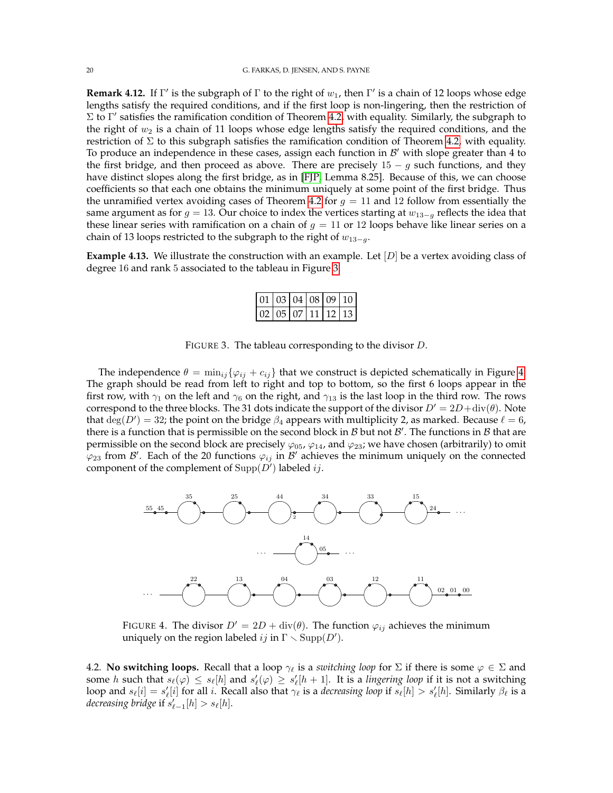<span id="page-19-2"></span>**Remark 4.12.** If  $\Gamma'$  is the subgraph of  $\Gamma$  to the right of  $w_1$ , then  $\Gamma'$  is a chain of 12 loops whose edge lengths satisfy the required conditions, and if the first loop is non-lingering, then the restriction of  $\Sigma$  to Γ' satisfies the ramification condition of Theorem [4.2,](#page-15-2) with equality. Similarly, the subgraph to the right of  $w_2$  is a chain of 11 loops whose edge lengths satisfy the required conditions, and the restriction of  $\Sigma$  to this subgraph satisfies the ramification condition of Theorem [4.2,](#page-15-2) with equality. To produce an independence in these cases, assign each function in  $\mathcal{B}'$  with slope greater than 4 to the first bridge, and then proceed as above. There are precisely  $15 - g$  such functions, and they have distinct slopes along the first bridge, as in [\[FJP,](#page-41-11) Lemma 8.25]. Because of this, we can choose coefficients so that each one obtains the minimum uniquely at some point of the first bridge. Thus the unramified vertex avoiding cases of Theorem [4.2](#page-15-2) for  $g = 11$  and 12 follow from essentially the same argument as for  $g = 13$ . Our choice to index the vertices starting at  $w_{13-q}$  reflects the idea that these linear series with ramification on a chain of  $g = 11$  or 12 loops behave like linear series on a chain of 13 loops restricted to the subgraph to the right of  $w_{13-a}$ .

**Example 4.13.** We illustrate the construction with an example. Let [D] be a vertex avoiding class of degree 16 and rank 5 associated to the tableau in Figure [3.](#page-19-0)

<span id="page-19-0"></span>

| $\left  02 \right  05 \left  07 \right  11 \left  12 \right  13$ |  |  |  |
|------------------------------------------------------------------|--|--|--|

FIGURE 3. The tableau corresponding to the divisor D.

The independence  $\theta = \min_{ij} {\varphi_{ij} + c_{ij}}$  that we construct is depicted schematically in Figure [4.](#page-19-1) The graph should be read from left to right and top to bottom, so the first 6 loops appear in the first row, with  $\gamma_1$  on the left and  $\gamma_6$  on the right, and  $\gamma_{13}$  is the last loop in the third row. The rows correspond to the three blocks. The 31 dots indicate the support of the divisor  $D' = 2D + \text{div}(\theta)$ . Note that  $deg(D') = 32$ ; the point on the bridge  $\beta_4$  appears with multiplicity 2, as marked. Because  $\ell = 6$ , there is a function that is permissible on the second block in  $\mathcal B$  but not  $\mathcal B'$ . The functions in  $\mathcal B$  that are permissible on the second block are precisely  $\varphi_{05}$ ,  $\varphi_{14}$ , and  $\varphi_{23}$ ; we have chosen (arbitrarily) to omit  $\varphi_{23}$  from  $\mathcal{B}'$ . Each of the 20 functions  $\varphi_{ij}$  in  $\mathcal{B}'$  achieves the minimum uniquely on the connected component of the complement of  $\text{Supp}(D')$  labeled ij.



<span id="page-19-1"></span>FIGURE 4. The divisor  $D' = 2D + \text{div}(\theta)$ . The function  $\varphi_{ij}$  achieves the minimum uniquely on the region labeled  $ij$  in  $\Gamma \smallsetminus \mathrm{Supp}(D').$ 

4.2. **No switching loops.** Recall that a loop  $\gamma_{\ell}$  is a *switching loop* for  $\Sigma$  if there is some  $\varphi \in \Sigma$  and some h such that  $s_\ell(\varphi) \leq s_\ell[h]$  and  $s'_\ell(\varphi) \geq s'_\ell[h+1]$ . It is a *lingering loop* if it is not a switching loop and  $s_\ell[i] = s'_\ell[i]$  for all i. Recall also that  $\gamma_\ell$  is a *decreasing loop* if  $s_\ell[h] > s'_\ell[h]$ . Similarly  $\beta_\ell$  is a *decreasing bridge* if  $s'_{\ell-1}[h] > s_{\ell}[h]$ .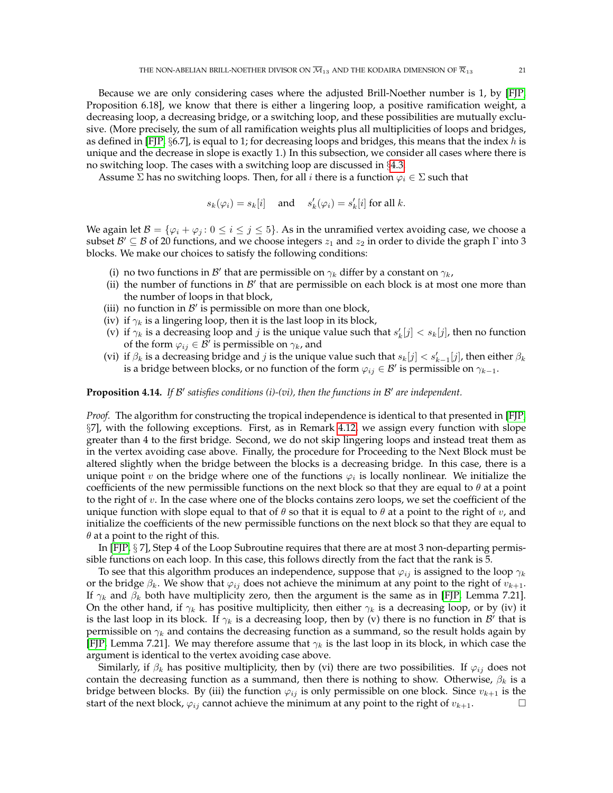Because we are only considering cases where the adjusted Brill-Noether number is 1, by [\[FJP,](#page-41-11) Proposition 6.18], we know that there is either a lingering loop, a positive ramification weight, a decreasing loop, a decreasing bridge, or a switching loop, and these possibilities are mutually exclusive. (More precisely, the sum of all ramification weights plus all multiplicities of loops and bridges, as defined in [\[FJP,](#page-41-11)  $\S6.7$ ], is equal to 1; for decreasing loops and bridges, this means that the index h is unique and the decrease in slope is exactly 1.) In this subsection, we consider all cases where there is no switching loop. The cases with a switching loop are discussed in §[4.3.](#page-23-0)

Assume  $\Sigma$  has no switching loops. Then, for all i there is a function  $\varphi_i \in \Sigma$  such that

$$
s_k(\varphi_i) = s_k[i] \quad \text{ and } \quad s'_k(\varphi_i) = s'_k[i] \text{ for all } k.
$$

We again let  $\mathcal{B} = \{\varphi_i + \varphi_j : 0 \leq i \leq j \leq 5\}$ . As in the unramified vertex avoiding case, we choose a subset  $\mathcal{B}' \subseteq \mathcal{B}$  of 20 functions, and we choose integers  $z_1$  and  $z_2$  in order to divide the graph  $\Gamma$  into 3 blocks. We make our choices to satisfy the following conditions:

- (i) no two functions in  $\mathcal{B}'$  that are permissible on  $\gamma_k$  differ by a constant on  $\gamma_k$ ,
- (ii) the number of functions in  $\mathcal{B}'$  that are permissible on each block is at most one more than the number of loops in that block,
- (iii) no function in  $\mathcal{B}'$  is permissible on more than one block,
- (iv) if  $\gamma_k$  is a lingering loop, then it is the last loop in its block,
- (v) if  $\gamma_k$  is a decreasing loop and j is the unique value such that  $s'_k[j] < s_k[j]$ , then no function of the form  $\varphi_{ij} \in \mathcal{B}'$  is permissible on  $\gamma_k$ , and
- (vi) if  $\beta_k$  is a decreasing bridge and *j* is the unique value such that  $s_k[j] < s'_{k-1}[j]$ , then either  $\beta_k$ is a bridge between blocks, or no function of the form  $\varphi_{ij}\in \mathcal{B}'$  is permissible on  $\gamma_{k-1}.$

# **Proposition 4.14.** If B' satisfies conditions (i)-(vi), then the functions in B' are independent.

*Proof.* The algorithm for constructing the tropical independence is identical to that presented in [\[FJP,](#page-41-11) §7], with the following exceptions. First, as in Remark [4.12,](#page-19-2) we assign every function with slope greater than 4 to the first bridge. Second, we do not skip lingering loops and instead treat them as in the vertex avoiding case above. Finally, the procedure for Proceeding to the Next Block must be altered slightly when the bridge between the blocks is a decreasing bridge. In this case, there is a unique point v on the bridge where one of the functions  $\varphi_i$  is locally nonlinear. We initialize the coefficients of the new permissible functions on the next block so that they are equal to  $\theta$  at a point to the right of  $v$ . In the case where one of the blocks contains zero loops, we set the coefficient of the unique function with slope equal to that of  $\theta$  so that it is equal to  $\theta$  at a point to the right of v, and initialize the coefficients of the new permissible functions on the next block so that they are equal to  $\theta$  at a point to the right of this.

In [\[FJP,](#page-41-11) § 7], Step 4 of the Loop Subroutine requires that there are at most 3 non-departing permissible functions on each loop. In this case, this follows directly from the fact that the rank is 5.

To see that this algorithm produces an independence, suppose that  $\varphi_{ij}$  is assigned to the loop  $\gamma_k$ or the bridge  $\beta_k$ . We show that  $\varphi_{ij}$  does not achieve the minimum at any point to the right of  $v_{k+1}$ . If  $\gamma_k$  and  $\beta_k$  both have multiplicity zero, then the argument is the same as in [\[FJP,](#page-41-11) Lemma 7.21]. On the other hand, if  $\gamma_k$  has positive multiplicity, then either  $\gamma_k$  is a decreasing loop, or by (iv) it is the last loop in its block. If  $\gamma_k$  is a decreasing loop, then by (v) there is no function in  $\mathcal{B}'$  that is permissible on  $\gamma_k$  and contains the decreasing function as a summand, so the result holds again by [\[FJP,](#page-41-11) Lemma 7.21]. We may therefore assume that  $\gamma_k$  is the last loop in its block, in which case the argument is identical to the vertex avoiding case above.

Similarly, if  $\beta_k$  has positive multiplicity, then by (vi) there are two possibilities. If  $\varphi_{ij}$  does not contain the decreasing function as a summand, then there is nothing to show. Otherwise,  $\beta_k$  is a bridge between blocks. By (iii) the function  $\varphi_{ij}$  is only permissible on one block. Since  $v_{k+1}$  is the start of the next block,  $\varphi_{ij}$  cannot achieve the minimum at any point to the right of  $v_{k+1}$ .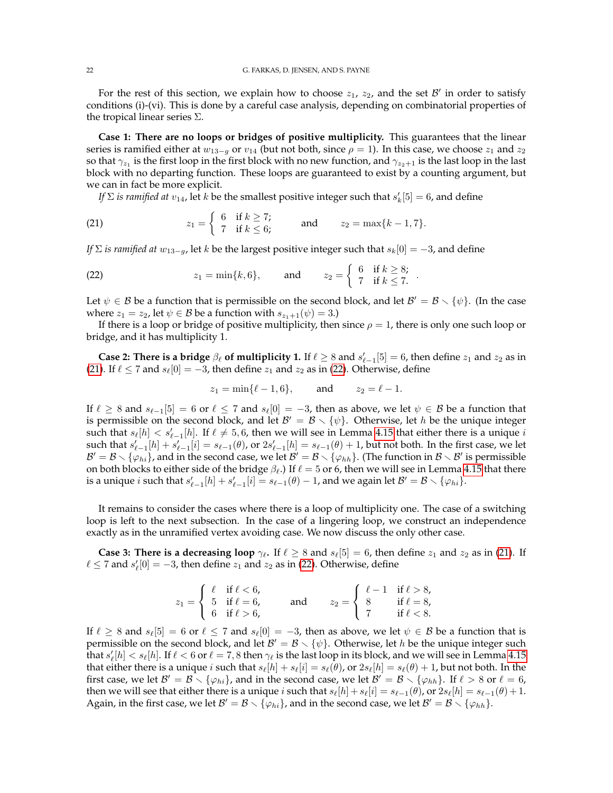For the rest of this section, we explain how to choose  $z_1$ ,  $z_2$ , and the set  $\mathcal{B}'$  in order to satisfy conditions (i)-(vi). This is done by a careful case analysis, depending on combinatorial properties of the tropical linear series Σ.

**Case 1: There are no loops or bridges of positive multiplicity.** This guarantees that the linear series is ramified either at  $w_{13-q}$  or  $v_{14}$  (but not both, since  $\rho = 1$ ). In this case, we choose  $z_1$  and  $z_2$ so that  $\gamma_{z_1}$  is the first loop in the first block with no new function, and  $\gamma_{z_2+1}$  is the last loop in the last block with no departing function. These loops are guaranteed to exist by a counting argument, but we can in fact be more explicit.

<span id="page-21-0"></span>*If*  $\Sigma$  *is ramified at*  $v_{14}$ , let  $k$  be the smallest positive integer such that  $s'_k[5] = 6$ , and define

(21) 
$$
z_1 = \begin{cases} 6 & \text{if } k \ge 7; \\ 7 & \text{if } k \le 6; \end{cases}
$$
 and  $z_2 = \max\{k - 1, 7\}.$ 

*If*  $\Sigma$  *is ramified at*  $w_{13-q}$ , let k be the largest positive integer such that  $s_k[0] = -3$ , and define

<span id="page-21-1"></span>(22) 
$$
z_1 = \min\{k, 6\}, \text{ and } z_2 = \begin{cases} 6 & \text{if } k \geq 8; \\ 7 & \text{if } k \leq 7. \end{cases}
$$

Let  $\psi \in \mathcal{B}$  be a function that is permissible on the second block, and let  $\mathcal{B}' = \mathcal{B} \setminus \{\psi\}$ . (In the case where  $z_1 = z_2$ , let  $\psi \in \mathcal{B}$  be a function with  $s_{z_1+1}(\psi) = 3$ .)

.

If there is a loop or bridge of positive multiplicity, then since  $\rho = 1$ , there is only one such loop or bridge, and it has multiplicity 1.

**Case 2: There is a bridge**  $\beta_{\ell}$  of multiplicity 1. If  $\ell \geq 8$  and  $s'_{\ell-1}[5] = 6$ , then define  $z_1$  and  $z_2$  as in [\(21\)](#page-21-0). If  $\ell \le 7$  and  $s_{\ell}[0] = -3$ , then define  $z_1$  and  $z_2$  as in [\(22\)](#page-21-1). Otherwise, define

$$
z_1 = \min\{\ell - 1, 6\},
$$
 and  $z_2 = \ell - 1.$ 

If  $\ell \geq 8$  and  $s_{\ell-1}[5] = 6$  or  $\ell \leq 7$  and  $s_{\ell}[0] = -3$ , then as above, we let  $\psi \in \mathcal{B}$  be a function that is permissible on the second block, and let  $B' = B \setminus \{\psi\}$ . Otherwise, let h be the unique integer such that  $s_{\ell}[h] < s'_{\ell-1}[h]$ . If  $\ell \neq 5, 6$ , then we will see in Lemma [4.15](#page-22-0) that either there is a unique  $i$ such that  $s'_{\ell-1}[h] + s'_{\ell-1}[i] = s_{\ell-1}(\theta)$ , or  $2s'_{\ell-1}[h] = s_{\ell-1}(\theta) + 1$ , but not both. In the first case, we let  $B' = B \setminus {\{\varphi_{hi}\}}$ , and in the second case, we let  $B' = B \setminus {\{\varphi_{hh}\}}$ . (The function in  $B \setminus B'$  is permissible on both blocks to either side of the bridge  $\beta_{\ell}$ .) If  $\ell = 5$  or 6, then we will see in Lemma [4.15](#page-22-0) that there is a unique  $i$  such that  $s'_{\ell-1}[h]+s'_{\ell-1}[i]=s_{\ell-1}(\theta)-1$ , and we again let  $\mathcal{B}'=\mathcal{B}\smallsetminus\{\varphi_{hi}\}.$ 

It remains to consider the cases where there is a loop of multiplicity one. The case of a switching loop is left to the next subsection. In the case of a lingering loop, we construct an independence exactly as in the unramified vertex avoiding case. We now discuss the only other case.

**Case 3: There is a decreasing loop**  $\gamma_{\ell}$ . If  $\ell \geq 8$  and  $s_{\ell}[5] = 6$ , then define  $z_1$  and  $z_2$  as in [\(21\)](#page-21-0). If  $\ell \leq 7$  and  $s'_\ell[0] = -3$ , then define  $z_1$  and  $z_2$  as in [\(22\)](#page-21-1). Otherwise, define

|                           |                                                                                           |     |                 | $\begin{cases} \ell - 1 & \text{if } \ell > 8, \\ 8 & \text{if } \ell = 8, \end{cases}$ |
|---------------------------|-------------------------------------------------------------------------------------------|-----|-----------------|-----------------------------------------------------------------------------------------|
|                           | $z_1 = \begin{cases} \ell & \text{if } \ell < 6, \\ 5 & \text{if } \ell = 6, \end{cases}$ | and | $z_2 = \{8$     |                                                                                         |
| $6 \text{ if } \ell > 6,$ |                                                                                           |     | if $\ell < 8$ . |                                                                                         |

If  $\ell \geq 8$  and  $s_{\ell}[5] = 6$  or  $\ell \leq 7$  and  $s_{\ell}[0] = -3$ , then as above, we let  $\psi \in \mathcal{B}$  be a function that is permissible on the second block, and let  $\mathcal{B}' = \mathcal{B} \setminus \{\psi\}$ . Otherwise, let h be the unique integer such that  $s'_\ell[h]< s_\ell[h]$ . If  $\ell < 6$  or  $\ell = 7,8$  then  $\gamma_\ell$  is the last loop in its block, and we will see in Lemma [4.15](#page-22-0) that either there is a unique i such that  $s_{\ell}[h] + s_{\ell}[i] = s_{\ell}(\theta)$ , or  $2s_{\ell}[h] = s_{\ell}(\theta) + 1$ , but not both. In the first case, we let  $\mathcal{B}' = \mathcal{B} \setminus \{\varphi_{hi}\}\)$ , and in the second case, we let  $\mathcal{B}' = \mathcal{B} \setminus \{\varphi_{hh}\}\$ . If  $\ell > 8$  or  $\ell = 6$ , then we will see that either there is a unique i such that  $s_{\ell}[h] + s_{\ell}[i] = s_{\ell-1}(\theta)$ , or  $2s_{\ell}[h] = s_{\ell-1}(\theta) + 1$ . Again, in the first case, we let  $\mathcal{B}' = \mathcal{B} \setminus {\varphi_{hi}}$ , and in the second case, we let  $\mathcal{B}' = \mathcal{B} \setminus {\varphi_{hh}}$ .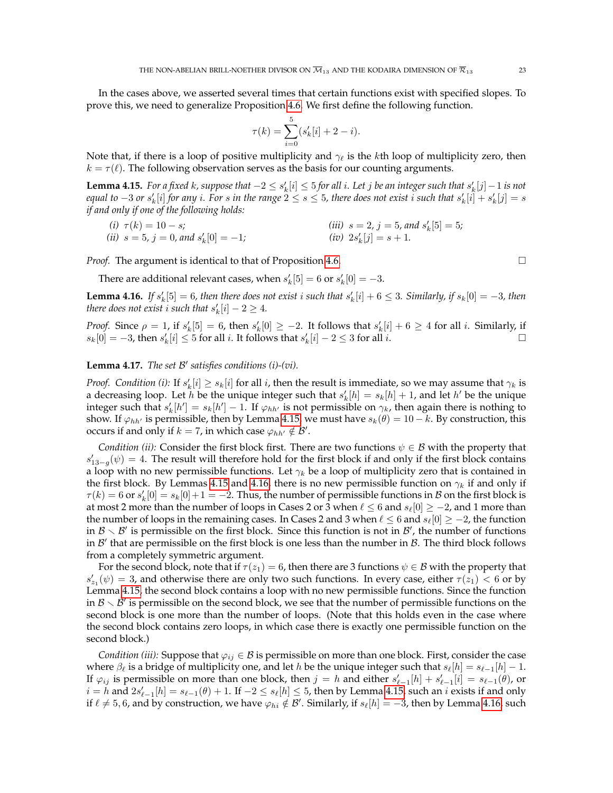In the cases above, we asserted several times that certain functions exist with specified slopes. To prove this, we need to generalize Proposition [4.6.](#page-17-0) We first define the following function.

$$
\tau(k) = \sum_{i=0}^{5} (s'_k[i] + 2 - i).
$$

Note that, if there is a loop of positive multiplicity and  $\gamma_{\ell}$  is the kth loop of multiplicity zero, then  $k = \tau(\ell)$ . The following observation serves as the basis for our counting arguments.

<span id="page-22-0"></span> ${\tt Lemma~4.15.}$  *For a fixed*  $k$ *, suppose that*  $-2\leq s'_k[i]\leq 5$  *for all*  $i.$  *Let*  $j$  *be an integer such that*  $s'_k[j]-1$  *is not* equal to  $-3$  or  $s'_k[i]$  for any  $i$ . For  $s$  in the range  $2 \leq s \leq 5$ , there does not exist  $i$  such that  $s'_k[i]+s'_k[j]=s$ *if and only if one of the following holds:*

(i) 
$$
\tau(k) = 10 - s
$$
;  
\n(ii)  $s = 5$ ,  $j = 0$ , and  $s'_k[0] = -1$ ;  
\n(iii)  $s = 2$ ,  $j = 5$ , and  $s'_k[5] = 5$ ;  
\n(iv)  $2s'_k[j] = s + 1$ .

*Proof.* The argument is identical to that of Proposition [4.6.](#page-17-0) □

There are additional relevant cases, when  $s'_k[5] = 6$  or  $s'_k[0] = -3$ .

<span id="page-22-1"></span>**Lemma 4.16.** If  $s'_k[5] = 6$ , then there does not exist i such that  $s'_k[i] + 6 \leq 3$ . Similarly, if  $s_k[0] = -3$ , then *there does not exist i such that*  $s'_k[i] - 2 \geq 4$ *.* 

*Proof.* Since  $\rho = 1$ , if  $s'_k[5] = 6$ , then  $s'_k[0] \ge -2$ . It follows that  $s'_k[i] + 6 \ge 4$  for all i. Similarly, if  $s_k[0] = -3$ , then  $s'_k[i] ≤ 5$  for all i. It follows that  $s'_k[i] - 2 ≤ 3$  for all i.

# **Lemma 4.17.** *The set* B 0 *satisfies conditions (i)-(vi).*

*Proof. Condition (i):* If  $s'_k[i] \geq s_k[i]$  for all *i*, then the result is immediate, so we may assume that  $\gamma_k$  is a decreasing loop. Let  $h$  be the unique integer such that  $s'_k[h] = s_k[h] + 1$ , and let  $h'$  be the unique integer such that  $s'_k[h'] = s_k[h'] - 1$ . If  $\varphi_{hh'}$  is not permissible on  $\gamma_k$ , then again there is nothing to show. If  $\varphi_{hh'}$  is permissible, then by Lemma [4.15,](#page-22-0) we must have  $s_k(\theta) = 10 - k$ . By construction, this occurs if and only if  $k = 7$ , in which case  $\varphi_{hh'} \notin \mathcal{B}'$ .

*Condition (ii):* Consider the first block first. There are two functions  $\psi \in \mathcal{B}$  with the property that  $s'_{13-g}(\psi) = 4$ . The result will therefore hold for the first block if and only if the first block contains a loop with no new permissible functions. Let  $\gamma_k$  be a loop of multiplicity zero that is contained in the first block. By Lemmas [4.15](#page-22-0) and [4.16,](#page-22-1) there is no new permissible function on  $\gamma_k$  if and only if  $\tau(k)=6$  or  $s'_k[0]=s_k[0]+1=-2.$  Thus, the number of permissible functions in  ${\cal B}$  on the first block is at most 2 more than the number of loops in Cases 2 or 3 when  $\ell \leq 6$  and  $s_{\ell}[0] \geq -2$ , and 1 more than the number of loops in the remaining cases. In Cases 2 and 3 when  $\ell \leq 6$  and  $s_{\ell}[0] \geq -2$ , the function in  $B \setminus B'$  is permissible on the first block. Since this function is not in  $B'$ , the number of functions in  $\mathcal{B}'$  that are permissible on the first block is one less than the number in  $\mathcal{B}$ . The third block follows from a completely symmetric argument.

For the second block, note that if  $\tau(z_1) = 6$ , then there are 3 functions  $\psi \in \mathcal{B}$  with the property that  $s'_{z_1}(\psi) = 3$ , and otherwise there are only two such functions. In every case, either  $\tau(z_1) < 6$  or by Lemma [4.15,](#page-22-0) the second block contains a loop with no new permissible functions. Since the function in  $\mathcal{B}\smallsetminus\mathcal{B}'$  is permissible on the second block, we see that the number of permissible functions on the second block is one more than the number of loops. (Note that this holds even in the case where the second block contains zero loops, in which case there is exactly one permissible function on the second block.)

*Condition (iii):* Suppose that  $\varphi_{ij} \in \mathcal{B}$  is permissible on more than one block. First, consider the case where  $\beta_{\ell}$  is a bridge of multiplicity one, and let h be the unique integer such that  $s_{\ell}[h] = s_{\ell-1}[h] - 1$ . If  $\varphi_{ij}$  is permissible on more than one block, then  $j = h$  and either  $s'_{\ell-1}[h] + s'_{\ell-1}[i] = s_{\ell-1}(\theta)$ , or  $i=h$  and  $2s'_{\ell-1}[h]=s_{\ell-1}(\theta)+1$ . If  $-2\leq s_{\ell}[h]\leq5$ , then by Lemma [4.15,](#page-22-0) such an  $i$  exists if and only if  $\ell \neq 5, 6$ , and by construction, we have  $\varphi_{hi} \notin \mathcal{B}'$ . Similarly, if  $s_{\ell}[h] = -3$ , then by Lemma [4.16,](#page-22-1) such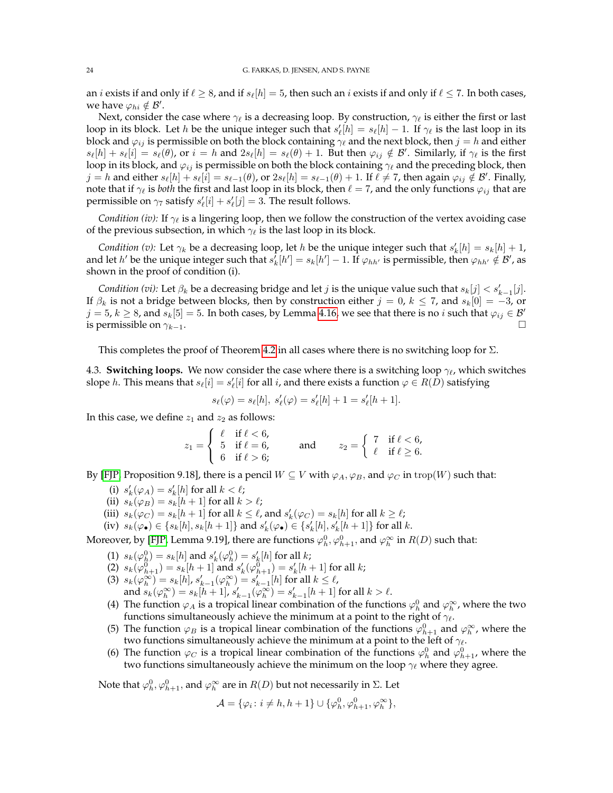an *i* exists if and only if  $\ell \geq 8$ , and if  $s_{\ell}[h] = 5$ , then such an *i* exists if and only if  $\ell \leq 7$ . In both cases, we have  $\varphi_{hi} \notin \mathcal{B}'$ .

Next, consider the case where  $\gamma_{\ell}$  is a decreasing loop. By construction,  $\gamma_{\ell}$  is either the first or last loop in its block. Let h be the unique integer such that  $s'_\ell[h] = s_\ell[h] - 1$ . If  $\gamma_\ell$  is the last loop in its block and  $\varphi_{ij}$  is permissible on both the block containing  $\gamma_{\ell}$  and the next block, then  $j = h$  and either  $s_{\ell}[h] + s_{\ell}[i] = s_{\ell}(\theta)$ , or  $i = h$  and  $2s_{\ell}[h] = s_{\ell}(\theta) + 1$ . But then  $\varphi_{ij} \notin \mathcal{B}'$ . Similarly, if  $\gamma_{\ell}$  is the first loop in its block, and  $\varphi_{ij}$  is permissible on both the block containing  $\gamma_{\ell}$  and the preceding block, then  $j = h$  and either  $s_{\ell}[h] + s_{\ell}[i] = s_{\ell-1}(\theta)$ , or  $2s_{\ell}[h] = s_{\ell-1}(\theta) + 1$ . If  $\ell \neq 7$ , then again  $\varphi_{ij} \notin \mathcal{B}'$ . Finally, note that if  $\gamma_\ell$  is *both* the first and last loop in its block, then  $\ell = 7$ , and the only functions  $\varphi_{ij}$  that are permissible on  $\gamma_7$  satisfy  $s'_\ell[i] + s'_\ell[j] = 3$ . The result follows.

*Condition (iv):* If  $\gamma_{\ell}$  is a lingering loop, then we follow the construction of the vertex avoiding case of the previous subsection, in which  $\gamma_{\ell}$  is the last loop in its block.

*Condition (v)*: Let  $\gamma_k$  be a decreasing loop, let h be the unique integer such that  $s'_k[h] = s_k[h] + 1$ , and let  $h'$  be the unique integer such that  $s_k^f[h'] = s_k[h'] - 1$ . If  $\varphi_{hh'}$  is permissible, then  $\varphi_{hh'} \notin \mathcal{B}'$ , as shown in the proof of condition (i).

*Condition (vi):* Let  $\beta_k$  be a decreasing bridge and let *j* is the unique value such that  $s_k[j] < s'_{k-1}[j]$ . If  $\beta_k$  is not a bridge between blocks, then by construction either  $j = 0$ ,  $k \le 7$ , and  $s_k[0] = -3$ , or  $j = 5$ ,  $k \ge 8$ , and  $s_k[5] = 5$ . In both cases, by Lemma [4.16,](#page-22-1) we see that there is no i such that  $\varphi_{ij} \in \mathcal{B}'$ is permissible on  $\gamma_{k-1}$ .

This completes the proof of Theorem [4.2](#page-15-2) in all cases where there is no switching loop for  $\Sigma$ .

<span id="page-23-0"></span>4.3. **Switching loops.** We now consider the case where there is a switching loop  $\gamma_{\ell}$ , which switches slope *h*. This means that  $s_\ell[i] = s'_\ell[i]$  for all *i*, and there exists a function  $\varphi \in R(\bar{D})$  satisfying

$$
s_{\ell}(\varphi) = s_{\ell}[h], \ s'_{\ell}(\varphi) = s'_{\ell}[h] + 1 = s'_{\ell}[h+1].
$$

In this case, we define  $z_1$  and  $z_2$  as follows:

 $z_1 =$  $\sqrt{ }$ J  $\mathcal{L}$  $\ell$  if  $\ell < 6$ , 5 if  $\ell = 6$ , 6 if  $\ell > 6$ ; and  $z_2 = \begin{cases} 7 & \text{if } \ell < 6, \\ \ell & \text{if } \ell > 6. \end{cases}$  $\ell$  if  $\ell \geq 6$ .

By [\[FJP,](#page-41-11) Proposition 9.18], there is a pencil  $W \subseteq V$  with  $\varphi_A$ ,  $\varphi_B$ , and  $\varphi_C$  in trop(W) such that:

- (i)  $s'_k(\varphi_A) = s'_k[h]$  for all  $k < \ell$ ;
- (ii)  $s_k(\varphi_B) = s_k[h+1]$  for all  $k > \ell$ ;
- (iii)  $s_k(\varphi_C) = s_k[h+1]$  for all  $k \leq \ell$ , and  $s'_k(\varphi_C) = s_k[h]$  for all  $k \geq \ell$ ;
- (iv)  $s_k(\varphi_\bullet) \in \{s_k[h], s_k[h+1]\}$  and  $s'_k(\varphi_\bullet) \in \{s'_k[h], s'_k[h+1]\}$  for all k.

Moreover, by [\[FJP,](#page-41-11) Lemma 9.19], there are functions  $\varphi^0_h, \varphi^0_{h+1},$  and  $\varphi^\infty_h$  in  $R(D)$  such that:

- (1)  $s_k(\varphi_h^0) = s_k[h]$  and  $s'_k(\varphi_h^0) = s'_k[h]$  for all  $k$ ;
- (2)  $s_k(\varphi_{h+1}^0) = s_k[h+1]$  and  $s'_k(\varphi_{h+1}^0) = s'_k[h+1]$  for all  $k$ ;
- (3)  $s_k(\varphi_k^{\infty}) = s_k[h], s'_{k-1}(\varphi_k^{\infty}) = s'_{k-1}[h]$  for all  $k \leq \ell$ , and  $s_k(\varphi_k^{\infty}) = s_k[h+1]$ ,  $s'_{k-1}(\varphi_k^{\infty}) = s'_{k-1}[h+1]$  for all  $k > \ell$ .
- (4) The function  $\varphi_A$  is a tropical linear combination of the functions  $\varphi_h^0$  and  $\varphi_h^{\infty}$ , where the two functions simultaneously achieve the minimum at a point to the right of  $\gamma_{\ell}$ .
- (5) The function  $\varphi_B$  is a tropical linear combination of the functions  $\varphi_{h+1}^0$  and  $\varphi_h^{\infty}$ , where the two functions simultaneously achieve the minimum at a point to the left of  $\gamma_{\ell}$ .
- (6) The function  $\varphi_C$  is a tropical linear combination of the functions  $\varphi_h^0$  and  $\varphi_{h+1}^0$ , where the two functions simultaneously achieve the minimum on the loop  $\gamma_{\ell}$  where they agree.

Note that  $\varphi^0_h, \varphi^0_{h+1},$  and  $\varphi^\infty_h$  are in  $R(D)$  but not necessarily in  $\Sigma.$  Let

$$
\mathcal{A} = \{ \varphi_i \colon i \neq h, h+1 \} \cup \{ \varphi_h^0, \varphi_{h+1}^0, \varphi_h^{\infty} \},
$$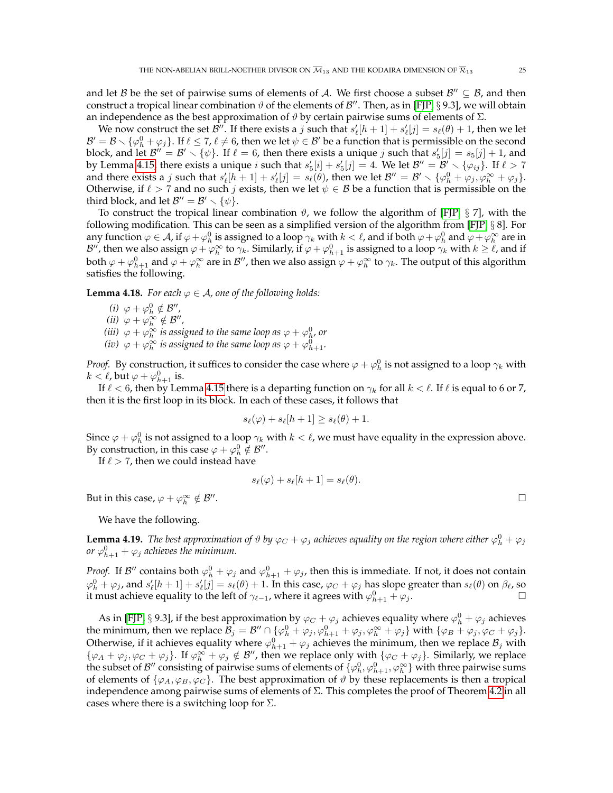and let B be the set of pairwise sums of elements of A. We first choose a subset  $\mathcal{B}'' \subseteq \mathcal{B}$ , and then construct a tropical linear combination  $\vartheta$  of the elements of  $\mathcal{B}''$ . Then, as in [\[FJP,](#page-41-11) § 9.3], we will obtain an independence as the best approximation of  $\vartheta$  by certain pairwise sums of elements of  $\Sigma$ .

We now construct the set  $\mathcal{B}''$ . If there exists a j such that  $s'_\ell[h+1]+s'_\ell[j]=s_\ell(\theta)+1$ , then we let  $B' = B \setminus {\varphi}^0_h + \varphi_j$ . If  $\ell \le 7$ ,  $\ell \ne 6$ , then we let  $\psi \in B'$  be a function that is permissible on the second block, and let  $B'' = B' \setminus \{\psi\}$ . If  $\ell = 6$ , then there exists a unique j such that  $s_5'[j] = s_5[j] + 1$ , and by Lemma [4.15,](#page-22-0) there exists a unique i such that  $s_5'[i] + s_5'[j] = 4$ . We let  $\mathcal{B}'' = \mathcal{B}' \setminus \{\varphi_{ij}\}\$ . If  $\ell > 7$ and there exists a j such that  $s'_\ell[h+1] + s'_\ell[j] = s_\ell(\theta)$ , then we let  $\mathcal{B}'' = \mathcal{B}' \setminus \{\varphi_h^0 + \varphi_j, \varphi_h^{\infty} + \varphi_j\}.$ Otherwise, if  $\ell > 7$  and no such j exists, then we let  $\psi \in \mathcal{B}$  be a function that is permissible on the third block, and let  $\mathcal{B}'' = \mathcal{B}' \setminus \{\psi\}.$ 

To construct the tropical linear combination  $\vartheta$ , we follow the algorithm of [\[FJP,](#page-41-11) § 7], with the following modification. This can be seen as a simplified version of the algorithm from [\[FJP,](#page-41-11) § 8]. For any function  $\varphi\in\cal A$ , if  $\varphi+\varphi^0_h$  is assigned to a loop  $\gamma_k$  with  $k<\ell$ , and if both  $\varphi+\varphi^0_h$  and  $\varphi+\varphi^{\infty}_h$  are in  $\mathcal{B}''$ , then we also assign  $\varphi + \varphi_h^\infty$  to  $\gamma_k$ . Similarly, if  $\varphi + \varphi_{h+1}^0$  is assigned to a loop  $\gamma_k$  with  $k \geq \ell$ , and if both  $\varphi+\varphi_{h+1}^0$  and  $\varphi+\varphi_h^\infty$  are in  $\mathcal{B}''$ , then we also assign  $\varphi+\varphi_h^\infty$  to  $\gamma_k.$  The output of this algorithm satisfies the following.

**Lemma 4.18.** *For each*  $\varphi \in A$ *, one of the following holds:* 

- (*i*)  $\varphi + \varphi_h^0 \notin \mathcal{B}''$ ,
- (*ii*)  $\varphi + \varphi_h^{\infty} \notin \mathcal{B}''$ ,
- (*iii*)  $\varphi + \varphi^{\infty}_h$  is assigned to the same loop as  $\varphi + \varphi^0_h$ , or
- (*iv*)  $\varphi + \varphi_h^{\infty}$  *is assigned to the same loop as*  $\varphi + \varphi_{h+1}^0$ *.*

*Proof.* By construction, it suffices to consider the case where  $\varphi+\varphi^0_h$  is not assigned to a loop  $\gamma_k$  with  $k < \ell$ , but  $\varphi + \varphi^0_{h+1}$  is.

If  $\ell < 6$ , then by Lemma [4.15](#page-22-0) there is a departing function on  $\gamma_k$  for all  $k < \ell$ . If  $\ell$  is equal to 6 or 7, then it is the first loop in its block. In each of these cases, it follows that

$$
s_{\ell}(\varphi) + s_{\ell}[h+1] \geq s_{\ell}(\theta) + 1.
$$

Since  $\varphi + \varphi_h^0$  is not assigned to a loop  $\gamma_k$  with  $k < \ell$ , we must have equality in the expression above. By construction, in this case  $\varphi + \varphi_h^0 \notin \mathcal{B}''$ .

If  $\ell > 7$ , then we could instead have

$$
s_{\ell}(\varphi) + s_{\ell}[h+1] = s_{\ell}(\theta).
$$

But in this case,  $\varphi + \varphi_h^{\infty} \notin \mathcal{B}''$ .

We have the following.

**Lemma 4.19.** The best approximation of  $\vartheta$  by  $\varphi_C + \varphi_j$  achieves equality on the region where either  $\varphi_h^0 + \varphi_j$ *or*  $\varphi_{h+1}^0 + \varphi_j$  achieves the minimum.

*Proof.* If  $B''$  contains both  $\varphi_h^0 + \varphi_j$  and  $\varphi_{h+1}^0 + \varphi_j$ , then this is immediate. If not, it does not contain  $\varphi_h^0+\varphi_j$ , and  $s'_\ell[h+1]+s'_\ell[j]=s_\ell(\theta)+1.$  In this case,  $\varphi_C+\varphi_j$  has slope greater than  $s_\ell(\theta)$  on  $\beta_\ell$ , so it must achieve equality to the left of  $\gamma_{\ell-1}$ , where it agrees with  $\varphi_{h+1}^0 + \varphi_j$ .

As in [\[FJP,](#page-41-11) § 9.3], if the best approximation by  $\varphi_C + \varphi_j$  achieves equality where  $\varphi_h^0 + \varphi_j$  achieves the minimum, then we replace  $\overline{\mathcal{B}_j} = \mathcal{B}'' \cap \{ \varphi_h^0 + \varphi_j, \varphi_{h+1}^0 + \varphi_j, \varphi_h^\infty + \varphi_j \}$  with  $\{ \varphi_B + \varphi_j, \varphi_C + \varphi_j \}$ . Otherwise, if it achieves equality where  $\varphi_{h+1}^0 + \varphi_j$  achieves the minimum, then we replace  $\mathcal{B}_j$  with  $\{\varphi_A + \varphi_j, \varphi_C + \varphi_j\}$ . If  $\varphi_h^{\infty} + \varphi_j \notin \mathcal{B}''$ , then we replace only with  $\{\varphi_C + \varphi_j\}$ . Similarly, we replace the subset of  $\mathcal{B}''$  consisting of pairwise sums of elements of  $\{\varphi_h^0,\varphi_{h+1}^0,\varphi_h^\infty\}$  with three pairwise sums of elements of  $\{\varphi_A, \varphi_B, \varphi_C\}$ . The best approximation of  $\vartheta$  by these replacements is then a tropical independence among pairwise sums of elements of Σ. This completes the proof of Theorem [4.2](#page-15-2) in all cases where there is a switching loop for  $\Sigma$ .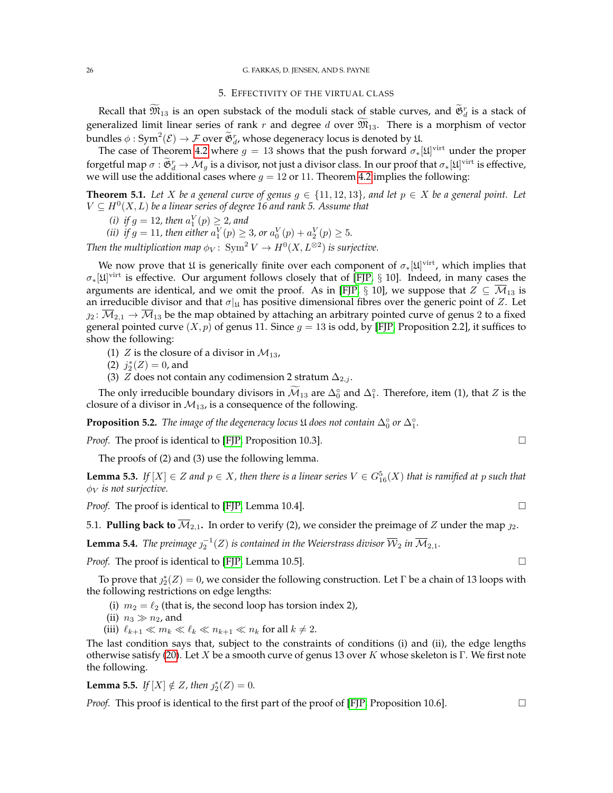### 5. EFFECTIVITY OF THE VIRTUAL CLASS

<span id="page-25-0"></span>Recall that  $\widetilde{M}_{13}$  is an open substack of the moduli stack of stable curves, and  $\widetilde{\mathfrak{G}}^r_d$  is a stack of generalized limit linear series of rank r and degree d over  $\widetilde{\mathfrak{M}}_{13}$ . There is a morphism of vector bundles  $\phi: Sym^2(\mathcal{E}) \to \mathcal{F}$  over  $\widetilde{\mathfrak{G}}^r_d$ , whose degeneracy locus is denoted by 1.

The case of Theorem [4.2](#page-15-2) where  $g = 13$  shows that the push forward  $\sigma_*[\mathfrak{U}]^\text{virt}$  under the proper forgetful map  $\sigma : \mathfrak{G}^r_d \to \mathcal{M}_g$  is a divisor, not just a divisor class. In our proof that  $\sigma_*[\mathfrak{U}]^{\text{virt}}$  is effective, we will use the additional cases where  $g = 12$  or 11. Theorem [4.2](#page-15-2) implies the following:

**Theorem 5.1.** *Let* X *be a general curve of genus*  $q \in \{11, 12, 13\}$ *, and let*  $p \in X$  *be a general point. Let*  $V \subseteq H^0(X, L)$  be a linear series of degree 16 and rank 5. Assume that

(i) if 
$$
g = 12
$$
, then  $a_1^V(p) \geq 2$ , and

(*i*)  $y y = 12$ , then  $a_1 (p) \ge 2$ , and<br>(*ii*) if  $g = 11$ , then either  $a_1^V(p) \ge 3$ , or  $a_0^V(p) + a_2^V(p) \ge 5$ .

Then the multiplication map  $\phi_V\colon \operatorname{Sym}^2 V \to H^0(X,L^{\otimes 2})$  is surjective.

We now prove that  $\mathfrak U$  is generically finite over each component of  $\sigma_*[\mathfrak U]^{\rm virt}$ , which implies that  $\sigma_*[\mathfrak{U}]^\text{virt}$  is effective. Our argument follows closely that of [\[FJP,](#page-41-11) § 10]. Indeed, in many cases the arguments are identical, and we omit the proof. As in [\[FJP,](#page-41-11) § 10], we suppose that  $Z \subseteq \overline{\mathcal{M}}_{13}$  is an irreducible divisor and that  $\sigma|_{\mathfrak{U}}$  has positive dimensional fibres over the generic point of Z. Let  $2_{2}:\overline{M}_{2,1}\to\overline{M}_{13}$  be the map obtained by attaching an arbitrary pointed curve of genus 2 to a fixed general pointed curve  $(X, p)$  of genus 11. Since  $g = 13$  is odd, by [\[FJP,](#page-41-11) Proposition 2.2], it suffices to show the following:

(1) Z is the closure of a divisor in  $\mathcal{M}_{13}$ ,

- (2)  $j_2^*(Z) = 0$ , and
- (3) *Z* does not contain any codimension 2 stratum  $\Delta_{2,j}$ .

The only irreducible boundary divisors in  $\widetilde{\mathcal{M}}_{13}$  are  $\Delta_0^\circ$  and  $\Delta_1^\circ$ . Therefore, item (1), that Z is the closure of a divisor in  $\mathcal{M}_{13}$ , is a consequence of the following.

**Proposition 5.2.** *The image of the degeneracy locus*  $\mathfrak U$  *does not contain*  $\Delta_0^\circ$  *or*  $\Delta_1^\circ$ *.* 

*Proof.* The proof is identical to [\[FJP,](#page-41-11) Proposition 10.3]. □

The proofs of (2) and (3) use the following lemma.

<span id="page-25-2"></span>**Lemma 5.3.** If  $[X] \in Z$  and  $p \in X$ , then there is a linear series  $V \in G_{16}^{5}(X)$  that is ramified at p such that  $\phi_V$  *is not surjective.* 

*Proof.* The proof is identical to [\[FJP,](#page-41-11) Lemma 10.4]. □

5.1. **Pulling back to**  $\overline{\mathcal{M}}_{2,1}$ . In order to verify (2), we consider the preimage of Z under the map  $\eta_2$ .

**Lemma 5.4.** The preimage  $j_2^{-1}(Z)$  is contained in the Weierstrass divisor  $\overline{\mathcal{W}}_2$  in  $\overline{\mathcal{M}}_{2,1}$ .

*Proof.* The proof is identical to [\[FJP,](#page-41-11) Lemma 10.5]. □

To prove that  $j_2^*(Z) = 0$ , we consider the following construction. Let  $\Gamma$  be a chain of 13 loops with the following restrictions on edge lengths:

- (i)  $m_2 = \ell_2$  (that is, the second loop has torsion index 2),
- (ii)  $n_3 \gg n_2$ , and
- (iii)  $\ell_{k+1} \ll m_k \ll \ell_k \ll n_{k+1} \ll n_k$  for all  $k \neq 2$ .

The last condition says that, subject to the constraints of conditions (i) and (ii), the edge lengths otherwise satisfy [\(20\)](#page-15-3). Let X be a smooth curve of genus 13 over K whose skeleton is Γ. We first note the following.

<span id="page-25-1"></span>**Lemma 5.5.** *If*  $[X] \notin Z$ *, then*  $j_2^*(Z) = 0$ *.* 

*Proof.* This proof is identical to the first part of the proof of [\[FJP,](#page-41-11) Proposition 10.6]. □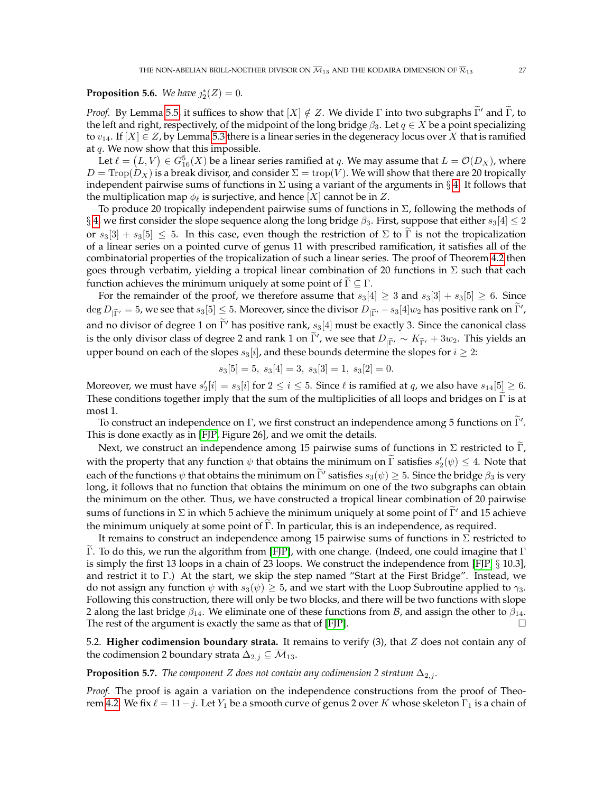# **Proposition 5.6.** We have  $j_2^*(Z) = 0$ .

*Proof.* By Lemma [5.5,](#page-25-1) it suffices to show that  $[X] \notin Z$ . We divide  $\Gamma$  into two subgraphs  $\tilde{\Gamma}'$  and  $\tilde{\Gamma}$ , to the left and right, respectively, of the midpoint of the long bridge  $\beta_3$ . Let  $q \in X$  be a point specializing to  $v_{14}$ . If  $[X] \in \mathbb{Z}$ , by Lemma [5.3](#page-25-2) there is a linear series in the degeneracy locus over X that is ramified at  $q$ . We now show that this impossible.

Let  $\ell = \left( L, V \right) \in G_{16}^5(X)$  be a linear series ramified at  $q$ . We may assume that  $L = {\mathcal{O}}(D_X)$ , where  $D = \text{Trop}(D_X)$  is a break divisor, and consider  $\Sigma = \text{trop}(V)$ . We will show that there are 20 tropically independent pairwise sums of functions in  $\Sigma$  using a variant of the arguments in § [4.](#page-14-0) It follows that the multiplication map  $\phi_{\ell}$  is surjective, and hence [X] cannot be in Z.

To produce 20 tropically independent pairwise sums of functions in  $\Sigma$ , following the methods of § [4,](#page-14-0) we first consider the slope sequence along the long bridge  $\beta_3$ . First, suppose that either  $s_3[4] \leq 2$ or  $s_3[3] + s_3[5] \leq 5$ . In this case, even though the restriction of  $\Sigma$  to  $\Gamma$  is not the tropicalization of a linear series on a pointed curve of genus 11 with prescribed ramification, it satisfies all of the combinatorial properties of the tropicalization of such a linear series. The proof of Theorem [4.2](#page-15-2) then goes through verbatim, yielding a tropical linear combination of 20 functions in  $\Sigma$  such that each function achieves the minimum uniquely at some point of  $\Gamma \subseteq \Gamma$ .

For the remainder of the proof, we therefore assume that  $s_3[4] \geq 3$  and  $s_3[3] + s_3[5] \geq 6$ . Since  $\deg D_{|\widetilde \Gamma'}=5$ , we see that  $s_3[5]\le 5.$  Moreover, since the divisor  $D_{|\widetilde \Gamma'}-s_3[4]w_2$  has positive rank on  $\widetilde \Gamma',$ and no divisor of degree 1 on  $\tilde{\Gamma}'$  has positive rank,  $s_3[4]$  must be exactly 3. Since the canonical class is the only divisor class of degree 2 and rank 1 on  $\tilde{\Gamma}'$ , we see that  $D_{|\tilde{\Gamma}'} \sim K_{\tilde{\Gamma}'} + 3w_2$ . This yields an upper bound on each of the slopes  $s_3[i]$ , and these bounds determine the slopes for  $i \geq 2$ :

$$
s_3[5] = 5, \ s_3[4] = 3, \ s_3[3] = 1, \ s_3[2] = 0.
$$

Moreover, we must have  $s'_2[i] = s_3[i]$  for  $2 \leq i \leq 5$ . Since  $\ell$  is ramified at  $q$ , we also have  $s_{14}[5] \geq 6$ . These conditions together imply that the sum of the multiplicities of all loops and bridges on  $\Gamma$  is at most 1.

To construct an independence on Γ, we first construct an independence among 5 functions on  $\tilde{\Gamma}'$ . This is done exactly as in [\[FJP,](#page-41-11) Figure 26], and we omit the details.

Next, we construct an independence among 15 pairwise sums of functions in  $\Sigma$  restricted to Γ, with the property that any function  $\psi$  that obtains the minimum on  $\tilde{\Gamma}$  satisfies  $s'_2(\psi) \leq 4$ . Note that each of the functions  $\psi$  that obtains the minimum on  $\tilde{\Gamma}'$  satisfies  $s_3(\psi) \geq 5$ . Since the bridge  $\beta_3$  is very long, it follows that no function that obtains the minimum on one of the two subgraphs can obtain the minimum on the other. Thus, we have constructed a tropical linear combination of 20 pairwise sums of functions in  $\Sigma$  in which 5 achieve the minimum uniquely at some point of  $\tilde{\Gamma}'$  and 15 achieve the minimum uniquely at some point of  $\Gamma$ . In particular, this is an independence, as required.

It remains to construct an independence among 15 pairwise sums of functions in  $\Sigma$  restricted to Γ. To do this, we run the algorithm from [FIP], with one change. (Indeed, one could imagine that Γ is simply the first 13 loops in a chain of 23 loops. We construct the independence from [\[FJP,](#page-41-11) § 10.3], and restrict it to Γ.) At the start, we skip the step named "Start at the First Bridge". Instead, we do not assign any function  $\psi$  with  $s_3(\psi) \geq 5$ , and we start with the Loop Subroutine applied to  $\gamma_3$ . Following this construction, there will only be two blocks, and there will be two functions with slope 2 along the last bridge  $\beta_{14}$ . We eliminate one of these functions from *B*, and assign the other to  $\beta_{14}$ . The rest of the argument is exactly the same as that of [\[FJP\]](#page-41-11).

5.2. **Higher codimension boundary strata.** It remains to verify (3), that Z does not contain any of the codimension 2 boundary strata  $\Delta_{2,j} \subseteq \overline{\mathcal{M}}_{13}$ .

### **Proposition 5.7.** *The component Z* does not contain any codimension 2 stratum  $\Delta_{2,j}$ .

*Proof.* The proof is again a variation on the independence constructions from the proof of Theo-rem [4.2.](#page-15-2) We fix  $\ell = 11-j$ . Let Y<sub>1</sub> be a smooth curve of genus 2 over K whose skeleton  $\Gamma_1$  is a chain of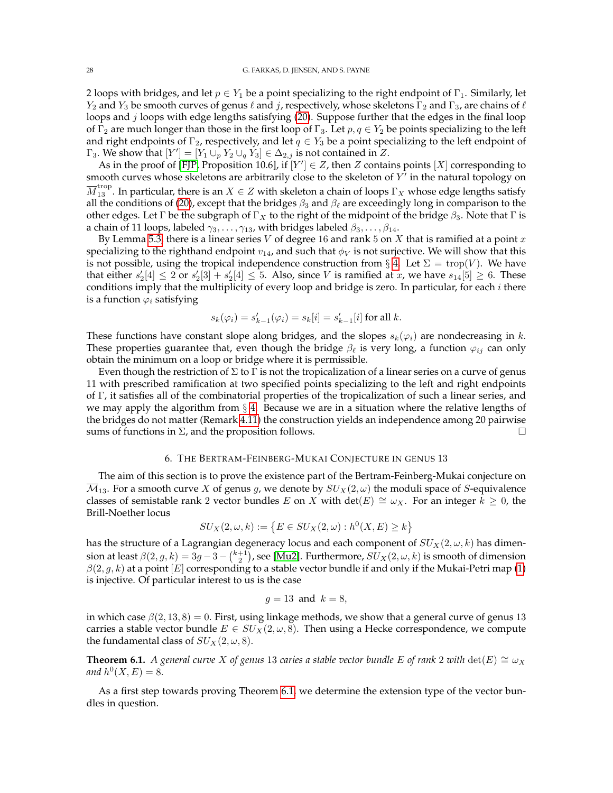2 loops with bridges, and let  $p \in Y_1$  be a point specializing to the right endpoint of  $\Gamma_1$ . Similarly, let  $Y_2$  and  $Y_3$  be smooth curves of genus  $\ell$  and j, respectively, whose skeletons  $\Gamma_2$  and  $\Gamma_3$ , are chains of  $\ell$ loops and *j* loops with edge lengths satisfying [\(20\)](#page-15-3). Suppose further that the edges in the final loop of  $\Gamma_2$  are much longer than those in the first loop of  $\Gamma_3$ . Let  $p, q \in Y_2$  be points specializing to the left and right endpoints of  $\Gamma_2$ , respectively, and let  $q \in Y_3$  be a point specializing to the left endpoint of  $\Gamma_3$ . We show that  $[Y'] = [Y_1 \cup_p Y_2 \cup_q Y_3] \in \Delta_{2,j}$  is not contained in Z.

As in the proof of [\[FJP,](#page-41-11) Proposition 10.6], if  $[Y'] \in Z$ , then Z contains points  $[X]$  corresponding to smooth curves whose skeletons are arbitrarily close to the skeleton of  $Y^{\dagger}$  in the natural topology on  $\overline{M}_{13}^{\text{trop}}$  . In particular, there is an  $X\in Z$  with skeleton a chain of loops  $\Gamma_X$  whose edge lengths satisfy all the conditions of [\(20\)](#page-15-3), except that the bridges  $\beta_3$  and  $\beta_\ell$  are exceedingly long in comparison to the other edges. Let Γ be the subgraph of  $\Gamma_X$  to the right of the midpoint of the bridge  $\beta_3$ . Note that Γ is a chain of 11 loops, labeled  $\gamma_3, \ldots, \gamma_{13}$ , with bridges labeled  $\beta_3, \ldots, \beta_{14}$ .

By Lemma [5.3,](#page-25-2) there is a linear series V of degree 16 and rank 5 on X that is ramified at a point x specializing to the righthand endpoint  $v_{14}$ , and such that  $\phi_V$  is not surjective. We will show that this is not possible, using the tropical independence construction from § [4.](#page-14-0) Let  $\Sigma = \text{trop}(V)$ . We have that either  $s'_2[4] \leq 2$  or  $s'_2[3] + s'_2[4] \leq 5$ . Also, since V is ramified at x, we have  $s_{14}[5] \geq 6$ . These conditions imply that the multiplicity of every loop and bridge is zero. In particular, for each  $i$  there is a function  $\varphi_i$  satisfying

$$
s_k(\varphi_i) = s'_{k-1}(\varphi_i) = s_k[i] = s'_{k-1}[i] \text{ for all } k.
$$

These functions have constant slope along bridges, and the slopes  $s_k(\varphi_i)$  are nondecreasing in k. These properties guarantee that, even though the bridge  $\beta_{\ell}$  is very long, a function  $\varphi_{ij}$  can only obtain the minimum on a loop or bridge where it is permissible.

Even though the restriction of  $\Sigma$  to  $\Gamma$  is not the tropicalization of a linear series on a curve of genus 11 with prescribed ramification at two specified points specializing to the left and right endpoints of Γ, it satisfies all of the combinatorial properties of the tropicalization of such a linear series, and we may apply the algorithm from  $\S$  [4.](#page-14-0) Because we are in a situation where the relative lengths of the bridges do not matter (Remark [4.11\)](#page-18-2) the construction yields an independence among 20 pairwise sums of functions in  $\Sigma$ , and the proposition follows.  $\square$ 

#### 6. THE BERTRAM-FEINBERG-MUKAI CONJECTURE IN GENUS 13

<span id="page-27-0"></span>The aim of this section is to prove the existence part of the Bertram-Feinberg-Mukai conjecture on  $\overline{\mathcal{M}}_{13}$ . For a smooth curve X of genus g, we denote by  $SU_X(2,\omega)$  the moduli space of S-equivalence classes of semistable rank 2 vector bundles E on X with det(E)  $\cong \omega_X$ . For an integer  $k \geq 0$ , the Brill-Noether locus

$$
SU_X(2, \omega, k) := \{ E \in SU_X(2, \omega) : h^0(X, E) \ge k \}
$$

has the structure of a Lagrangian degeneracy locus and each component of  $SU_X(2, \omega, k)$  has dimension at least  $\beta(2,g,k)=3g-3-{k+1 \choose 2}$ , see [\[Mu2\]](#page-41-4). Furthermore,  $SU_{X}(2,\omega,k)$  is smooth of dimension  $\beta(2, g, k)$  at a point [E] corresponding to a stable vector bundle if and only if the Mukai-Petri map [\(1\)](#page-1-3) is injective. Of particular interest to us is the case

$$
g=13 \text{ and } k=8,
$$

in which case  $\beta(2, 13, 8) = 0$ . First, using linkage methods, we show that a general curve of genus 13 carries a stable vector bundle  $E \in SU_X(2, \omega, 8)$ . Then using a Hecke correspondence, we compute the fundamental class of  $SU_X(2, \omega, 8)$ .

<span id="page-27-1"></span>**Theorem 6.1.** *A general curve* X of genus 13 *caries a stable vector bundle* E of rank 2 *with* det(E)  $\cong \omega_X$ and  $h^0(X, E) = 8$ .

As a first step towards proving Theorem [6.1,](#page-27-1) we determine the extension type of the vector bundles in question.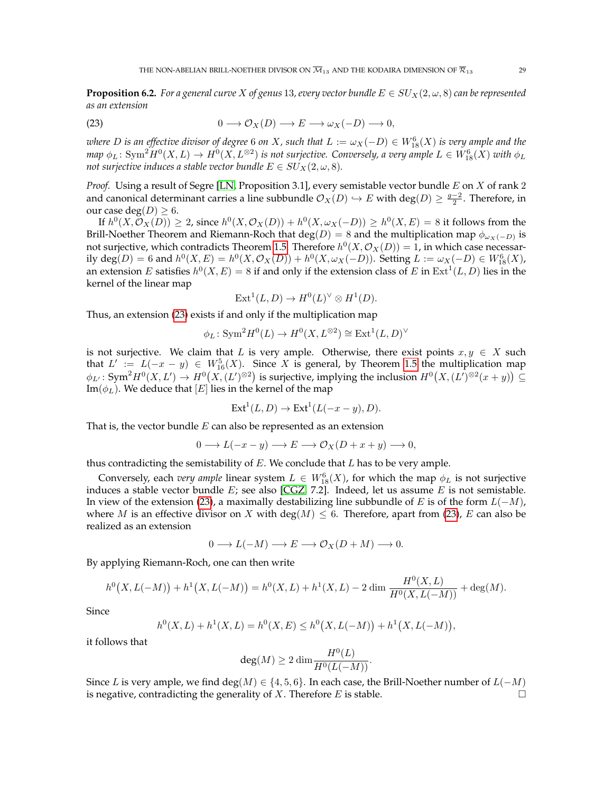<span id="page-28-1"></span>**Proposition 6.2.** *For a general curve* X of genus 13, every vector bundle  $E \in SU_X(2, \omega, 8)$  can be represented *as an extension*

<span id="page-28-0"></span>(23) 
$$
0 \longrightarrow \mathcal{O}_X(D) \longrightarrow E \longrightarrow \omega_X(-D) \longrightarrow 0,
$$

 $w$ here  $D$  is an effective divisor of degree  $6$  on  $X$ , such that  $L:=\omega_X(-D)\in W^6_{18}(X)$  is very ample and the  $m$ ap  $\phi_L\colon \mathrm{Sym}^2 H^0(X,L) \to H^0(X,L^{\otimes 2})$  is not surjective. Conversely, a very ample  $L \in W^6_{18}(X)$  with  $\phi_L$ *not surjective induces a stable vector bundle*  $E \in SU_X(2, \omega, 8)$ *.* 

*Proof.* Using a result of Segre [\[LN,](#page-41-30) Proposition 3.1], every semistable vector bundle E on X of rank 2 and canonical determinant carries a line subbundle  $\mathcal{O}_X(D) \hookrightarrow E$  with  $\deg(D) \geq \frac{g-2}{2}$ . Therefore, in our case deg $(D) \geq 6$ .

If  $h^0(X, \mathcal{O}_X(D)) \geq 2$ , since  $h^0(X, \mathcal{O}_X(D)) + h^0(X, \omega_X(-D)) \geq h^0(X, E) = 8$  it follows from the Brill-Noether Theorem and Riemann-Roch that  $\deg(D) = 8$  and the multiplication map  $\phi_{\omega_X(-D)}$  is not surjective, which contradicts Theorem [1.5.](#page-3-0) Therefore  $h^0(X, \mathcal{O}_X(D)) = 1$ , in which case necessarily  $deg(D) = 6$  and  $h^0(X, E) = h^0(X, \mathcal{O}_X(D)) + h^0(X, \omega_X(-D))$ . Setting  $L := \omega_X(-D) \in W^6_{18}(X)$ , an extension E satisfies  $h^0(X, E) = 8$  if and only if the extension class of E in  $\text{Ext}^1(L, D)$  lies in the kernel of the linear map

$$
Ext1(L, D) \to H0(L)V \otimes H1(D).
$$

Thus, an extension [\(23\)](#page-28-0) exists if and only if the multiplication map

$$
\phi_L \colon \mathrm{Sym}^2 H^0(L) \to H^0(X, L^{\otimes 2}) \cong \mathrm{Ext}^1(L, D)^\vee
$$

is not surjective. We claim that L is very ample. Otherwise, there exist points  $x, y \in X$  such that  $L' := L(-x - y) \in W_{16}^5(X)$ . Since X is general, by Theorem [1.5](#page-3-0) the multiplication map  $\phi_{L'}\colon \text{Sym}^2 H^0(X, L') \to H^0(X, (L')^{\otimes 2})$  is surjective, implying the inclusion  $H^0(X, (L')^{\otimes 2}(x+y)) \subseteq$ Im( $\phi_L$ ). We deduce that [E] lies in the kernel of the map

$$
Ext1(L, D) \to Ext1(L(-x - y), D).
$$

That is, the vector bundle  $E$  can also be represented as an extension

$$
0 \longrightarrow L(-x-y) \longrightarrow E \longrightarrow \mathcal{O}_X(D+x+y) \longrightarrow 0,
$$

thus contradicting the semistability of  $E$ . We conclude that  $L$  has to be very ample.

Conversely, each *very ample* linear system  $L \in W^6_{18}(X)$ , for which the map  $\phi_L$  is not surjective induces a stable vector bundle  $E$ ; see also [\[CGZ,](#page-41-31) 7.2]. Indeed, let us assume  $E$  is not semistable. In view of the extension [\(23\)](#page-28-0), a maximally destabilizing line subbundle of E is of the form  $L(-M)$ , where M is an effective divisor on X with deg(M)  $\leq$  6. Therefore, apart from [\(23\)](#page-28-0), E can also be realized as an extension

$$
0 \longrightarrow L(-M) \longrightarrow E \longrightarrow \mathcal{O}_X(D+M) \longrightarrow 0.
$$

By applying Riemann-Roch, one can then write

$$
h^{0}(X, L(-M)) + h^{1}(X, L(-M)) = h^{0}(X, L) + h^{1}(X, L) - 2 \dim \frac{H^{0}(X, L)}{H^{0}(X, L(-M))} + \deg(M).
$$

Since

$$
h^{0}(X, L) + h^{1}(X, L) = h^{0}(X, E) \leq h^{0}(X, L(-M)) + h^{1}(X, L(-M)),
$$

it follows that

$$
\deg(M) \ge 2 \dim \frac{H^0(L)}{H^0(L(-M))}.
$$

Since L is very ample, we find deg(M)  $\in \{4, 5, 6\}$ . In each case, the Brill-Noether number of  $L(-M)$ is negative, contradicting the generality of X. Therefore E is stable.  $\Box$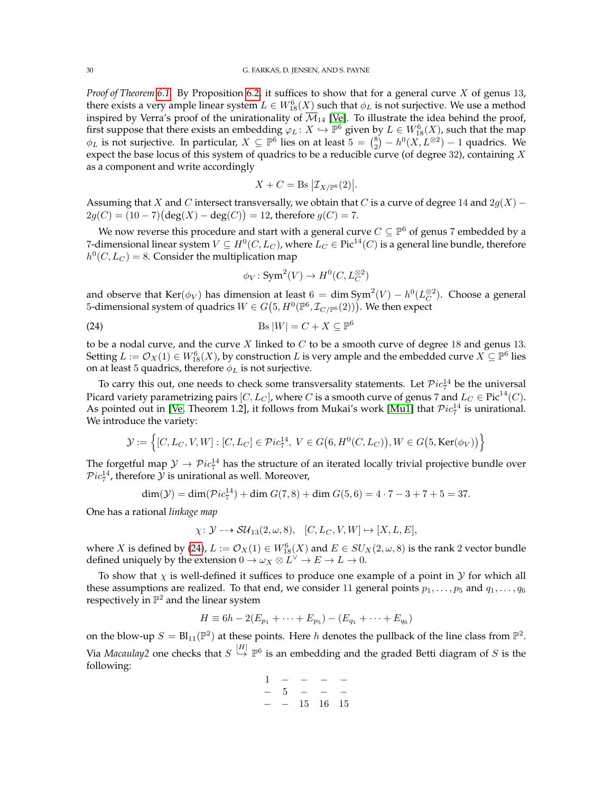*Proof of Theorem [6.1.](#page-27-1)* By Proposition [6.2,](#page-28-1) it suffices to show that for a general curve X of genus 13, there exists a very ample linear system  $L \in W^6_{18}(X)$  such that  $\phi_L$  is not surjective. We use a method inspired by Verra's proof of the unirationality of  $\overline{\mathcal{M}}_{14}$  [\[Ve\]](#page-42-2). To illustrate the idea behind the proof, first suppose that there exists an embedding  $\varphi_L \colon X \hookrightarrow \mathbb{P}^6$  given by  $L \in W^6_{18}(X)$ , such that the map  $\phi_L$  is not surjective. In particular,  $X \subseteq \mathbb{P}^6$  lies on at least  $5 = {8 \choose 2} - h^0(X, L^{\otimes 2}) - 1$  quadrics. We expect the base locus of this system of quadrics to be a reducible curve (of degree 32), containing  $X$ as a component and write accordingly

$$
X + C = \operatorname{Bs} \big| \mathcal{I}_{X/\mathbb{P}^6}(2) \big|.
$$

Assuming that X and C intersect transversally, we obtain that C is a curve of degree 14 and  $2g(X)$  –  $2g(C) = (10 - 7)(\deg(X) - \deg(C)) = 12$ , therefore  $g(C) = 7$ .

We now reverse this procedure and start with a general curve  $C \subseteq \mathbb{P}^6$  of genus 7 embedded by a 7-dimensional linear system  $V\subseteq H^0(C, L_C)$ , where  $L_C\in \operatorname{Pic}^{14}(C)$  is a general line bundle, therefore  $h^0(C, L_C) = 8$ . Consider the multiplication map

<span id="page-29-0"></span>
$$
\phi_V : \mathrm{Sym}^2(V) \to H^0(C, L_C^{\otimes 2})
$$

and observe that  $\text{Ker}(\phi_V)$  has dimension at least  $6 = \dim \text{Sym}^2(V) - h^0(L_C^{\otimes 2})$ . Choose a general 5-dimensional system of quadrics  $W \in G(5, H^0(\mathbb{P}^6, \mathcal{I}_{C/\mathbb{P}^6}(2)))$ . We then expect

$$
\text{(24)} \quad \text{Bs } |W| = C + X \subseteq \mathbb{P}^6
$$

to be a nodal curve, and the curve  $X$  linked to  $C$  to be a smooth curve of degree 18 and genus 13. Setting  $L:=\mathcal{O}_X(1)\in W^6_{18}(X)$ , by construction  $L$  is very ample and the embedded curve  $X\subseteq\mathbb{P}^6$  lies on at least 5 quadrics, therefore  $\phi_L$  is not surjective.

To carry this out, one needs to check some transversality statements. Let  $\mathcal Pic_7^{14}$  be the universal Picard variety parametrizing pairs [C, L<sub>C</sub>], where C is a smooth curve of genus 7 and  $L_C \in \text{Pic}^{14}(C)$ . As pointed out in [\[Ve,](#page-42-2) Theorem 1.2], it follows from Mukai's work [\[Mu1\]](#page-41-32) that  $Pic_7^{14}$  is unirational. We introduce the variety:

$$
\mathcal{Y} := \left\{ [C, L_C, V, W] : [C, L_C] \in \mathcal{P}ic_7^{14}, \ V \in G(6, H^0(C, L_C)), W \in G(5, \text{Ker}(\phi_V)) \right\}
$$

The forgetful map  $\mathcal{Y} \to \mathcal{P}ic_7^{14}$  has the structure of an iterated locally trivial projective bundle over  $Pic_7^{14}$ , therefore  $\mathcal Y$  is unirational as well. Moreover,

$$
\dim(\mathcal{Y}) = \dim(\mathcal{P}ic_7^{14}) + \dim G(7,8) + \dim G(5,6) = 4 \cdot 7 - 3 + 7 + 5 = 37.
$$

One has a rational *linkage map*

$$
\chi \colon \mathcal{Y} \dashrightarrow \mathcal{SU}_{13}(2,\omega,8), \quad [C, L_C, V, W] \mapsto [X, L, E],
$$

where X is defined by [\(24\)](#page-29-0),  $L := \mathcal{O}_X(1) \in W^6_{18}(X)$  and  $E \in SU_X(2, \omega, 8)$  is the rank 2 vector bundle defined uniquely by the extension  $0 \to \omega_X \otimes L^{\vee} \to E \to L \to 0$ .

To show that  $\chi$  is well-defined it suffices to produce one example of a point in  $\mathcal Y$  for which all these assumptions are realized. To that end, we consider 11 general points  $p_1, \ldots, p_5$  and  $q_1, \ldots, q_6$ respectively in  $\mathbb{P}^2$  and the linear system

$$
H \equiv 6h - 2(E_{p_1} + \cdots + E_{p_5}) - (E_{q_1} + \cdots + E_{q_6})
$$

on the blow-up  $S = Bl_{11}(\mathbb{P}^2)$  at these points. Here h denotes the pullback of the line class from  $\mathbb{P}^2$ . Via *Macaulay*2 one checks that  $S \stackrel{|H|}{\hookrightarrow} \mathbb{P}^6$  is an embedding and the graded Betti diagram of S is the following:

$$
\begin{array}{ccccccccc}\n1 & - & - & - & - \\
- & 5 & - & - & - \\
- & - & 15 & 16 & 15\n\end{array}
$$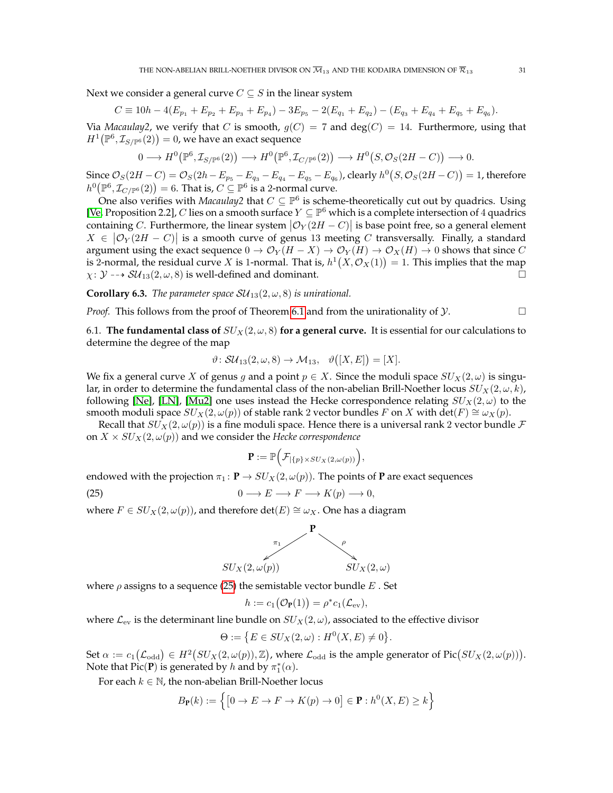Next we consider a general curve  $C \subseteq S$  in the linear system

$$
C \equiv 10h - 4(E_{p_1} + E_{p_2} + E_{p_3} + E_{p_4}) - 3E_{p_5} - 2(E_{q_1} + E_{q_2}) - (E_{q_3} + E_{q_4} + E_{q_5} + E_{q_6}).
$$

Via *Macaulay2*, we verify that C is smooth,  $g(C) = 7$  and  $deg(C) = 14$ . Furthermore, using that  $H^1\big(\mathbb P^6,\mathcal I_{S/\mathbb P^6}(2)\big)=0$ , we have an exact sequence

$$
0 \longrightarrow H^0\big(\mathbb{P}^6, \mathcal{I}_{S/\mathbb{P}^6}(2)\big) \longrightarrow H^0\big(\mathbb{P}^6, \mathcal{I}_{C/\mathbb{P}^6}(2)\big) \longrightarrow H^0\big(S, \mathcal{O}_S(2H - C)\big) \longrightarrow 0.
$$

Since  $\mathcal{O}_S(2H-C)=\mathcal{O}_S(2h-E_{p_5}-E_{q_3}-E_{q_4}-E_{q_5}-E_{q_6})$ , clearly  $h^0(S,\mathcal{O}_S(2H-C))=1$ , therefore  $h^0\bigl(\mathbb{P}^6,\mathcal{I}_{C/\mathbb{P}^6}(2)\bigr)=6.$  That is,  $C\subseteq \mathbb{P}^6$  is a 2-normal curve.

One also verifies with *Macaulay2* that  $C \subseteq \mathbb{P}^6$  is scheme-theoretically cut out by quadrics. Using [\[Ve,](#page-42-2) Proposition 2.2], C lies on a smooth surface  $Y \subseteq \mathbb{P}^6$  which is a complete intersection of 4 quadrics containing C. Furthermore, the linear system  $|\mathcal{O}_Y(2H - C)|$  is base point free, so a general element  $X \in |{\mathcal O}_Y(2H - C)|$  is a smooth curve of genus 13 meeting C transversally. Finally, a standard argument using the exact sequence  $0 \to \mathcal{O}_Y(H - X) \to \mathcal{O}_Y(H) \to \mathcal{O}_X(H) \to 0$  shows that since C is 2-normal, the residual curve X is 1-normal. That is,  $h^1(X, \mathcal{O}_X(1)) = 1$ . This implies that the map  $\chi: \mathcal{Y} \dashrightarrow SU_{13}(2, \omega, 8)$  is well-defined and dominant.

<span id="page-30-0"></span>**Corollary 6.3.** *The parameter space*  $SU_{13}(2, \omega, 8)$  *is unirational.* 

*Proof.* This follows from the proof of Theorem [6.1](#page-27-1) and from the unirationality of  $\mathcal{Y}$ .

6.1. **The fundamental class of**  $SU_X(2,\omega,8)$  **for a general curve.** It is essential for our calculations to determine the degree of the map

$$
\vartheta \colon \mathcal{SU}_{13}(2,\omega,8) \to \mathcal{M}_{13}, \quad \vartheta([X,E]) = [X].
$$

We fix a general curve X of genus g and a point  $p \in X$ . Since the moduli space  $SU_X(2,\omega)$  is singular, in order to determine the fundamental class of the non-abelian Brill-Noether locus  $SU_X(2,\omega,k)$ , following [\[Ne\]](#page-41-33), [\[LN\]](#page-41-30), [\[Mu2\]](#page-41-4) one uses instead the Hecke correspondence relating  $SU_X(2,\omega)$  to the smooth moduli space  $SU_X(2, \omega(p))$  of stable rank 2 vector bundles F on X with det(F)  $\cong \omega_X(p)$ .

Recall that  $SU_X(2,\omega(p))$  is a fine moduli space. Hence there is a universal rank 2 vector bundle F on  $X \times SU_X(2, \omega(p))$  and we consider the *Hecke correspondence* 

<span id="page-30-1"></span>
$$
\mathbf{P} := \mathbb{P}\Big(\mathcal{F}_{|\{p\}\times SU_X(2,\omega(p))}\Big),\,
$$

endowed with the projection  $\pi_1 : \mathbf{P} \to SU_{X}(2, \omega(p))$ . The points of **P** are exact sequences

(25)  $0 \longrightarrow E \longrightarrow F \longrightarrow K(p) \longrightarrow 0$ ,

where  $F ∈ SU<sub>X</sub>(2, ω(p))$ , and therefore det( $E) ≅ ω<sub>X</sub>$ . One has a diagram



where  $\rho$  assigns to a sequence [\(25\)](#page-30-1) the semistable vector bundle  $E$ . Set

$$
h := c_1(\mathcal{O}_{\mathbf{P}}(1)) = \rho^* c_1(\mathcal{L}_{\text{ev}}),
$$

where  $\mathcal{L}_{ev}$  is the determinant line bundle on  $SU_X(2,\omega)$ , associated to the effective divisor

$$
\Theta := \left\{ E \in SU_X(2,\omega) : H^0(X,E) \neq 0 \right\}.
$$

Set  $\alpha := c_1(\mathcal{L}_{odd}) \in H^2(SU_X(2, \omega(p)), \mathbb{Z})$ , where  $\mathcal{L}_{odd}$  is the ample generator of  $Pic(SU_X(2, \omega(p))).$ Note that  $Pic(P)$  is generated by h and by  $\pi_1^*(\alpha)$ .

For each  $k \in \mathbb{N}$ , the non-abelian Brill-Noether locus

$$
B_{\mathbf{P}}(k) := \left\{ \left[ 0 \to E \to F \to K(p) \to 0 \right] \in \mathbf{P} : h^0(X, E) \ge k \right\}
$$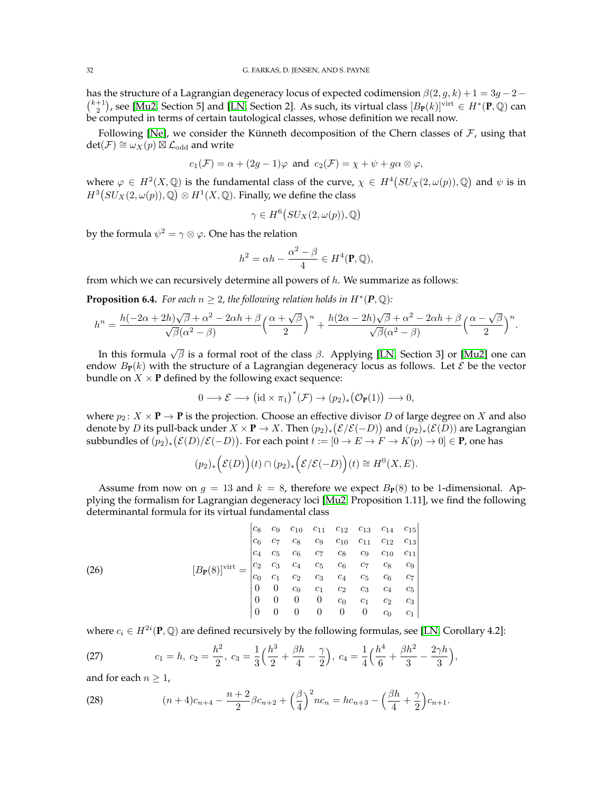has the structure of a Lagrangian degeneracy locus of expected codimension  $\beta(2, g, k) + 1 = 3g - 2 - 1$  $\binom{k+1}{2}$ , see [\[Mu2,](#page-41-4) Section 5] and [\[LN,](#page-41-30) Section 2]. As such, its virtual class  $[B_{\mathbf{P}}(k)]^{virt} \in H^*(\mathbf{P},\mathbb{Q})$  can be computed in terms of certain tautological classes, whose definition we recall now.

Following [\[Ne\]](#page-41-33), we consider the Künneth decomposition of the Chern classes of  $F$ , using that  $\det(\mathcal{F}) \cong \omega_X(p) \boxtimes \mathcal{L}_{\text{odd}}$  and write

$$
c_1(\mathcal{F}) = \alpha + (2g - 1)\varphi
$$
 and  $c_2(\mathcal{F}) = \chi + \psi + g\alpha \otimes \varphi$ ,

where  $\varphi \in H^2(X, \mathbb{Q})$  is the fundamental class of the curve,  $\chi \in H^4(SU_X(2, \omega(p)), \mathbb{Q})$  and  $\psi$  is in  $H^3(SU_X(2,\omega(p)),\mathbb{Q})\otimes H^1(X,\mathbb{Q})$ . Finally, we define the class

$$
\gamma \in H^6(SU_X(2,\omega(p)),\mathbb{Q})
$$

by the formula  $\psi^2=\gamma\otimes\varphi.$  One has the relation

$$
h^2 = \alpha h - \frac{\alpha^2 - \beta}{4} \in H^4(\mathbf{P}, \mathbb{Q}),
$$

from which we can recursively determine all powers of  $h$ . We summarize as follows:

<span id="page-31-0"></span>**Proposition 6.4.** For each  $n \geq 2$ , the following relation holds in  $H^*(P, \mathbb{Q})$ :

$$
h^{n} = \frac{h(-2\alpha + 2h)\sqrt{\beta} + \alpha^{2} - 2\alpha h + \beta}{\sqrt{\beta}(\alpha^{2} - \beta)} \left(\frac{\alpha + \sqrt{\beta}}{2}\right)^{n} + \frac{h(2\alpha - 2h)\sqrt{\beta} + \alpha^{2} - 2\alpha h + \beta}{\sqrt{\beta}(\alpha^{2} - \beta)} \left(\frac{\alpha - \sqrt{\beta}}{2}\right)^{n}.
$$

In this formula  $\sqrt{\beta}$  is a formal root of the class  $\beta$ . Applying [\[LN,](#page-41-30) Section 3] or [\[Mu2\]](#page-41-4) one can endow  $B_{\bf P}(k)$  with the structure of a Lagrangian degeneracy locus as follows. Let  $\mathcal E$  be the vector bundle on  $X \times P$  defined by the following exact sequence:

$$
0 \longrightarrow \mathcal{E} \longrightarrow (\mathrm{id} \times \pi_1)^*(\mathcal{F}) \longrightarrow (p_2)_*\big(\mathcal{O}_{\mathbf{P}}(1)\big) \longrightarrow 0,
$$

where  $p_2: X \times \mathbf{P} \to \mathbf{P}$  is the projection. Choose an effective divisor D of large degree on X and also denote by D its pull-back under  $X\times\mathbf{P}\to X.$  Then  $(p_2)_*(\mathcal{E}(\mathcal{E}(-D))$  and  $(p_2)_*(\mathcal{E}(D))$  are Lagrangian subbundles of  $(p_2)_*(\mathcal{E}(D)/\mathcal{E}(-D))$ . For each point  $t := [0 \to E \to F \to K(p) \to 0] \in \mathbf{P}$ , one has

$$
(p_2)_*\Big(\mathcal{E}(D)\Big)(t)\cap (p_2)_*\Big(\mathcal{E}/\mathcal{E}(-D)\Big)(t)\cong H^0(X,E).
$$

Assume from now on  $g = 13$  and  $k = 8$ , therefore we expect  $B_P(8)$  to be 1-dimensional. Applying the formalism for Lagrangian degeneracy loci [\[Mu2,](#page-41-4) Proposition 1.11], we find the following determinantal formula for its virtual fundamental class

 $\mathbf{I}$ 

(26) 
$$
[B_{P}(8)]^{\text{virt}} = \begin{vmatrix} c_{8} & c_{9} & c_{10} & c_{11} & c_{12} & c_{13} & c_{14} & c_{15} \\ c_{6} & c_{7} & c_{8} & c_{9} & c_{10} & c_{11} & c_{12} & c_{13} \\ c_{4} & c_{5} & c_{6} & c_{7} & c_{8} & c_{9} & c_{10} & c_{11} \\ c_{2} & c_{3} & c_{4} & c_{5} & c_{6} & c_{7} & c_{8} & c_{9} \\ c_{0} & c_{1} & c_{2} & c_{3} & c_{4} & c_{5} & c_{6} & c_{7} \\ 0 & 0 & c_{0} & c_{1} & c_{2} & c_{3} & c_{4} & c_{5} \\ 0 & 0 & 0 & 0 & 0 & 0 & c_{0} & c_{1} \end{vmatrix}
$$

<span id="page-31-1"></span> $\mathbf{I}$ 

where  $c_i \in H^{2i}(\mathbf{P}, \mathbb{Q})$  are defined recursively by the following formulas, see [\[LN,](#page-41-30) Corollary 4.2]:

<span id="page-31-3"></span>(27) 
$$
c_1 = h, \ c_2 = \frac{h^2}{2}, \ c_3 = \frac{1}{3} \left( \frac{h^3}{2} + \frac{\beta h}{4} - \frac{\gamma}{2} \right), \ c_4 = \frac{1}{4} \left( \frac{h^4}{6} + \frac{\beta h^2}{3} - \frac{2\gamma h}{3} \right),
$$

and for each  $n \geq 1$ ,

<span id="page-31-2"></span>(28) 
$$
(n+4)c_{n+4} - \frac{n+2}{2}\beta c_{n+2} + \left(\frac{\beta}{4}\right)^2 nc_n = hc_{n+3} - \left(\frac{\beta h}{4} + \frac{\gamma}{2}\right)c_{n+1}.
$$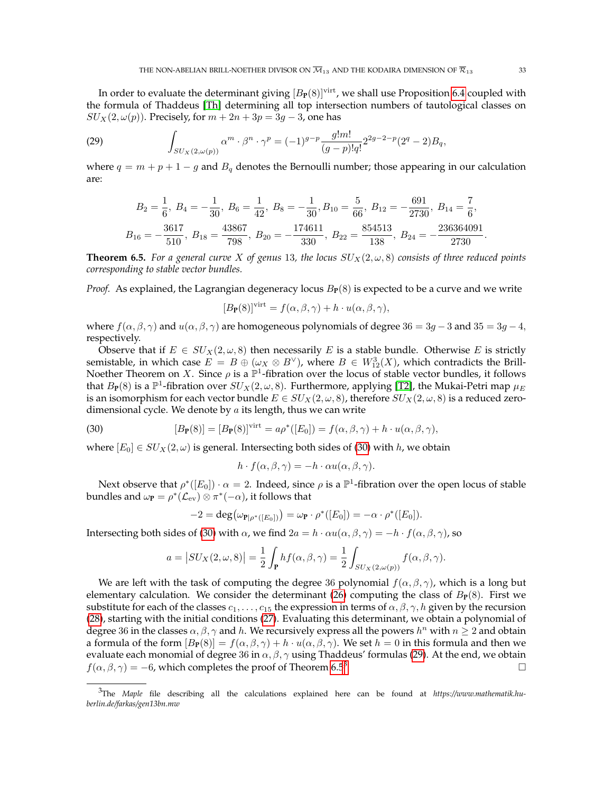In order to evaluate the determinant giving  $[B_{P}(8)]^{virt}$ , we shall use Proposition [6.4](#page-31-0) coupled with the formula of Thaddeus [\[Th\]](#page-42-3) determining all top intersection numbers of tautological classes on  $SU_X(2, \omega(p))$ . Precisely, for  $m + 2n + 3p = 3q - 3$ , one has

(29) 
$$
\int_{SU_X(2,\omega(p))} \alpha^m \cdot \beta^n \cdot \gamma^p = (-1)^{g-p} \frac{g!m!}{(g-p)!q!} 2^{2g-2-p} (2^q-2) B_q,
$$

where  $q = m + p + 1 - g$  and  $B_q$  denotes the Bernoulli number; those appearing in our calculation are:

<span id="page-32-2"></span>
$$
B_2 = \frac{1}{6}, B_4 = -\frac{1}{30}, B_6 = \frac{1}{42}, B_8 = -\frac{1}{30}, B_{10} = \frac{5}{66}, B_{12} = -\frac{691}{2730}, B_{14} = \frac{7}{6},
$$
  

$$
B_{16} = -\frac{3617}{510}, B_{18} = \frac{43867}{798}, B_{20} = -\frac{174611}{330}, B_{22} = \frac{854513}{138}, B_{24} = -\frac{236364091}{2730}.
$$

<span id="page-32-0"></span>**Theorem 6.5.** *For a general curve X of genus* 13, the locus  $SU_X(2,\omega,8)$  consists of three reduced points *corresponding to stable vector bundles.*

*Proof.* As explained, the Lagrangian degeneracy locus  $B_P(8)$  is expected to be a curve and we write

$$
[B_{\mathbf{P}}(8)]^{\text{virt}} = f(\alpha, \beta, \gamma) + h \cdot u(\alpha, \beta, \gamma),
$$

where  $f(\alpha, \beta, \gamma)$  and  $u(\alpha, \beta, \gamma)$  are homogeneous polynomials of degree 36 = 3g − 3 and 35 = 3g − 4, respectively.

Observe that if  $E \in SU_X(2, \omega, 8)$  then necessarily E is a stable bundle. Otherwise E is strictly semistable, in which case  $E = B \oplus (\omega_X \otimes B^{\vee})$ , where  $B \in W^3_{12}(X)$ , which contradicts the Brill-Noether Theorem on X. Since  $\rho$  is a  $\mathbb{P}^1$ -fibration over the locus of stable vector bundles, it follows that  $B_P(8)$  is a  $\mathbb{P}^1$ -fibration over  $SU_X(2,\omega,8)$ . Furthermore, applying [\[T2\]](#page-41-6), the Mukai-Petri map  $\mu_E$ is an isomorphism for each vector bundle  $E \in SU_X(2, \omega, 8)$ , therefore  $SU_X(2, \omega, 8)$  is a reduced zerodimensional cycle. We denote by  $a$  its length, thus we can write

(30) 
$$
[B_{\mathbf{P}}(8)] = [B_{\mathbf{P}}(8)]^{\text{virt}} = a\rho^*([E_0]) = f(\alpha, \beta, \gamma) + h \cdot u(\alpha, \beta, \gamma),
$$

where  $[E_0] \in SU_X(2,\omega)$  is general. Intersecting both sides of [\(30\)](#page-32-1) with h, we obtain

<span id="page-32-1"></span>
$$
h \cdot f(\alpha, \beta, \gamma) = -h \cdot \alpha u(\alpha, \beta, \gamma).
$$

Next observe that  $\rho^*([E_0]) \cdot \alpha = 2$ . Indeed, since  $\rho$  is a  $\mathbb{P}^1$ -fibration over the open locus of stable bundles and  $\omega_{\mathbf{P}} = \rho^*(\mathcal{L}_{\text{ev}}) \otimes \pi^*(-\alpha)$ , it follows that

$$
-2 = \deg(\omega_{\mathbf{P}|\rho^*([E_0])}) = \omega_{\mathbf{P}} \cdot \rho^*([E_0]) = -\alpha \cdot \rho^*([E_0]).
$$

Intersecting both sides of [\(30\)](#page-32-1) with  $\alpha$ , we find  $2a = h \cdot \alpha u(\alpha, \beta, \gamma) = -h \cdot f(\alpha, \beta, \gamma)$ , so

$$
a = |SU_X(2, \omega, 8)| = \frac{1}{2} \int_{\mathbf{P}} h f(\alpha, \beta, \gamma) = \frac{1}{2} \int_{SU_X(2, \omega(p))} f(\alpha, \beta, \gamma).
$$

We are left with the task of computing the degree 36 polynomial  $f(\alpha, \beta, \gamma)$ , which is a long but elementary calculation. We consider the determinant [\(26\)](#page-31-1) computing the class of  $B<sub>P</sub>(8)$ . First we substitute for each of the classes  $c_1, \ldots, c_{15}$  the expression in terms of  $\alpha, \beta, \gamma, h$  given by the recursion [\(28\)](#page-31-2), starting with the initial conditions [\(27\)](#page-31-3). Evaluating this determinant, we obtain a polynomial of degree 36 in the classes  $\alpha, \beta, \gamma$  and h. We recursively express all the powers  $h^n$  with  $n \geq 2$  and obtain a formula of the form  $[B_P(8)] = f(\alpha, \beta, \gamma) + h \cdot u(\alpha, \beta, \gamma)$ . We set  $h = 0$  in this formula and then we evaluate each monomial of degree 36 in  $\alpha$ ,  $\beta$ ,  $\gamma$  using Thaddeus' formulas [\(29\)](#page-32-2). At the end, we obtain  $f(\alpha, \beta, \gamma) = -6$ , which completes the proof of Theorem [6.5](#page-32-0)<sup>[3](#page-32-3)</sup>. . В последните последните под на пример, на пример, на пример, на пример, на пример, на пример, на пример, на<br>В последните под на пример, на пример, на пример, на пример, на пример, на пример, на пример, на пример, на пр

<span id="page-32-3"></span><sup>3</sup>The *Maple* file describing all the calculations explained here can be found at *https://www.mathematik.huberlin.de/farkas/gen13bn.mw*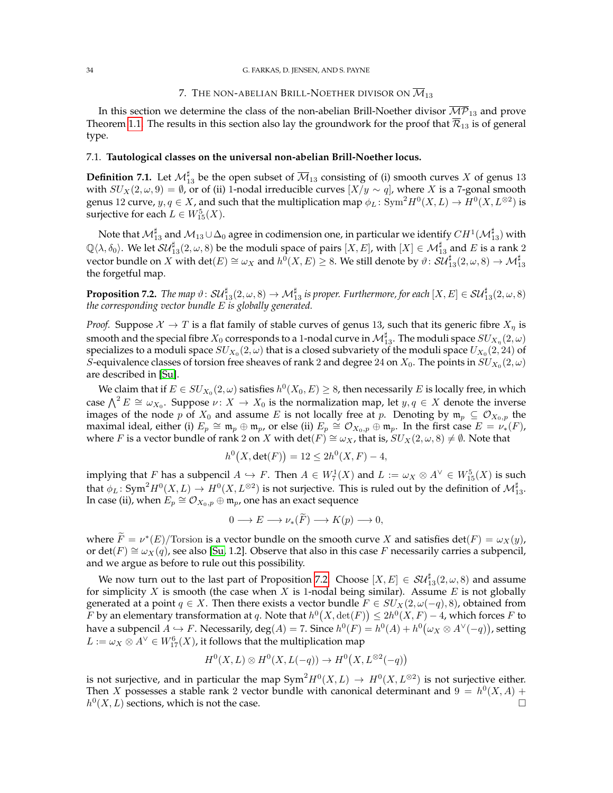### 7. THE NON-ABELIAN BRILL-NOETHER DIVISOR ON  $\overline{\mathcal{M}}_{13}$

<span id="page-33-0"></span>In this section we determine the class of the non-abelian Brill-Noether divisor  $\overline{MP}_{13}$  and prove Theorem [1.1.](#page-1-2) The results in this section also lay the groundwork for the proof that  $\overline{\mathcal{R}}_{13}$  is of general type.

#### 7.1. **Tautological classes on the universal non-abelian Brill-Noether locus.**

**Definition 7.1.** Let  $\mathcal{M}_{13}^\sharp$  be the open subset of  $\overline{\mathcal{M}}_{13}$  consisting of (i) smooth curves  $X$  of genus 13 with  $SU_X(2, \omega, 9) = \emptyset$ , or of (ii) 1-nodal irreducible curves  $[X/y \sim q]$ , where X is a 7-gonal smooth genus 12 curve,  $y, q \in X$ , and such that the multiplication map  $\phi_L \colon \mathrm{Sym}^2 H^0(X, L) \to H^0(X, L^{\otimes 2})$  is surjective for each  $L \in W^5_{15}(X)$ .

Note that  $\mathcal{M}_{13}^\sharp$  and  $\mathcal{M}_{13}\cup\Delta_0$  agree in codimension one, in particular we identify  $CH^1(\mathcal{M}_{13}^\sharp)$  with  $\mathbb{Q}\langle\lambda,\delta_0\rangle$ . We let  ${\cal S}{\cal U}^\sharp_{13}(2,\omega,8)$  be the moduli space of pairs  $[X,E]$ , with  $[X]\in{\cal M}_{13}^\sharp$  and  $E$  is a rank  $2$ vector bundle on  $X$  with  $\det(E)\cong \omega_X$  and  $h^0(X,E)\geq 8.$  We still denote by  $\vartheta\colon \mathcal{SU}_{13}^\sharp(2,\omega,8)\to \mathcal{M}_{13}^\sharp$ the forgetful map.

<span id="page-33-1"></span>**Proposition 7.2.** *The map*  $\vartheta\colon \mathcal{SU}_{13}^\sharp(2,\omega,8)\to \mathcal{M}_{13}^\sharp$  *is proper. Furthermore, for each*  $[X,E]\in \mathcal{SU}_{13}^\sharp(2,\omega,8)$ *the corresponding vector bundle* E *is globally generated.*

*Proof.* Suppose  $X \to T$  is a flat family of stable curves of genus 13, such that its generic fibre  $X_n$  is smooth and the special fibre  $X_0$  corresponds to a 1-nodal curve in  $\mathcal{M}_{13}^\sharp.$  The moduli space  $SU_{X_\eta}(2,\omega)$ specializes to a moduli space  $SU_{X_0}(2,\omega)$  that is a closed subvariety of the moduli space  $U_{X_0}(2,24)$  of *S*-equivalence classes of torsion free sheaves of rank 2 and degree 24 on  $X_0$ . The points in  $SU_{X_0}(2,\omega)$ are described in [\[Su\]](#page-41-34).

We claim that if  $E\in SU_{X_0}(2,\omega)$  satisfies  $h^0(X_0,E)\geq 8$ , then necessarily  $E$  is locally free, in which case  $\bigwedge^2 E \cong \omega_{X_0}$ . Suppose  $\nu \colon X \to X_0$  is the normalization map, let  $y, q \in X$  denote the inverse images of the node p of  $X_0$  and assume E is not locally free at p. Denoting by  $\mathfrak{m}_p \subseteq \mathcal{O}_{X_0,p}$  the maximal ideal, either (i)  $E_p \cong \mathfrak{m}_p \oplus \mathfrak{m}_p$ , or else (ii)  $E_p \cong \mathcal{O}_{X_0,p} \oplus \mathfrak{m}_p$ . In the first case  $E = \nu_*(F)$ , where F is a vector bundle of rank 2 on X with det(F)  $\cong \omega_X$ , that is,  $SU_X(2, \omega, 8) \neq \emptyset$ . Note that

$$
h^0(X, \det(F)) = 12 \le 2h^0(X, F) - 4,
$$

implying that F has a subpencil  $A \hookrightarrow F$ . Then  $A \in W_7^1(X)$  and  $L := \omega_X \otimes A^{\vee} \in W_{15}^5(X)$  is such that  $\phi_L\colon \mathrm{Sym}^2 H^0(X,L) \to H^0(X,L^{\otimes 2})$  is not surjective. This is ruled out by the definition of  $\mathcal{M}^{\sharp}_{13}.$ In case (ii), when  $E_p \cong \mathcal{O}_{X_0,p} \oplus \mathfrak{m}_p$ , one has an exact sequence

$$
0 \longrightarrow E \longrightarrow \nu_*(\widetilde{F}) \longrightarrow K(p) \longrightarrow 0,
$$

where  $\tilde{F} = \nu^*(E)/$  Torsion is a vector bundle on the smooth curve X and satisfies det( $F$ ) =  $\omega_X(y)$ , or det(F)  $\cong \omega_X(q)$ , see also [\[Su,](#page-41-34) 1.2]. Observe that also in this case F necessarily carries a subpencil, and we argue as before to rule out this possibility.

We now turn out to the last part of Proposition [7.2.](#page-33-1) Choose  $[X,E] \in {\cal S}{\cal U}_{13}^{\sharp}(2,\omega,8)$  and assume for simplicity  $X$  is smooth (the case when  $X$  is 1-nodal being similar). Assume  $E$  is not globally generated at a point  $q \in X$ . Then there exists a vector bundle  $F \in SU_X(2, \omega(-q), 8)$ , obtained from F by an elementary transformation at q. Note that  $h^0(X,\det(F)) \leq 2h^0(X,F) - 4$ , which forces F to have a subpencil  $A \hookrightarrow F$ . Necessarily, deg $(A) = 7$ . Since  $h^0(F) = h^0(A) + h^0(\omega_X \otimes A^{\vee}(-q))$ , setting  $L:=\omega_X\otimes A^\vee\in W^6_{17}(X)$ , it follows that the multiplication map

$$
H^0(X, L) \otimes H^0(X, L(-q)) \to H^0(X, L^{\otimes 2}(-q))
$$

is not surjective, and in particular the map  $Sym^2 H^0(X, L) \to H^0(X, L^{\otimes 2})$  is not surjective either. Then X possesses a stable rank 2 vector bundle with canonical determinant and  $9 = h^0(X, A) +$  $h^0(X, L)$  sections, which is not the case.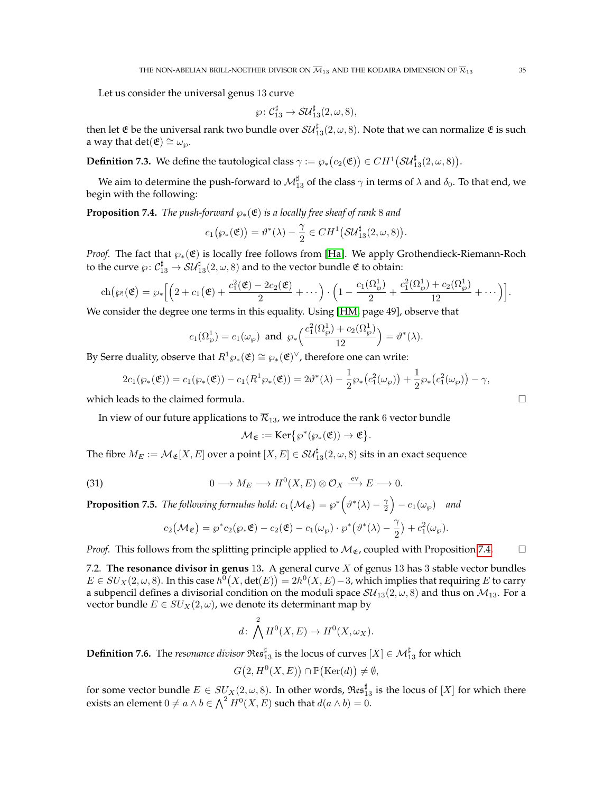Let us consider the universal genus 13 curve

$$
\wp\colon \mathcal{C}_{13}^\sharp\rightarrow \mathcal{SU}_{13}^\sharp(2,\omega,8),
$$

then let  $\mathfrak E$  be the universal rank two bundle over  $\mathcal{SU}_{13}^\sharp(2,\omega,8)$ . Note that we can normalize  $\mathfrak E$  is such a way that det( $\mathfrak{E}$ ) ≅  $\omega_{\wp}$ .

<span id="page-34-0"></span>**Definition 7.3.** We define the tautological class  $\gamma := \wp_*(c_2(\mathfrak{E})) \in CH^1(\mathcal{SU}_{13}^\sharp(2,\omega,8)).$ 

We aim to determine the push-forward to  $\mathcal{M}_{13}^\sharp$  of the class  $\gamma$  in terms of  $\lambda$  and  $\delta_0.$  To that end, we begin with the following:

<span id="page-34-1"></span>**Proposition 7.4.** *The push-forward*  $\wp_*(\mathfrak{E})$  *is a locally free sheaf of rank* 8 *and* 

$$
c_1(\wp_*(\mathfrak{E})) = \vartheta^*(\lambda) - \frac{\gamma}{2} \in CH^1(\mathcal{SU}_{13}^\sharp(2,\omega,8)).
$$

*Proof.* The fact that  $\wp_*(\mathfrak{E})$  is locally free follows from [\[Ha\]](#page-41-35). We apply Grothendieck-Riemann-Roch to the curve  $\wp\colon \mathcal{C}^\sharp_{13}\to \mathcal{SU}^\sharp_{13}(2,\omega,8)$  and to the vector bundle  $\mathfrak C$  to obtain:

$$
\operatorname{ch}(\wp_!(\mathfrak{E})=\wp_*\Big[\Big(2+c_1\big(\mathfrak{E}\big)+\frac{c_1^2(\mathfrak{E})-2c_2(\mathfrak{E})}{2}+\cdots\Big)\cdot\Big(1-\frac{c_1(\Omega_\wp^1)}{2}+\frac{c_1^2(\Omega_\wp^1)+c_2(\Omega_\wp^1)}{12}+\cdots\Big)\Big].
$$

We consider the degree one terms in this equality. Using [\[HM,](#page-41-0) page 49], observe that

$$
c_1(\Omega^1_\wp) = c_1(\omega_\wp) \text{ and } \varphi_*\Big(\frac{c_1^2(\Omega^1_\wp) + c_2(\Omega^1_\wp)}{12}\Big) = \vartheta^*(\lambda).
$$

By Serre duality, observe that  $R^1\wp_*(\mathfrak{E})\cong \wp_*(\mathfrak{E})^\vee$ , therefore one can write:

$$
2c_1(\wp_*(\mathfrak{E})) = c_1(\wp_*(\mathfrak{E})) - c_1(R^1\wp_*(\mathfrak{E})) = 2\vartheta^*(\lambda) - \frac{1}{2}\wp_*(c_1^2(\omega_{\wp})) + \frac{1}{2}\wp_*(c_1^2(\omega_{\wp})) - \gamma,
$$

which leads to the claimed formula.

In view of our future applications to  $\overline{\mathcal{R}}_{13}$ , we introduce the rank 6 vector bundle

<span id="page-34-2"></span>
$$
\mathcal{M}_{\mathfrak{E}} := \operatorname{Ker}\bigl\{\wp^*(\wp_*(\mathfrak{E})) \to \mathfrak{E}\bigr\}.
$$

The fibre  $M_E:=\mathcal{M}_\mathfrak{E}[X,E]$  over a point  $[X,E]\in \mathcal{SU}_{13}^\sharp(2,\omega,8)$  sits in an exact sequence

(31) 
$$
0 \longrightarrow M_E \longrightarrow H^0(X, E) \otimes \mathcal{O}_X \xrightarrow{\text{ev}} E \longrightarrow 0.
$$

<span id="page-34-3"></span>**Proposition 7.5.** *The following formulas hold:*  $c_1(\mathcal{M}_\mathfrak{E}) = \wp^*\Big(\vartheta^*(\lambda) - \frac{\gamma}{2}\Big) - c_1(\omega_\wp)$  and

$$
c_2(\mathcal{M}_\mathfrak{E}) = \wp^* c_2(\wp_* \mathfrak{E}) - c_2(\mathfrak{E}) - c_1(\omega_\wp) \cdot \wp^* \big(\vartheta^*(\lambda) - \frac{\gamma}{2}\big) + c_1^2(\omega_\wp).
$$

*Proof.* This follows from the splitting principle applied to  $M_{\mathfrak{E}}$ , coupled with Proposition [7.4.](#page-34-1)  $\Box$ 

7.2. **The resonance divisor in genus** 13**.** A general curve X of genus 13 has 3 stable vector bundles  $E\in SU_{X}(2,\omega,8).$  In this case  $h^0\big(X,\det(E)\big)=2h^0(X,E)-3,$  which implies that requiring  $E$  to carry a subpencil defines a divisorial condition on the moduli space  $SU_{13}(2,\omega,8)$  and thus on  $\mathcal{M}_{13}$ . For a vector bundle  $E \in SU_X(2, \omega)$ , we denote its determinant map by

$$
d\colon \bigwedge^2 H^0(X,E) \to H^0(X,\omega_X).
$$

**Definition 7.6.** The *resonance divisor*  $\mathfrak{Res}^{\sharp}_{13}$  is the locus of curves  $[X] \in \mathcal{M}^{\sharp}_{13}$  for which

$$
G(2, H^0(X, E)) \cap \mathbb{P}(\text{Ker}(d)) \neq \emptyset,
$$

for some vector bundle  $E\in SU_{X}(2,\omega,8).$  In other words,  $\mathfrak{Res}^{\sharp}_{13}$  is the locus of  $[X]$  for which there exists an element  $0 \neq a \wedge b \in \bigwedge^2 H^0(X, E)$  such that  $d(a \wedge b) = 0$ .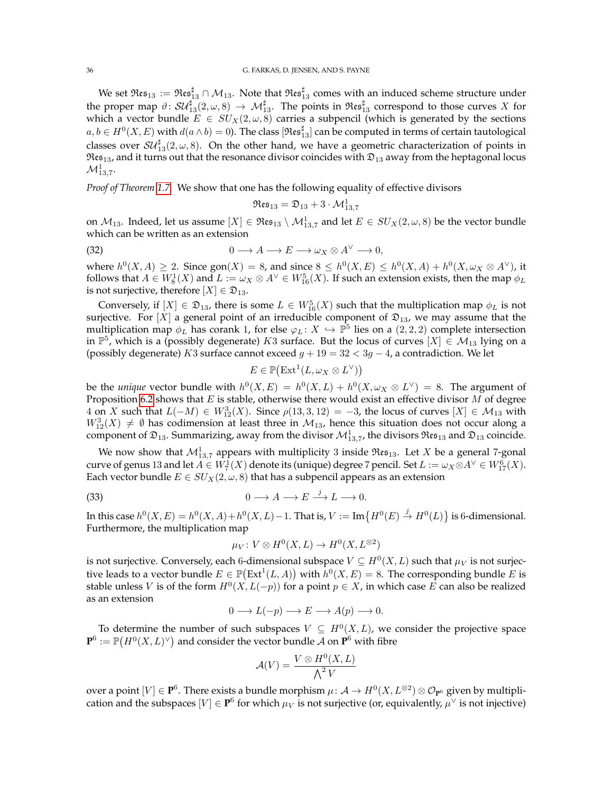We set  $\mathfrak{Res}_{13}:=\mathfrak{Res}^{\sharp}_{13}\cap\mathcal{M}_{13}.$  Note that  $\mathfrak{Res}^{\sharp}_{13}$  comes with an induced scheme structure under the proper map  $\vartheta\colon\mathcal{SU}_{13}^\sharp(2,\omega,8)\to\mathcal{M}_{13}^\sharp.$  The points in  $\mathfrak{Res}^\sharp_{13}$  correspond to those curves  $X$  for which a vector bundle  $E \in SU_X(2, \omega, 8)$  carries a subpencil (which is generated by the sections  $a,b\in H^0(X,E)$  with  $d(a\wedge b)=0$ ). The class  $[\mathfrak{Res}^\sharp_{13}]$  can be computed in terms of certain tautological classes over  $\mathcal{SU}_{13}^\sharp(2,\omega,8)$ . On the other hand, we have a geometric characterization of points in  $\Re \epsilon_{13}$ , and it turns out that the resonance divisor coincides with  $\mathfrak{D}_{13}$  away from the heptagonal locus  $\mathcal{M}_{13,7}^1$ .

*Proof of Theorem [1.7.](#page-3-1)* We show that one has the following equality of effective divisors

$$
\mathfrak{Res}_{13}=\mathfrak{D}_{13}+3\cdot \mathcal{M}^1_{13,7}
$$

on  $\mathcal{M}_{13}$ . Indeed, let us assume  $[X]\in \mathfrak{Res}_{13}\setminus \mathcal{M}_{13,7}^1$  and let  $E\in SU_{X}(2,\omega,8)$  be the vector bundle which can be written as an extension

(32) 
$$
0 \longrightarrow A \longrightarrow E \longrightarrow \omega_X \otimes A^{\vee} \longrightarrow 0,
$$

where  $h^0(X, A) \geq 2$ . Since  $\text{gon}(X) = 8$ , and since  $8 \leq h^0(X, E) \leq h^0(X, A) + h^0(X, \omega_X \otimes A^{\vee})$ , it follows that  $A\in W^1_8(X)$  and  $L:=\omega_X\otimes A^\vee\in W^5_{16}(X).$  If such an extension exists, then the map  $\phi_L$ is not surjective, therefore  $[X] \in \mathfrak{D}_{13}$ .

Conversely, if  $[X] \in \mathfrak{D}_{13}$ , there is some  $L \in W^5_{16}(X)$  such that the multiplication map  $\phi_L$  is not surjective. For [X] a general point of an irreducible component of  $\mathfrak{D}_{13}$ , we may assume that the multiplication map  $\phi_L$  has corank 1, for else  $\varphi_L \colon X \hookrightarrow \mathbb{P}^5$  lies on a  $(2,2,2)$  complete intersection in  $\mathbb{P}^5$ , which is a (possibly degenerate)  $K3$  surface. But the locus of curves  $[X] \in \mathcal{M}_{13}$  lying on a (possibly degenerate) K3 surface cannot exceed  $g + 19 = 32 < 3g - 4$ , a contradiction. We let

$$
E \in \mathbb{P}\big(\mathrm{Ext}^1(L, \omega_X \otimes L^{\vee})\big)
$$

be the *unique* vector bundle with  $h^0(X, E) = h^0(X, L) + h^0(X, \omega_X \otimes L^{\vee}) = 8$ . The argument of Proposition [6.2](#page-28-1) shows that  $E$  is stable, otherwise there would exist an effective divisor  $M$  of degree 4 on X such that  $L(-M) \in W^3_{12}(X)$ . Since  $\rho(13,3,12) = -3$ , the locus of curves  $[X] \in \mathcal{M}_{13}$  with  $W_{12}^3(X) \neq \emptyset$  has codimension at least three in  $\mathcal{M}_{13}$ , hence this situation does not occur along a component of  $\mathfrak{D}_{13}$ . Summarizing, away from the divisor  $\mathcal{M}^1_{13,7}$ , the divisors  $\mathfrak{Res}_{13}$  and  $\mathfrak{D}_{13}$  coincide.

We now show that  $\mathcal{M}^1_{13,7}$  appears with multiplicity 3 inside  $\mathfrak{Res}_{13}$ . Let  $X$  be a general 7-gonal curve of genus 13 and let  $A\in W^1_7(X)$  denote its (unique) degree 7 pencil. Set  $L:=\omega_X\otimes A^\vee\in W^6_{17}(X)$ . Each vector bundle  $E \in SU_X(2, \omega, 8)$  that has a subpencil appears as an extension

(33) 
$$
0 \longrightarrow A \longrightarrow E \stackrel{j}{\longrightarrow} L \longrightarrow 0.
$$

In this case  $h^0(X, E) = h^0(X, A) + h^0(X, L) - 1$ . That is,  $V := \text{Im}\big\{H^0(E) \stackrel{j}{\to} H^0(L)\big\}$  is 6-dimensional. Furthermore, the multiplication map

$$
\mu_V \colon V \otimes H^0(X, L) \to H^0(X, L^{\otimes 2})
$$

is not surjective. Conversely, each 6-dimensional subspace  $V\subseteq H^0(X,L)$  such that  $\mu_V$  is not surjective leads to a vector bundle  $E \in \mathbb{P}(\text{Ext}^1(L, A))$  with  $h^0(X, E) = 8$ . The corresponding bundle E is stable unless V is of the form  $H^0(X, L(-p))$  for a point  $p \in X$ , in which case E can also be realized as an extension

$$
0 \longrightarrow L(-p) \longrightarrow E \longrightarrow A(p) \longrightarrow 0.
$$

To determine the number of such subspaces  $V \subseteq H^0(X,L)$ , we consider the projective space  $\mathbf{P}^6 := \mathbb{P}\big( H^0(X, L)^\vee \big)$  and consider the vector bundle  $\mathcal A$  on  $\mathbf{P}^6$  with fibre

$$
\mathcal{A}(V) = \frac{V \otimes H^0(X, L)}{\bigwedge^2 V}
$$

over a point  $[V]\in \mathbf{P}^6.$  There exists a bundle morphism  $\mu\colon \mathcal{A}\to H^0(X,L^{\otimes 2})\otimes \mathcal{O}_{\mathbf{P}^6}$  given by multiplication and the subspaces  $[V] \in \mathbf{P}^6$  for which  $\mu_V$  is not surjective (or, equivalently,  $\mu^{\vee}$  is not injective)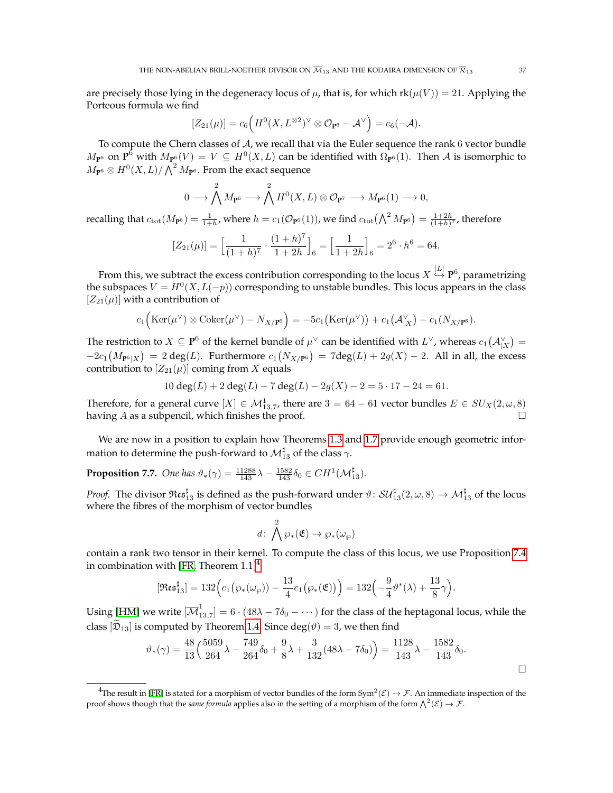are precisely those lying in the degeneracy locus of  $\mu$ , that is, for which  $rk(\mu(V)) = 21$ . Applying the Porteous formula we find

$$
[Z_{21}(\mu)] = c_6 \Big( H^0(X, L^{\otimes 2})^{\vee} \otimes \mathcal{O}_{\mathbf{P}^6} - \mathcal{A}^{\vee} \Big) = c_6(-\mathcal{A}).
$$

To compute the Chern classes of  $A$ , we recall that via the Euler sequence the rank  $6$  vector bundle  $M_{\mathbf{P}^6}$  on  $\mathbf{P}^6$  with  $M_{\mathbf{P}^6}(V) = V ⊆ H^0(X, L)$  can be identified with  $\Omega_{\mathbf{P}^6}(1)$ . Then A is isomorphic to  $M_{\mathbf{P}^6} \otimes H^0(X,L)/\bigwedge^2 M_{\mathbf{P}^6}.$  From the exact sequence

$$
0\longrightarrow \bigwedge^2 M_{\mathbf{P}^6}\longrightarrow \bigwedge^2 H^0(X,L)\otimes \mathcal{O}_{\mathbf{P}^7}\longrightarrow M_{\mathbf{P}^6}(1)\longrightarrow 0,
$$

recalling that  $c_{\text{tot}}(M_{\text{P}^6}) = \frac{1}{1+h}$ , where  $h = c_1(\mathcal{O}_{\text{P}^6}(1))$ , we find  $c_{\text{tot}}(\bigwedge^2 M_{\text{P}^6}) = \frac{1+2h}{(1+h)^7}$ , therefore

$$
[Z_{21}(\mu)] = \left[\frac{1}{(1+h)^7} \cdot \frac{(1+h)^7}{1+2h}\right]_6 = \left[\frac{1}{1+2h}\right]_6 = 2^6 \cdot h^6 = 64.
$$

From this, we subtract the excess contribution corresponding to the locus  $X\stackrel{|L|}{\hookrightarrow} \mathbf{P}^6$ , parametrizing the subspaces  $V = H^0(X, L(-p))$  corresponding to unstable bundles. This locus appears in the class  $[Z_{21}(\mu)]$  with a contribution of

$$
c_1\Big(\mathrm{Ker}(\mu^\vee)\otimes\mathrm{Coker}(\mu^\vee)-N_{X/{\bf P}^6}\Big)=-5c_1\big(\mathrm{Ker}(\mu^\vee)\big)+c_1\big(\mathcal{A}_{|X}^\vee\big)-c_1(N_{X/{\bf P}^6}).
$$

The restriction to  $X\subseteq{\bf P}^6$  of the kernel bundle of  $\mu^\vee$  can be identified with  $L^\vee$ , whereas  $c_1\big({\cal A}_{|X}^\vee\big)=$  $-2c_1(M_{\mathbf{P}^6|X}) = 2 \deg(L)$ . Furthermore  $c_1(N_{X/\mathbf{P}^6}) = 7 \deg(L) + 2g(X) - 2$ . All in all, the excess contribution to  $[Z_{21}(\mu)]$  coming from X equals

$$
10 \deg(L) + 2 \deg(L) - 7 \deg(L) - 2g(X) - 2 = 5 \cdot 17 - 24 = 61.
$$

Therefore, for a general curve  $[X] \in \mathcal{M}^1_{13,7}$ , there are  $3 = 64 - 61$  vector bundles  $E \in SU_X(2, \omega, 8)$ having A as a subpencil, which finishes the proof.

We are now in a position to explain how Theorems [1.3](#page-2-1) and [1.7](#page-3-1) provide enough geometric information to determine the push-forward to  $\mathcal{M}^{\sharp}_{13}$  of the class  $\gamma.$ 

<span id="page-36-0"></span>**Proposition 7.7.** *One has*  $\vartheta_*(\gamma) = \frac{11288}{143} \lambda - \frac{1582}{143} \delta_0 \in CH^1(\mathcal{M}_{13}^{\sharp}).$ 

*Proof.* The divisor  $\mathfrak{Res}^{\sharp}_\mathbf{13}$  is defined as the push-forward under  $\vartheta\colon\mathcal{SU}_{13}^{\sharp}(2,\omega,8)\to\mathcal{M}_{13}^{\sharp}$  of the locus where the fibres of the morphism of vector bundles

$$
d\colon \bigwedge^2 \wp_*(\mathfrak{E}) \to \wp_*(\omega_{\wp})
$$

contain a rank two tensor in their kernel. To compute the class of this locus, we use Proposition [7.4](#page-34-1) in combination with [\[FR,](#page-41-25) Theorem  $1.1]$ <sup>[4](#page-36-1)</sup>:

$$
[\mathfrak{Res}^\sharp_{13}] = 132\Big(c_1\big(\wp_*(\omega_\wp)\big) - \frac{13}{4}c_1\big(\wp_*(\mathfrak{E})\big)\Big) = 132\Big(-\frac{9}{4}\vartheta^*(\lambda) + \frac{13}{8}\gamma\Big).
$$

Using [\[HM\]](#page-41-0) we write  $[{\overline{\mathcal M}}_{1}^{1}]$  $\begin{bmatrix} 1 \\ 13.7 \end{bmatrix} = 6 \cdot (48\lambda - 7\delta_0 - \cdots)$  for the class of the heptagonal locus, while the class  $[\mathfrak{D}_{13}]$  is computed by Theorem [1.4.](#page-2-2) Since  $\deg(\vartheta) = 3$ , we then find

$$
\vartheta_*(\gamma) = \frac{48}{13} \left( \frac{5059}{264} \lambda - \frac{749}{264} \delta_0 + \frac{9}{8} \lambda + \frac{3}{132} (48 \lambda - 7 \delta_0) \right) = \frac{1128}{143} \lambda - \frac{1582}{143} \delta_0.
$$

<span id="page-36-1"></span><sup>&</sup>lt;sup>4</sup>The result in [\[FR\]](#page-41-25) is stated for a morphism of vector bundles of the form Sym<sup>2</sup>(E)  $\to$  F. An immediate inspection of the proof shows though that the *same formula* applies also in the setting of a morphism of the form  $\bigwedge^2(\mathcal{E}) \to \mathcal{F}$ .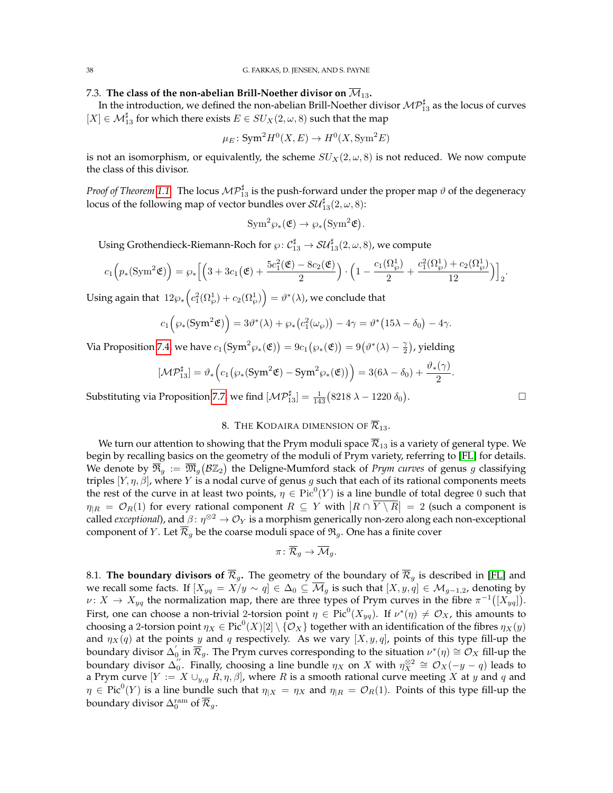38 G. FARKAS, D. JENSEN, AND S. PAYNE

## 7.3. The class of the non-abelian Brill-Noether divisor on  $\overline{\mathcal{M}}_{13}$ .

In the introduction, we defined the non-abelian Brill-Noether divisor  $\mathcal{MP}_{13}^\sharp$  as the locus of curves  $[X] \in \mathcal{M}_{13}^{\sharp}$  for which there exists  $E \in SU_X(2, \omega, 8)$  such that the map

$$
\mu_E \colon \text{Sym}^2 H^0(X, E) \to H^0(X, \text{Sym}^2 E)
$$

is not an isomorphism, or equivalently, the scheme  $SU_X(2,\omega,8)$  is not reduced. We now compute the class of this divisor.

*Proof of Theorem [1.1.](#page-1-2)* The locus  $\mathcal{MP}_{13}^\sharp$  is the push-forward under the proper map  $\vartheta$  of the degeneracy locus of the following map of vector bundles over  ${\cal S}{\cal U}^\sharp_{13}(2,\omega,8)$ :

$$
\text{Sym}^2 \wp_*(\mathfrak{E}) \to \wp_*(\text{Sym}^2 \mathfrak{E}).
$$

Using Grothendieck-Riemann-Roch for  $\wp\colon \mathcal{C}^\sharp_{13}\to \mathcal{SU}^\sharp_{13}(2,\omega,8)$ , we compute

$$
c_1\Big(p_*(\text{Sym}^2 \mathfrak{E})\Big) = \wp_*\Big[\Big(3+3c_1\big(\mathfrak{E}\big)+\frac{5c_1^2(\mathfrak{E})-8c_2(\mathfrak{E})}{2}\Big)\cdot \Big(1-\frac{c_1(\Omega_{\wp}^1)}{2}+\frac{c_1^2(\Omega_{\wp}^1)+c_2(\Omega_{\wp}^1)}{12}\Big)\Big]_2.
$$

Using again that  $\;12\wp_*\Big(c^2_1(\Omega^1_\wp)+c_2(\Omega^1_\wp)\Big)=\vartheta^*(\lambda)$ , we conclude that

$$
c_1(\wp_*(\mathrm{Sym}^2 \mathfrak{E})\Big) = 3\vartheta^*(\lambda) + \wp_*(c_1^2(\omega_{\wp})) - 4\gamma = \vartheta^*\big(15\lambda - \delta_0\big) - 4\gamma.
$$

Via Proposition [7.4,](#page-34-1) we have  $c_1\big(\mathrm{Sym}^2\wp_*(\mathfrak{E})\big)=9c_1\big(\wp_*(\mathfrak{E})\big)=9\big(\vartheta^*(\lambda)-\frac{\gamma}{2}\big)$ , yielding

$$
[\mathcal{MP}^\sharp_{13}] = \vartheta_* \Big( c_1 \big( \wp_*( \mathrm{Sym}^2 \mathfrak{E}) - \mathrm{Sym}^2 \wp_*( \mathfrak{E}) \big) \Big) = 3(6 \lambda - \delta_0) + \frac{\vartheta_* (\gamma)}{2}
$$

Substituting via Proposition [7.7,](#page-36-0) we find  $[\mathcal{MP}^\sharp_{13}] = \frac{1}{143} (8218 \lambda - 1220 \delta_0)$ 

# 8. THE KODAIRA DIMENSION OF  $\overline{\mathcal{R}}_{13}$ .

<span id="page-37-0"></span>We turn our attention to showing that the Prym moduli space  $\overline{\mathcal{R}}_{13}$  is a variety of general type. We begin by recalling basics on the geometry of the moduli of Prym variety, referring to [\[FL\]](#page-41-17) for details. We denote by  $\overline{\Re}_g := \overline{\Re}_g (\mathcal{B} \mathbb{Z}_2)$  the Deligne-Mumford stack of *Prym curves* of genus g classifying triples  $[Y, \eta, \beta]$ , where Y is a nodal curve of genus g such that each of its rational components meets the rest of the curve in at least two points,  $\eta \in Pic^0(Y)$  is a line bundle of total degree 0 such that  $\eta_{|R} = \mathcal{O}_R(1)$  for every rational component  $R \subseteq Y$  with  $|R \cap \overline{Y \setminus R}| = 2$  (such a component is called *exceptional*), and  $\beta \colon \eta^{\otimes 2} \to \mathcal{O}_Y$  is a morphism generically non-zero along each non-exceptional component of Y. Let  $\overline{\mathcal{R}}_g$  be the coarse moduli space of  $\mathfrak{R}_g$ . One has a finite cover

$$
\pi\colon \overline{\mathcal{R}}_g\rightarrow \overline{\mathcal{M}}_g.
$$

8.1. **The boundary divisors of**  $\overline{\mathcal{R}}_g$ . The geometry of the boundary of  $\overline{\mathcal{R}}_g$  is described in [\[FL\]](#page-41-17) and we recall some facts. If  $[X_{yq} = X/y \sim q] \in \Delta_0 \subseteq \overline{\mathcal{M}}_q$  is such that  $[X, y, q] \in \mathcal{M}_{q-1, 2}$ , denoting by  $\nu: X \to X_{yq}$  the normalization map, there are three types of Prym curves in the fibre  $\pi^{-1}([X_{yq}]).$ First, one can choose a non-trivial 2-torsion point  $\eta \in Pic^0(X_{yq})$ . If  $\nu^*(\eta) \neq \mathcal{O}_X$ , this amounts to choosing a 2-torsion point  $\eta_X \in \text{Pic}^0(X)[2]\setminus \{\mathcal{O}_X\}$  together with an identification of the fibres  $\eta_X(y)$ and  $\eta_X(q)$  at the points y and q respectively. As we vary  $[X, y, q]$ , points of this type fill-up the boundary divisor  $\Delta_0^{'}$  in  $\overline{\mathcal{R}}_g$ . The Prym curves corresponding to the situation  $\nu^*(\eta)\cong\mathcal{O}_X$  fill-up the boundary divisor  $\Delta_0^{"}$ . Finally, choosing a line bundle  $\eta_X$  on  $X$  with  $\eta_X^{\otimes 2} \cong \mathcal{O}_X(-y-q)$  leads to a Prym curve  $[Y := X \cup_{y,q} R, \eta, \beta]$ , where R is a smooth rational curve meeting X at y and q and  $\eta \in \text{Pic}^0(Y)$  is a line bundle such that  $\eta_{|X} = \eta_X$  and  $\eta_{|R} = \mathcal{O}_R(1)$ . Points of this type fill-up the boundary divisor  $\Delta_0^{\rm ram}$  of  $\overline{\mathcal{R}}_g.$ 

. — Первый профессиональный профессиональный профессиональный профессиональный профессиональный профессиональн<br>В профессиональный профессиональный профессиональный профессиональный профессиональный профессиональный профес

.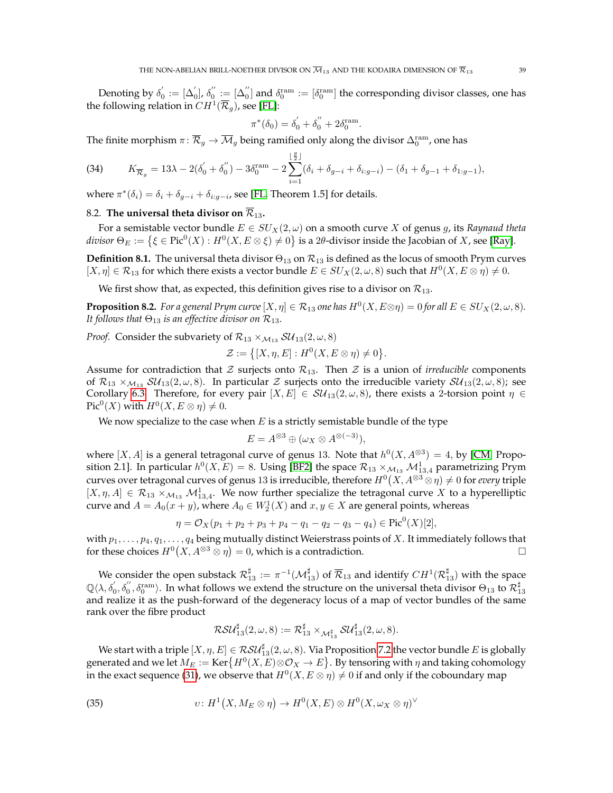Denoting by  $\delta_0^{'}:=[\Delta_0^{'}],$   $\delta_0^{''}:=[\Delta_0^{''}]$  and  $\delta_0^{\mathrm{ram}}:=[\delta_0^{\mathrm{ram}}]$  the corresponding divisor classes, one has the following relation in  $CH^1(\overline{\mathcal{R}}_g)$ , see [\[FL\]](#page-41-17):

$$
\pi^*(\delta_0) = \delta_0' + \delta_0'' + 2\delta_0^{\mathrm{ram}}.
$$

The finite morphism  $\pi\colon\overline{\mathcal{R}}_g\to\overline{\mathcal{M}}_g$  being ramified only along the divisor  $\Delta_0^\text{ram}$ , one has

<span id="page-38-2"></span>(34) 
$$
K_{\overline{\mathcal{R}}_g} = 13\lambda - 2(\delta_0' + \delta_0'') - 3\delta_0^{\text{ram}} - 2\sum_{i=1}^{\lfloor \frac{g}{2} \rfloor} (\delta_i + \delta_{g-i} + \delta_{i:g-i}) - (\delta_1 + \delta_{g-1} + \delta_{1:g-1}),
$$

where  $\pi^*(\delta_i) = \delta_i + \delta_{g-i} + \delta_{i:g-i}$ , see [\[FL,](#page-41-17) Theorem 1.5] for details.

### 8.2. The universal theta divisor on  $\overline{\mathcal{R}}_{13}$ .

For a semistable vector bundle  $E \in SU_X(2, \omega)$  on a smooth curve X of genus g, its *Raynaud theta divisor*  $\Theta_E := \left\{ \xi \in \text{Pic}^0(X) : H^0(X, E \otimes \xi) \neq 0 \right\}$  is a 2*θ*-divisor inside the Jacobian of X, see [\[Ray\]](#page-41-36).

**Definition 8.1.** The universal theta divisor  $\Theta_{13}$  on  $\mathcal{R}_{13}$  is defined as the locus of smooth Prym curves  $[X, \eta] \in \mathcal{R}_{13}$  for which there exists a vector bundle  $E \in SU_X(2, \omega, 8)$  such that  $H^0(X, E \otimes \eta) \neq 0$ .

We first show that, as expected, this definition gives rise to a divisor on  $\mathcal{R}_{13}$ .

<span id="page-38-1"></span>**Proposition 8.2.** *For a general Prym curve*  $[X, \eta] \in \mathcal{R}_{13}$  *one has*  $H^0(X, E \otimes \eta) = 0$  *for all*  $E \in SU_X(2, \omega, 8)$ *. It follows that*  $\Theta_{13}$  *is an effective divisor on*  $\mathcal{R}_{13}$ *.* 

*Proof.* Consider the subvariety of  $\mathcal{R}_{13} \times_{\mathcal{M}_{13}} \mathcal{SU}_{13}(2,\omega,8)$ 

$$
\mathcal{Z} := \{ [X, \eta, E] : H^0(X, E \otimes \eta) \neq 0 \}.
$$

Assume for contradiction that  $\mathcal Z$  surjects onto  $\mathcal R_{13}$ . Then  $\mathcal Z$  is a union of *irreducible* components of  $\mathcal{R}_{13} \times_{\mathcal{M}_{13}} \mathcal{SU}_{13}(2,\omega,8)$ . In particular Z surjects onto the irreducible variety  $\mathcal{SU}_{13}(2,\omega,8)$ ; see Corollary [6.3.](#page-30-0) Therefore, for every pair  $[X, E] \in SU_{13}(2, \omega, 8)$ , there exists a 2-torsion point  $\eta \in$  $\operatorname{Pic}^0(X)$  with  $H^0(X, E \otimes \eta) \neq 0$ .

We now specialize to the case when  $E$  is a strictly semistable bundle of the type

$$
E = A^{\otimes 3} \oplus (\omega_X \otimes A^{\otimes (-3)}),
$$

where  $[X, A]$  is a general tetragonal curve of genus 13. Note that  $h^0(X, A^{\otimes 3}) = 4$ , by [\[CM,](#page-41-37) Proposition 2.1]. In particular  $h^0(X, E) = 8$ . Using [\[BF2\]](#page-41-38) the space  $\mathcal{R}_{13} \times_{\mathcal{M}_{13}} \mathcal{M}_{13,4}^1$  parametrizing Prym curves over tetragonal curves of genus 13 is irreducible, therefore  $H^0(X, A^{\otimes 3} \otimes \eta) \neq 0$  for *every* triple  $[X, \eta, A] \in \mathcal{R}_{13} \times_{\mathcal{M}_{13}} \mathcal{M}_{13,4}^1$ . We now further specialize the tetragonal curve X to a hyperelliptic curve and  $A = A_0(x + y)$ , where  $A_0 \in W_2^1(X)$  and  $x, y \in X$  are general points, whereas

$$
\eta = \mathcal{O}_X(p_1 + p_2 + p_3 + p_4 - q_1 - q_2 - q_3 - q_4) \in \text{Pic}^0(X)[2],
$$

with  $p_1, \ldots, p_4, q_1, \ldots, q_4$  being mutually distinct Weierstrass points of X. It immediately follows that for these choices  $H^0(X, A^{\otimes 3} \otimes \eta) = 0$ , which is a contradiction.

We consider the open substack  $\mathcal{R}^\sharp_{13}:=\pi^{-1}(\mathcal{M}^\sharp_{13})$  of  $\overline{\mathcal{R}}_{13}$  and identify  $CH^1(\mathcal{R}^\sharp_{13})$  with the space  $\mathbb{Q}\langle\lambda,\delta_0',\delta_0'',\delta_0^{\text{ram}}\rangle.$  In what follows we extend the structure on the universal theta divisor  $\Theta_{13}$  to  $\mathcal{R}_{13}^\sharp$ and realize it as the push-forward of the degeneracy locus of a map of vector bundles of the same rank over the fibre product

<span id="page-38-0"></span>
$$
\mathcal{RSU}_{13}^{\sharp}(2,\omega,8):=\mathcal{R}_{13}^{\sharp}\times_{\mathcal{M}_{13}^{\sharp}}\mathcal{SU}_{13}^{\sharp}(2,\omega,8).
$$

We start with a triple  $[X,\eta,E]\in \mathcal{RSU}_{13}^{\sharp}(2,\omega,8).$  Via Proposition [7.2](#page-33-1) the vector bundle  $E$  is globally generated and we let  $M_E := \text{Ker}\{H^0(X,E)\otimes {\mathcal O}_X \to E\}$ . By tensoring with  $\eta$  and taking cohomology in the exact sequence [\(31\)](#page-34-2), we observe that  $H^0(X, E \otimes \eta) \neq 0$  if and only if the coboundary map

(35) 
$$
v: H^1(X, M_E \otimes \eta) \to H^0(X, E) \otimes H^0(X, \omega_X \otimes \eta)^\vee
$$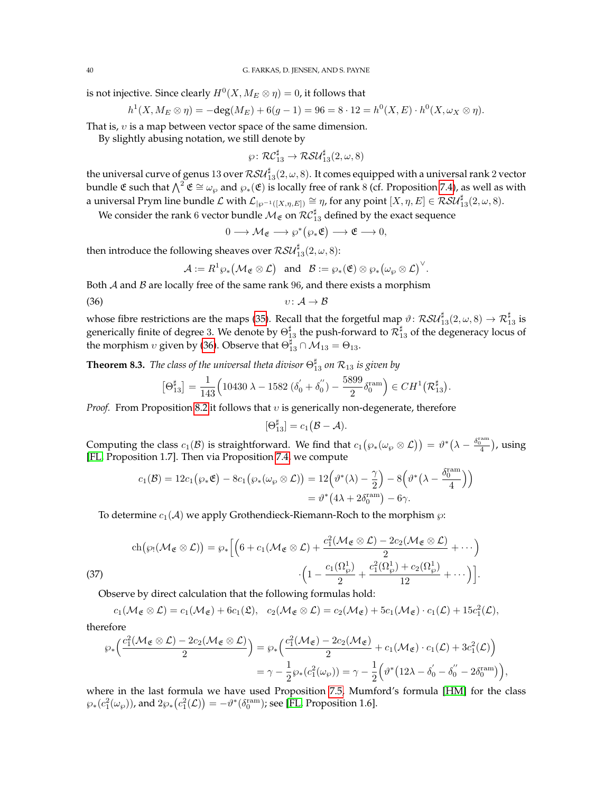is not injective. Since clearly  $H^0(X, M_E\otimes \eta)=0$ , it follows that

$$
h^{1}(X, M_{E} \otimes \eta) = -\deg(M_{E}) + 6(g - 1) = 96 = 8 \cdot 12 = h^{0}(X, E) \cdot h^{0}(X, \omega_{X} \otimes \eta).
$$

That is,  $v$  is a map between vector space of the same dimension.

By slightly abusing notation, we still denote by

$$
\wp \colon \mathcal{RC}_{13}^\sharp \to \mathcal{RSU}_{13}^\sharp(2,\omega,8)
$$

the universal curve of genus 13 over  $\mathcal{RSU}_{13}^{\sharp}(2,\omega,8)$ . It comes equipped with a universal rank  $2$  vector bundle  $\mathfrak E$  such that  $\bigwedge^2 \mathfrak E \cong \omega_{\wp}$  and  $\wp_*(\mathfrak E)$  is locally free of rank 8 (cf. Proposition [7.4\)](#page-34-1), as well as with a universal Prym line bundle  ${\mathcal L}$  with  ${\mathcal L}_{|\wp^{-1}([X,\eta,E])}\cong \eta$ , for any point  $[X,\eta,E]\in \mathcal{RSU}^\sharp_{13}(2,\omega,8).$ 

We consider the rank  $6$  vector bundle  $\mathcal{M}_{\mathfrak{E}}$  on  $\mathcal{RC}_{13}^\sharp$  defined by the exact sequence

<span id="page-39-1"></span> $0 \longrightarrow \mathcal{M}_{\mathfrak{E}} \longrightarrow \wp^*(\wp_*\mathfrak{E}) \longrightarrow \mathfrak{E} \longrightarrow 0,$ 

then introduce the following sheaves over  $\mathcal{RSU}^{\sharp}_{13}(2,\omega,8)$ :

$$
\mathcal{A}:=R^1\wp_*\big(\mathcal{M}_\mathfrak{E}\otimes \mathcal{L}\big)\quad\text{and}\quad \mathcal{B}:=\wp_* (\mathfrak{E})\otimes \wp_*\big(\omega_\wp\otimes \mathcal{L}\big)^\vee.
$$

Both  $A$  and  $B$  are locally free of the same rank  $96$ , and there exists a morphism

$$
(36) \t\t\t v: \mathcal{A} \to \mathcal{B}
$$

whose fibre restrictions are the maps [\(35\)](#page-38-0). Recall that the forgetful map  $\vartheta\colon\mathcal{RSU}^\sharp_{13}(2,\omega,8)\to\mathcal{R}^\sharp_{13}$  is generically finite of degree 3. We denote by  $\Theta_{13}^\sharp$  the push-forward to  $\mathcal{R}_{13}^\sharp$  of the degeneracy locus of the morphism  $v$  given by [\(36\)](#page-39-1). Observe that  $\Theta_{13}^\sharp\cap\mathcal{M}_{13}=\Theta_{13}.$ 

<span id="page-39-0"></span>**Theorem 8.3.** *The class of the universal theta divisor*  $\Theta_{13}^{\sharp}$  *on*  $\mathcal{R}_{13}$  *is given by* 

$$
\left[\Theta^{\sharp}_{13}\right]=\frac{1}{143}\Big(10430\;\lambda-1582\;\big(\delta_{0}^{'}+\delta_{0}^{''}\big)-\frac{5899}{2}\delta_{0}^{\mathrm{ram}}\Big)\in CH^{1}\big(\mathcal{R}_{13}^{\sharp}\big)
$$

.

*Proof.* From Proposition [8.2](#page-38-1) it follows that  $v$  is generically non-degenerate, therefore

$$
[\Theta_{13}^{\sharp}] = c_1(\mathcal{B} - \mathcal{A}).
$$

Computing the class  $c_1(\mathcal{B})$  is straightforward. We find that  $c_1(\wp_*(\omega_\wp \otimes \mathcal{L})) = \vartheta^*(\lambda - \frac{\delta_0^{\mathrm{ram}}}{4})$ , using [\[FL,](#page-41-17) Proposition 1.7]. Then via Proposition [7.4,](#page-34-1) we compute

$$
c_1(\mathcal{B}) = 12c_1(\wp_*\mathfrak{E}) - 8c_1(\wp_*(\omega_{\wp}\otimes \mathcal{L})) = 12(\vartheta^*(\lambda) - \frac{\gamma}{2}) - 8(\vartheta^*(\lambda - \frac{\delta_0^{\text{ram}}}{4}))
$$
  
=  $\vartheta^*(4\lambda + 2\delta_0^{\text{ram}}) - 6\gamma$ .

To determine  $c_1(\mathcal{A})$  we apply Grothendieck-Riemann-Roch to the morphism  $\varphi$ :

$$
\operatorname{ch}(\wp_!(\mathcal{M}_{\mathfrak{E}} \otimes \mathcal{L})) = \wp_* \Big[ \Big( 6 + c_1(\mathcal{M}_{\mathfrak{E}} \otimes \mathcal{L}) + \frac{c_1^2(\mathcal{M}_{\mathfrak{E}} \otimes \mathcal{L}) - 2c_2(\mathcal{M}_{\mathfrak{E}} \otimes \mathcal{L})}{2} + \cdots \Big) \cdot \Big( 1 - \frac{c_1(\Omega_\wp^1)}{2} + \frac{c_1^2(\Omega_\wp^1) + c_2(\Omega_\wp^1)}{12} + \cdots \Big) \Big].
$$
\n(37)

Observe by direct calculation that the following formulas hold:

 $c_1(\mathcal{M}_\mathfrak{E} \otimes \mathcal{L}) = c_1(\mathcal{M}_\mathfrak{E}) + 6c_1(\mathfrak{L}), \ \ c_2(\mathcal{M}_\mathfrak{E} \otimes \mathcal{L}) = c_2(\mathcal{M}_\mathfrak{E}) + 5c_1(\mathcal{M}_\mathfrak{E}) \cdot c_1(\mathcal{L}) + 15c_1^2(\mathcal{L}),$ therefore

$$
\begin{aligned} \wp_*\Big(\frac{c_1^2(\mathcal{M}_\mathfrak{E}\otimes \mathcal{L})-2c_2(\mathcal{M}_\mathfrak{E}\otimes \mathcal{L})}{2}\Big)&=\wp_*\Big(\frac{c_1^2(\mathcal{M}_\mathfrak{E})-2c_2(\mathcal{M}_\mathfrak{E})}{2}+c_1(\mathcal{M}_\mathfrak{E})\cdot c_1(\mathcal{L})+3c_1^2(\mathcal{L})\Big)\\&=\gamma-\frac{1}{2}\wp_*(c_1^2(\omega_\wp))=\gamma-\frac{1}{2}\Big(\vartheta^*\big(12\lambda-\delta_0^{'}-\delta_0^{''}-2\delta_0^{\mathrm{ram}}\big)\Big), \end{aligned}
$$

where in the last formula we have used Proposition [7.5,](#page-34-3) Mumford's formula [\[HM\]](#page-41-0) for the class  $\wp_*(c_1^2(\omega_{\wp}))$ , and  $2\wp_*(c_1^2(\mathcal{L}))=-\vartheta^*(\delta_0^{\mathrm{ram}})$ ; see [\[FL,](#page-41-17) Proposition 1.6].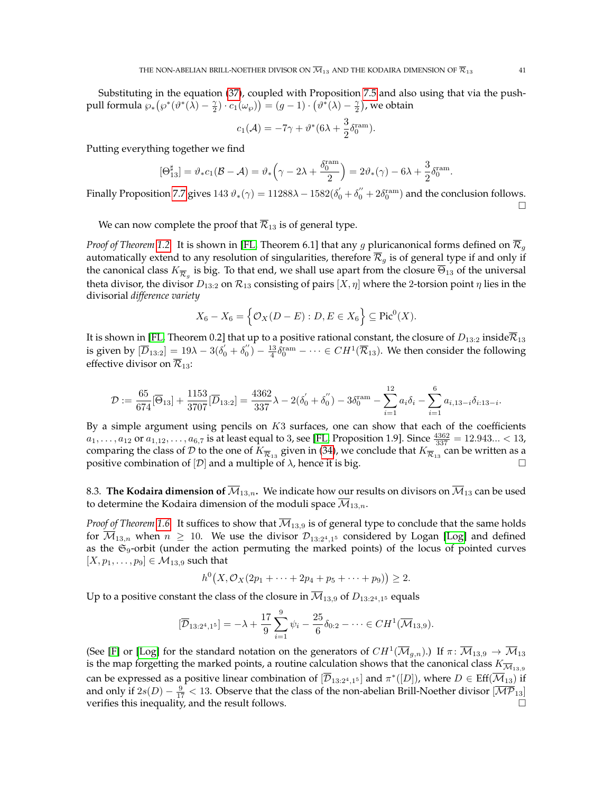Substituting in the equation [\(37\)](#page-0-1), coupled with Proposition [7.5](#page-34-3) and also using that via the pushpull formula  $\wp_*(\wp^*(\hat{\lambda}) - \frac{\gamma}{2}) \cdot c_1(\omega_{\wp})) = (g-1) \cdot (\hat{\vartheta^*}(\lambda) - \frac{\gamma}{2})$ , we obtain

$$
c_1(\mathcal{A}) = -7\gamma + \vartheta^*(6\lambda + \frac{3}{2}\delta_0^{\text{ram}}).
$$

Putting everything together we find

$$
[\Theta^{\sharp}_{13}] = \vartheta_* c_1 (\mathcal{B} - \mathcal{A}) = \vartheta_* \left(\gamma - 2\lambda + \frac{\delta^{\mathrm{ram}}_0}{2}\right) = 2 \vartheta_* (\gamma) - 6\lambda + \frac{3}{2} \delta^{\mathrm{ram}}_0.
$$

Finally Proposition [7.7](#page-36-0) gives  $143\ \vartheta_*(\gamma)=11288\lambda-1582(\delta_0^{'}+\delta_0^{''}+2\delta_0^{\mathrm{ram}})$  and the conclusion follows.  $\Box$ 

We can now complete the proof that  $\overline{\mathcal{R}}_{13}$  is of general type.

*Proof of Theorem [1.2.](#page-2-0)* It is shown in [\[FL,](#page-41-17) Theorem 6.1] that any g pluricanonical forms defined on R<sup>g</sup> automatically extend to any resolution of singularities, therefore  $\overline{\mathcal{R}}_g$  is of general type if and only if the canonical class  $K_{\overline{\mathcal{R}}_g}$  is big. To that end, we shall use apart from the closure  $\overline{\Theta}_{13}$  of the universal theta divisor, the divisor  $D_{13:2}$  on  $\mathcal{R}_{13}$  consisting of pairs  $[X, \eta]$  where the 2-torsion point  $\eta$  lies in the divisorial *difference variety*

$$
X_6 - X_6 = \left\{ \mathcal{O}_X(D - E) : D, E \in X_6 \right\} \subseteq \text{Pic}^0(X).
$$

It is shown in [\[FL,](#page-41-17) Theorem 0.2] that up to a positive rational constant, the closure of  $D_{13:2}$  inside $\overline{\mathcal{R}}_{13}$ is given by  $[\overline{D}_{13:2}] = 19\lambda - 3(\delta_0' + \delta_0'') - \frac{13}{4}\delta_0^{\text{ram}} - \cdots \in CH^1(\overline{\mathcal{R}}_{13})$ . We then consider the following effective divisor on  $\overline{\mathcal{R}}_{13}$ :

$$
\mathcal{D} := \frac{65}{674} [\overline{\Theta}_{13}] + \frac{1153}{3707} [\overline{D}_{13:2}] = \frac{4362}{337} \lambda - 2(\delta_0' + \delta_0'') - 3\delta_0^{\text{ram}} - \sum_{i=1}^{12} a_i \delta_i - \sum_{i=1}^{6} a_{i,13-i} \delta_{i:13-i}.
$$

By a simple argument using pencils on  $K3$  surfaces, one can show that each of the coefficients  $a_1, \ldots, a_{12}$  or  $a_{1,12}, \ldots, a_{6,7}$  is at least equal to 3, see [\[FL,](#page-41-17) Proposition 1.9]. Since  $\frac{4362}{337} = 12.943... < 13$ , comparing the class of  ${\cal D}$  to the one of  $K_{\overline {\cal R}_{13}}$  given in [\(34\)](#page-38-2), we conclude that  $K_{\overline {\cal R}_{13}}$  can be written as a positive combination of  $[D]$  and a multiple of  $\lambda$ , hence it is big.

8.3. **The Kodaira dimension of**  $\overline{M}_{13,n}$ . We indicate how our results on divisors on  $\overline{M}_{13}$  can be used to determine the Kodaira dimension of the moduli space  $\overline{\mathcal{M}}_{13,n}$ .

*Proof of Theorem* [1.6.](#page-3-2) It suffices to show that  $\overline{M}_{13,9}$  is of general type to conclude that the same holds for  $\overline{\mathcal{M}}_{13,n}$  when  $n \geq 10$ . We use the divisor  $\mathcal{D}_{13:2^4,1^5}$  considered by Logan [\[Log\]](#page-41-22) and defined as the  $\mathfrak{S}_9$ -orbit (under the action permuting the marked points) of the locus of pointed curves  $[X, p_1, \ldots, p_9] \in M_{13,9}$  such that

$$
h^{0}(X, \mathcal{O}_{X}(2p_{1} + \cdots + 2p_{4} + p_{5} + \cdots + p_{9})) \geq 2.
$$

Up to a positive constant the class of the closure in  $\mathcal{M}_{13,9}$  of  $D_{13:2^4,1^5}$  equals

$$
[\overline{\mathcal{D}}_{13:2^4,1^5}] = -\lambda + \frac{17}{9} \sum_{i=1}^{9} \psi_i - \frac{25}{6} \delta_{0:2} - \dots \in CH^1(\overline{\mathcal{M}}_{13,9}).
$$

(See [\[F\]](#page-41-9) or [\[Log\]](#page-41-22) for the standard notation on the generators of  $CH^1(\overline{\mathcal{M}}_{g,n}).$ ) If  $\pi\colon \overline{\mathcal{M}}_{13,9}\to \overline{\mathcal{M}}_{13}$ is the map forgetting the marked points, a routine calculation shows that the canonical class  $K_{\overline{M}_{13,9}}$ can be expressed as a positive linear combination of  $[{\overline{\cal D}}_{13:2^4,1^5}]$  and  $\pi^*([D])$ , where  $D\in \mathrm{Eff}({\overline{\cal M}}_{13})$  if and only if  $2s(D)-\frac{9}{17} < 13$ . Observe that the class of the non-abelian Brill-Noether divisor  $\overline{[{\cal MP}_{13}]}$ verifies this inequality, and the result follows.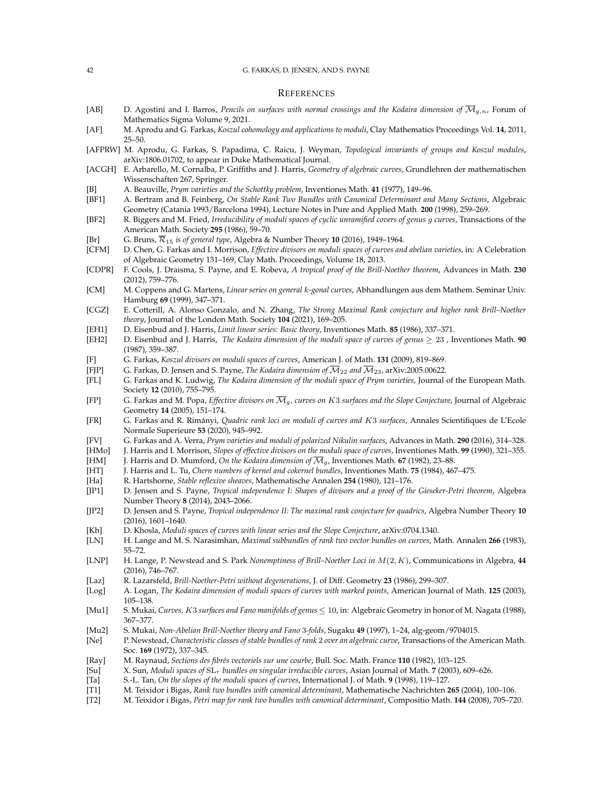#### 42 G. FARKAS, D. JENSEN, AND S. PAYNE

### **REFERENCES**

- <span id="page-41-23"></span>[AB] D. Agostini and I. Barros, *Pencils on surfaces with normal crossings and the Kodaira dimension of*  $\overline{M}_{g,n}$ , Forum of Mathematics Sigma Volume 9, 2021.
- <span id="page-41-19"></span>[AF] M. Aprodu and G. Farkas, *Koszul cohomology and applications to moduli*, Clay Mathematics Proceedings Vol. **14**, 2011, 25–50.
- <span id="page-41-24"></span>[AFPRW] M. Aprodu, G. Farkas, S. Papadima, C. Raicu, J. Weyman, *Topological invariants of groups and Koszul modules*, arXiv:1806.01702, to appear in Duke Mathematical Journal.
- <span id="page-41-27"></span>[ACGH] E. Arbarello, M. Cornalba, P. Griffiths and J. Harris, *Geometry of algebraic curves*, Grundlehren der mathematischen Wissenschaften 267, Springer.
- <span id="page-41-15"></span>[B] A. Beauville, *Prym varieties and the Schottky problem*, Inventiones Math. **41** (1977), 149–96.
- <span id="page-41-5"></span>[BF1] A. Bertram and B. Feinberg, *On Stable Rank Two Bundles with Canonical Determinant and Many Sections*, Algebraic Geometry (Catania 1993/Barcelona 1994), Lecture Notes in Pure and Applied Math. **200** (1998), 259–269.
- <span id="page-41-38"></span>[BF2] R. Biggers and M. Fried, *Irreducibility of moduli spaces of cyclic unramified covers of genus* g *curves*, Transactions of the American Math. Society **295** (1986), 59–70.
- <span id="page-41-18"></span>[Br] G. Bruns,  $\overline{\mathcal{R}}_{15}$  *is of general type*, Algebra & Number Theory **10** (2016), 1949–1964.
- <span id="page-41-12"></span>[CFM] D. Chen, G. Farkas and I. Morrison, *Effective divisors on moduli spaces of curves and abelian varieties*, in: A Celebration of Algebraic Geometry 131–169, Clay Math. Proceedings, Volume 18, 2013.
- <span id="page-41-29"></span>[CDPR] F. Cools, J. Draisma, S. Payne, and E. Robeva, *A tropical proof of the Brill-Noether theorem*, Advances in Math. **230** (2012), 759–776.
- <span id="page-41-37"></span>[CM] M. Coppens and G. Martens, *Linear series on general* k*-gonal curves*, Abhandlungen aus dem Mathem. Seminar Univ. Hamburg **69** (1999), 347–371.
- <span id="page-41-31"></span>[CGZ] E. Cotterill, A. Alonso Gonzalo, and N. Zhang, *The Strong Maximal Rank conjecture and higher rank Brill–Noether theory*, Journal of the London Math. Society **104** (2021), 169–205.
- <span id="page-41-26"></span>[EH1] D. Eisenbud and J. Harris, *Limit linear series: Basic theory*, Inventiones Math. **85** (1986), 337–371.
- <span id="page-41-1"></span>[EH2] D. Eisenbud and J. Harris, *The Kodaira dimension of the moduli space of curves of genus* ≥ 23 , Inventiones Math. **90** (1987), 359–387.
- <span id="page-41-9"></span>[F] G. Farkas, *Koszul divisors on moduli spaces of curves*, American J. of Math. **131** (2009), 819–869.
- <span id="page-41-11"></span>[FJP] G. Farkas, D. Jensen and S. Payne, *The Kodaira dimension of*  $\overline{M}_{22}$  *and*  $\overline{M}_{23}$ , arXiv:2005.00622.
- <span id="page-41-17"></span>[FL] G. Farkas and K. Ludwig, *The Kodaira dimension of the moduli space of Prym varieties*, Journal of the European Math. Society **12** (2010), 755–795.
- <span id="page-41-2"></span>[FP] G. Farkas and M. Popa, *Effective divisors on* Mg*, curves on* K3 *surfaces and the Slope Conjecture*, Journal of Algebraic Geometry **14** (2005), 151–174.
- <span id="page-41-25"></span>[FR] G. Farkas and R. Rimányi, Quadric rank loci on moduli of curves and K3 surfaces, Annales Scientifiques de L'Ecole Normale Superieure **53** (2020), 945–992.
- <span id="page-41-16"></span>[FV] G. Farkas and A. Verra, *Prym varieties and moduli of polarized Nikulin surfaces*, Advances in Math. **290** (2016), 314–328.
- <span id="page-41-13"></span>[HMo] J. Harris and I. Morrison, *Slopes of effective divisors on the moduli space of curves*, Inventiones Math. **99** (1990), 321–355.
- <span id="page-41-0"></span>[HM] J. Harris and D. Mumford, *On the Kodaira dimension of* Mg, Inventiones Math. **67** (1982), 23–88.
- <span id="page-41-28"></span>[HT] J. Harris and L. Tu, *Chern numbers of kernel and cokernel bundles*, Inventiones Math. **75** (1984), 467–475.
- <span id="page-41-35"></span>[Ha] R. Hartshorne, *Stable reflexive sheaves*, Mathematische Annalen **254** (1980), 121–176.
- <span id="page-41-20"></span>[JP1] D. Jensen and S. Payne, *Tropical independence I: Shapes of divisors and a proof of the Gieseker-Petri theorem*, Algebra Number Theory **8** (2014), 2043–2066.
- <span id="page-41-21"></span>[JP2] D. Jensen and S. Payne, *Tropical independence II: The maximal rank conjecture for quadrics*, Algebra Number Theory **10** (2016), 1601–1640.
- <span id="page-41-10"></span>[Kh] D. Khosla, *Moduli spaces of curves with linear series and the Slope Conjecture*, arXiv:0704.1340.
- <span id="page-41-30"></span>[LN] H. Lange and M. S. Narasimhan, *Maximal subbundles of rank two vector bundles on curves*, Math. Annalen **266** (1983), 55–72.
- <span id="page-41-7"></span>[LNP] H. Lange, P. Newstead and S. Park *Nonemptiness of Brill–Noether Loci in* M(2, K), Communications in Algebra, **44** (2016), 746–767.
- <span id="page-41-3"></span>[Laz] R. Lazarsfeld, *Brill-Noether-Petri without degenerations*, J. of Diff. Geometry **23** (1986), 299–307.
- <span id="page-41-22"></span>[Log] A. Logan, *The Kodaira dimension of moduli spaces of curves with marked points*, American Journal of Math. **125** (2003), 105–138.
- <span id="page-41-32"></span>[Mu1] S. Mukai, *Curves,* K3 *surfaces and Fano manifolds of genus* ≤ 10, in: Algebraic Geometry in honor of M. Nagata (1988), 367–377.
- <span id="page-41-4"></span>[Mu2] S. Mukai, *Non-Abelian Brill-Noether theory and Fano* 3*-folds*, Sugaku **49** (1997), 1–24, alg-geom/9704015.
- <span id="page-41-33"></span>[Ne] P. Newstead, *Characteristic classes of stable bundles of rank* 2 *over an algebraic curve*, Transactions of the American Math. Soc. **169** (1972), 337–345.
- <span id="page-41-36"></span>[Ray] M. Raynaud, *Sections des fibrés vectoriels sur une courbe*, Bull. Soc. Math. France 110 (1982), 103-125.
- <span id="page-41-34"></span>[Su] X. Sun, *Moduli spaces of* SLr *bundles on singular irreducible curves*, Asian Journal of Math. **7** (2003), 609–626.
- <span id="page-41-14"></span>[Ta] S.-L. Tan, *On the slopes of the moduli spaces of curves*, International J. of Math. **9** (1998), 119–127.
- <span id="page-41-8"></span>[T1] M. Teixidor i Bigas, *Rank two bundles with canonical determinant*, Mathematische Nachrichten **265** (2004), 100–106.
- <span id="page-41-6"></span>[T2] M. Teixidor i Bigas, *Petri map for rank two bundles with canonical determinant*, Compositio Math. **144** (2008), 705–720.